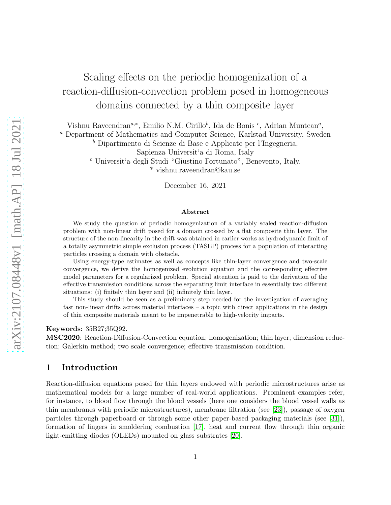# Scaling effects on the periodic homogenization of a reaction-diffusion-convection problem posed in homogeneous domains connected by a thin composite layer

Vishnu Raveendran<sup>a,\*</sup>, Emilio N.M. Cirillo<sup>b</sup>, Ida de Bonis<sup>c</sup>, Adrian Muntean<sup>a</sup>,

<sup>a</sup> Department of Mathematics and Computer Science, Karlstad University, Sweden

<sup>b</sup> Dipartimento di Scienze di Base e Applicate per l'Ingegneria,

<sup>c</sup> Universit'a degli Studi "Giustino Fortunato", Benevento, Italy.

\* vishnu.raveendran@kau.se

December 16, 2021

#### Abstract

We study the question of periodic homogenization of a variably scaled reaction-diffusion problem with non-linear drift posed for a domain crossed by a flat composite thin layer. The structure of the non-linearity in the drift was obtained in earlier works as hydrodynamic limit of a totally asymmetric simple exclusion process (TASEP) process for a population of interacting particles crossing a domain with obstacle.

Using energy-type estimates as well as concepts like thin-layer convergence and two-scale convergence, we derive the homogenized evolution equation and the corresponding effective model parameters for a regularized problem. Special attention is paid to the derivation of the effective transmission conditions across the separating limit interface in essentially two different situations: (i) finitely thin layer and (ii) infinitely thin layer.

This study should be seen as a preliminary step needed for the investigation of averaging fast non-linear drifts across material interfaces – a topic with direct applications in the design of thin composite materials meant to be impenetrable to high-velocity impacts.

#### Keywords: 35B27;35Q92.

MSC2020: Reaction-Diffusion-Convection equation; homogenization; thin layer; dimension reduction; Galerkin method; two scale convergence; effective transmission condition.

# 1 Introduction

Reaction-diffusion equations posed for thin layers endowed with periodic microstructures arise as mathematical models for a large number of real-world applications. Prominent examples refer, for instance, to blood flow through the blood vessels (here one considers the blood vessel walls as thin membranes with periodic microstructures), membrane filtration (see [\[23\]](#page-39-0)), passage of oxygen particles through paperboard or through some other paper-based packaging materials (see [\[31\]](#page-40-0)), formation of fingers in smoldering combustion [\[17\]](#page-39-1), heat and current flow through thin organic light-emitting diodes (OLEDs) mounted on glass substrates [\[20\]](#page-39-2).

Sapienza Universit'a di Roma, Italy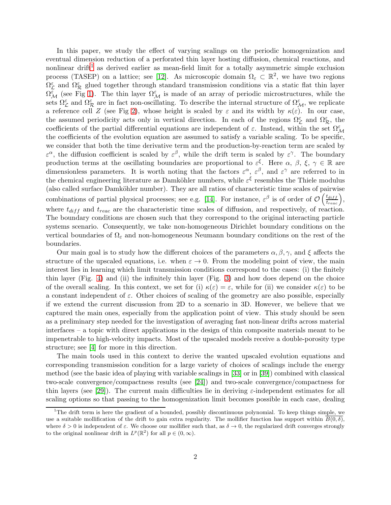In this paper, we study the effect of varying scalings on the periodic homogenization and eventual dimension reduction of a perforated thin layer hosting diffusion, chemical reactions, and nonlinear drift<sup>[1](#page-1-0)</sup> as derived earlier as mean-field limit for a totally asymmetric simple exclusion process (TASEP) on a lattice; see [\[12\]](#page-38-0). As microscopic domain  $\Omega_{\varepsilon} \subset \mathbb{R}^2$ , we have two regions  $\Omega_{\mathcal{L}}^{\varepsilon}$  and  $\Omega_{\mathcal{R}}^{\varepsilon}$  glued together through standard transmission conditions via a static flat thin layer  $\Omega^{\varepsilon}_{\mathcal{M}}$  (see Fig [1\)](#page-3-0). The thin layer  $\Omega^{\varepsilon}_{\mathcal{M}}$  is made of an array of periodic microstructures, while the sets  $\Omega_{\mathcal{L}}^{\varepsilon}$  and  $\Omega_{\mathcal{R}}^{\varepsilon}$  are in fact non-oscillating. To describe the internal structure of  $\Omega_{\mathcal{M}}^{\varepsilon}$ , we replicate a reference cell Z (see Fig [2\)](#page-3-1), whose height is scaled by  $\varepsilon$  and its width by  $\kappa(\varepsilon)$ . In our case, the assumed periodicity acts only in vertical direction. In each of the regions  $\Omega_{\mathcal{L}}^{\varepsilon}$  and  $\Omega_{\mathcal{R}}^{\varepsilon}$ , the coefficients of the partial differential equations are independent of  $\varepsilon$ . Instead, within the set  $\Omega_{\mathcal{M}}^{\varepsilon}$ the coefficients of the evolution equation are assumed to satisfy a variable scaling. To be specific, we consider that both the time derivative term and the production-by-reaction term are scaled by  $\varepsilon^{\alpha}$ , the diffusion coefficient is scaled by  $\varepsilon^{\beta}$ , while the drift term is scaled by  $\varepsilon^{\gamma}$ . The boundary production terms at the oscillating boundaries are proportional to  $\varepsilon^{\xi}$ . Here  $\alpha, \beta, \xi, \gamma \in \mathbb{R}$  are dimensionless parameters. It is worth noting that the factors  $\varepsilon^{\alpha}$ ,  $\varepsilon^{\beta}$ , and  $\varepsilon^{\gamma}$  are referred to in the chemical engineering literature as Damköhler numbers, while  $\varepsilon^{\xi}$  resembles the Thiele modulus (also called surface Damköhler number). They are all ratios of characteristic time scales of pairwise combinations of partial physical processes; see e.g. [\[14\]](#page-38-1). For instance,  $\varepsilon^{\beta}$  is of order of  $\mathcal{O}\left(\frac{t_{diff}}{t_{reac}}\right)$ , where  $t_{diff}$  and  $t_{reac}$  are the characteristic time scales of diffusion, and respectively, of reaction. The boundary conditions are chosen such that they correspond to the original interacting particle systems scenario. Consequently, we take non-homogeneous Dirichlet boundary conditions on the vertical boundaries of  $\Omega_{\varepsilon}$  and non-homogeneous Neumann boundary conditions on the rest of the boundaries.

Our main goal is to study how the different choices of the parameters  $\alpha, \beta, \gamma$ , and  $\xi$  affects the structure of the upscaled equations, i.e. when  $\varepsilon \to 0$ . From the modeling point of view, the main interest lies in learning which limit transmission conditions correspond to the cases: (i) the finitely thin layer (Fig. [4\)](#page-27-0) and (ii) the infinitely thin layer (Fig. [3\)](#page-26-0) and how does depend on the choice of the overall scaling. In this context, we set for (i)  $\kappa(\varepsilon) = \varepsilon$ , while for (ii) we consider  $\kappa(\varepsilon)$  to be a constant independent of  $\varepsilon$ . Other choices of scaling of the geometry are also possible, especially if we extend the current discussion from 2D to a scenario in 3D. However, we believe that we captured the main ones, especially from the application point of view. This study should be seen as a preliminary step needed for the investigation of averaging fast non-linear drifts across material interfaces – a topic with direct applications in the design of thin composite materials meant to be impenetrable to high-velocity impacts. Most of the upscaled models receive a double-porosity type structure; see [\[4\]](#page-38-2) for more in this direction.

The main tools used in this context to derive the wanted upscaled evolution equations and corresponding transmission condition for a large variety of choices of scalings include the energy method (see the basic idea of playing with variable scalings in [\[33\]](#page-40-1) or in [\[39\]](#page-40-2)) combined with classical two-scale convergence/compactness results (see [\[24\]](#page-39-3)) and two-scale convergence/compactness for thin layers (see [\[29\]](#page-39-4)). The current main difficulties lie in deriving  $\varepsilon$ -independent estimates for all scaling options so that passing to the homogenization limit becomes possible in each case, dealing

<span id="page-1-0"></span><sup>&</sup>lt;sup>1</sup>The drift term is here the gradient of a bounded, possibly discontinuous polynomial. To keep things simple, we use a suitable mollification of the drift to gain extra regularity. The mollifier function has support within  $\overline{B(0,\delta)}$ , where  $\delta > 0$  is independent of  $\varepsilon$ . We choose our mollifier such that, as  $\delta \to 0$ , the regularized drift converges strongly to the original nonlinear drift in  $L^p(\mathbb{R}^2)$  for all  $p \in (0, \infty)$ .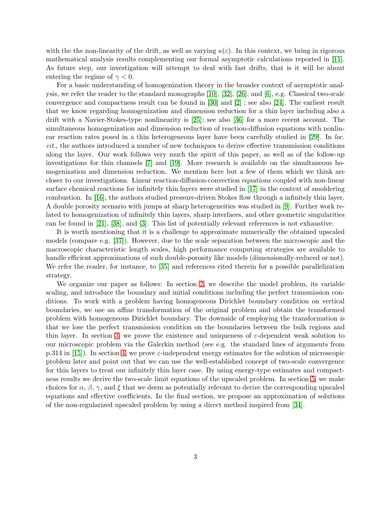with the the non-linearity of the drift, as well as varying  $\kappa(\varepsilon)$ . In this context, we bring in rigorous mathematical analysis results complementing our formal asymptotic calculations reported in [\[11\]](#page-38-3). As future step, our investigation will attempt to deal with fast drifts, that is it will be about entering the regime of  $\gamma < 0$ .

For a basic understanding of homogenization theory in the broader context of asymptotic analysis, we refer the reader to the standard monographs [\[10\]](#page-38-4), [\[32\]](#page-40-3), [\[26\]](#page-39-5), and [\[6\]](#page-38-5), e.g. Classical two-scale convergence and compactness result can be found in [\[30\]](#page-40-4) and [\[2\]](#page-38-6) ; see also [\[24\]](#page-39-3). The earliest result that we know regarding homogenization and dimension reduction for a thin layer including also a drift with a Navier-Stokes-type nonlinearity is [\[25\]](#page-39-6); see also [\[36\]](#page-40-5) for a more recent account. The simultaneous homogenization and dimension reduction of reaction-diffusion equations with nonlin-ear reaction rates posed in a thin heterogeneous layer have been carefully studied in [\[29\]](#page-39-4). In loc. cit., the authors introduced a number of new techniques to derive effective transmission conditions along the layer. Our work follows very much the spirit of this paper, as well as of the follow-up investigations for thin channels [\[7\]](#page-38-7) and [\[19\]](#page-39-7). More research is available on the simultaneous homogenization and dimension reduction. We mention here but a few of them which we think are closer to our investigations. Linear reaction-diffusion-convection equations coupled with non-linear surface chemical reactions for infinitely thin layers were studied in [\[17\]](#page-39-1) in the context of smoldering combustion. In [\[16\]](#page-39-8), the authors studied pressure-driven Stokes flow through a infinitely thin layer. A double porosity scenario with jumps at sharp heterogeneities was studied in [\[9\]](#page-38-8). Further work related to homogenization of infinitely thin layers, sharp interfaces, and other geometric singularities can be found in [\[21\]](#page-39-9), [\[38\]](#page-40-6), and [\[3\]](#page-38-9). This list of potentially relevant references is not exhaustive.

It is worth mentioning that it is a challenge to approximate numerically the obtained upscaled models (compare e.g. [\[37\]](#page-40-7)). However, due to the scale separation between the microscopic and the macroscopic characteristic length scales, high performance computing strategies are available to handle efficient approximations of such double-porosity like models (dimensionally-reduced or not). We refer the reader, for instance, to [\[35\]](#page-40-8) and references cited therein for a possible parallelization strategy.

We organize our paper as follows: In section [2,](#page-3-2) we describe the model problem, its variable scaling, and introduce the boundary and initial conditions including the perfect transmission conditions. To work with a problem having homogeneous Dirichlet boundary condition on vertical boundaries, we use an affine transformation of the original problem and obtain the transformed problem with homogeneous Dirichlet boundary. The downside of employing the transformation is that we lose the perfect transmission condition on the boundaries between the bulk regions and thin layer. In section [3,](#page-9-0) we prove the existence and uniqueness of  $\varepsilon$ -dependent weak solution to our microscopic problem via the Galerkin method (see e.g. the standard lines of arguments from p.314 in [\[15\]](#page-39-10)). In section [4,](#page-9-1) we prove  $\varepsilon$ -independent energy estimates for the solution of microscopic problem later and point out that we can use the well-established concept of two-scale convergence for thin layers to treat our infinitely thin layer case. By using energy-type estimates and compactness results we derive the two-scale limit equations of the upscaled problem. In section [5,](#page-26-1) we make choices for  $\alpha$ ,  $\beta$ ,  $\gamma$ , and  $\xi$  that we deem as potentially relevant to derive the corresponding upscaled equations and effective coefficients. In the final section, we propose an approximation of solutions of the non-regularized upscaled problem by using a direct method inspired from [\[34\]](#page-40-9).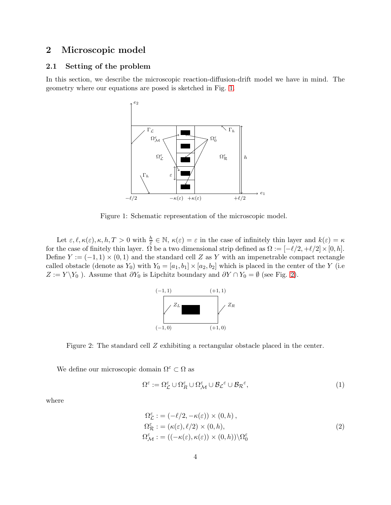# <span id="page-3-2"></span>2 Microscopic model

### 2.1 Setting of the problem

In this section, we describe the microscopic reaction-diffusion-drift model we have in mind. The geometry where our equations are posed is sketched in Fig. [1.](#page-3-0)



<span id="page-3-0"></span>Figure 1: Schematic representation of the microscopic model.

Let  $\varepsilon, \ell, \kappa(\varepsilon), \kappa, h, T > 0$  with  $\frac{h}{\varepsilon} \in \mathbb{N}, \ \kappa(\varepsilon) = \varepsilon$  in the case of infinitely thin layer and  $k(\varepsilon) = \kappa$ for the case of finitely thin layer.  $\Omega$  be a two dimensional strip defined as  $\Omega := [-\ell/2, +\ell/2] \times [0, h]$ . Define  $Y := (-1, 1) \times (0, 1)$  and the standard cell Z as Y with an impenetrable compact rectangle called obstacle (denote as  $Y_0$ ) with  $Y_0 = [a_1, b_1] \times [a_2, b_2]$  which is placed in the center of the Y (i.e  $Z := Y \ Y_0$ ). Assume that  $\partial Y_0$  is Lipchitz boundary and  $\partial Y \cap Y_0 = \emptyset$  (see Fig. [2\)](#page-3-1).



<span id="page-3-1"></span>Figure 2: The standard cell Z exhibiting a rectangular obstacle placed in the center.

We define our microscopic domain  $\Omega^{\varepsilon} \subset \Omega$  as

$$
\Omega^{\varepsilon} := \Omega^{\varepsilon}_{\mathcal{L}} \cup \Omega^{\varepsilon}_{\mathcal{R}} \cup \Omega^{\varepsilon}_{\mathcal{M}} \cup \mathcal{B}_{\mathcal{L}}^{\varepsilon} \cup \mathcal{B}_{\mathcal{R}}^{\varepsilon},\tag{1}
$$

where

$$
\Omega_{\mathcal{L}}^{\varepsilon} := (-\ell/2, -\kappa(\varepsilon)) \times (0, h), \n\Omega_{\mathcal{R}}^{\varepsilon} := (\kappa(\varepsilon), \ell/2) \times (0, h), \n\Omega_{\mathcal{M}}^{\varepsilon} := ((-\kappa(\varepsilon), \kappa(\varepsilon)) \times (0, h)) \backslash \Omega_{0}^{\varepsilon}
$$
\n(2)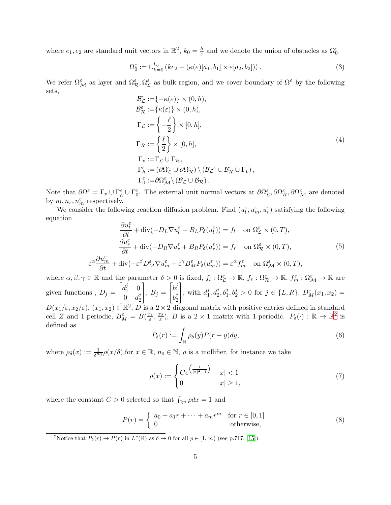where  $e_1, e_2$  are standard unit vectors in  $\mathbb{R}^2$ ,  $k_0 = \frac{h}{\varepsilon}$  and we denote the union of obstacles as  $\Omega_0^{\varepsilon}$ 

$$
\Omega_0^{\varepsilon} := \cup_{k=0}^{k_0} \left( ke_2 + \left( \kappa(\varepsilon)[a_1, b_1] \times \varepsilon[a_2, b_2] \right) \right). \tag{3}
$$

We refer  $\Omega^{\varepsilon}_{\mathcal{M}}$  as layer and  $\Omega^{\varepsilon}_{\mathcal{R}}, \Omega^{\varepsilon}_{\mathcal{L}}$  as bulk region, and we cover boundary of  $\Omega^{\varepsilon}$  by the following sets,

$$
\mathcal{B}_{\mathcal{L}}^{\varepsilon} := \{ -\kappa(\varepsilon) \} \times (0, h), \n\mathcal{B}_{\mathcal{R}}^{\varepsilon} := \{ \kappa(\varepsilon) \} \times (0, h), \n\Gamma_{\mathcal{L}} := \left\{ -\frac{\ell}{2} \right\} \times [0, h], \n\Gamma_{\mathcal{R}} := \left\{ \frac{\ell}{2} \right\} \times [0, h], \n\Gamma_{v} := \Gamma_{\mathcal{L}} \cup \Gamma_{\mathcal{R}}, \n\Gamma_{h}^{\varepsilon} := (\partial \Omega_{\mathcal{L}}^{\varepsilon} \cup \partial \Omega_{\mathcal{R}}^{\varepsilon}) \setminus (\mathcal{B}_{\mathcal{L}}^{\varepsilon} \cup \mathcal{B}_{\mathcal{R}}^{\varepsilon} \cup \Gamma_{v}), \n\Gamma_{0}^{\varepsilon} := \partial \Omega_{\mathcal{M}}^{\varepsilon} \setminus (\mathcal{B}_{\mathcal{L}} \cup \mathcal{B}_{\mathcal{R}}).
$$
\n(4)

Note that  $\partial\Omega^{\varepsilon} = \Gamma_v \cup \Gamma_h^{\varepsilon} \cup \Gamma_0^{\varepsilon}$ . The external unit normal vectors at  $\partial\Omega^{\varepsilon}_{\mathcal{L}}, \partial\Omega^{\varepsilon}_{\mathcal{R}}, \partial\Omega^{\varepsilon}_{\mathcal{M}}$  are denoted by  $n_l, n_r, n_m^{\varepsilon}$  respectively.

We consider the following reaction diffusion problem. Find  $(u_l^{\varepsilon}, u_m^{\varepsilon}, u_r^{\varepsilon})$  satisfying the following equation

<span id="page-4-1"></span>
$$
\frac{\partial u_{\tilde{l}}^{\varepsilon}}{\partial t} + \text{div}(-D_L \nabla u_{\tilde{l}}^{\varepsilon} + B_L P_{\delta}(u_{\tilde{l}}^{\varepsilon})) = f_l \quad \text{on } \Omega_{\mathcal{L}}^{\varepsilon} \times (0, T),
$$

$$
\frac{\partial u_r^{\varepsilon}}{\partial t} + \text{div}(-D_R \nabla u_r^{\varepsilon} + B_R P_{\delta}(u_r^{\varepsilon})) = f_r \quad \text{on } \Omega_{\mathcal{R}}^{\varepsilon} \times (0, T),
$$

$$
\varepsilon^{\alpha} \frac{\partial u_m^{\varepsilon}}{\partial t} + \text{div}(-\varepsilon^{\beta} D_M^{\varepsilon} \nabla u_m^{\varepsilon} + \varepsilon^{\gamma} B_M^{\varepsilon} P_{\delta}(u_m^{\varepsilon})) = \varepsilon^{\alpha} f_m^{\varepsilon} \quad \text{on } \Omega_{\mathcal{M}}^{\varepsilon} \times (0, T),
$$

$$
(5)
$$

where  $\alpha, \beta, \gamma \in \mathbb{R}$  and the parameter  $\delta > 0$  is fixed,  $f_l : \Omega_{\mathcal{L}}^{\varepsilon} \to \mathbb{R}$ ,  $f_r : \Omega_{\mathcal{R}}^{\varepsilon} \to \mathbb{R}$ ,  $f_m^{\varepsilon} : \Omega_{\mathcal{M}}^{\varepsilon} \to \mathbb{R}$  are given functions,  $D_j =$  $\left[ d_1^j\right]$  $\begin{matrix} 1 & 0 \\ 1 & 0 \end{matrix}$  $0 \quad d_2^j$ 2 1 ,  $B_j =$  $\left[ b_1^j \right]$ 1  $b_2^j$ 2 1 , with  $d_1^j$  $j_1^j, d_2^j, b_1^j, b_2^j > 0$  for  $j \in \{L, R\}, D_M^{\varepsilon}(x_1, x_2) =$  $D(x_1/\varepsilon, x_2/\varepsilon), (x_1, x_2) \in \mathbb{R}^2$ ,  $D$  is a  $2 \times 2$  diagonal matrix with positive entries defined in standard cell Z and 1-periodic,  $B_M^{\varepsilon} = B(\frac{x_1}{\varepsilon})$  $\frac{x_1}{\varepsilon}, \frac{x_2}{\varepsilon}$  $(\frac{e_2}{\varepsilon})$  $(\frac{e_2}{\varepsilon})$  $(\frac{e_2}{\varepsilon})$ , *B* is a 2 × 1 matrix with 1-periodic.  $P_\delta(\cdot) : \mathbb{R} \to \mathbb{R}^2$  is

<span id="page-4-2"></span>
$$
P_{\delta}(r) := \int_{\mathbb{R}} \rho_{\delta}(y) P(r - y) dy,
$$
\n(6)

where  $\rho_{\delta}(x) := \frac{1}{\delta^{n_0}} \rho(x/\delta)$ , for  $x \in \mathbb{R}$ ,  $n_0 \in \mathbb{N}$ ,  $\rho$  is a mollifier, for instance we take

$$
\rho(x) := \begin{cases} Ce^{\left(\frac{1}{|x|^2 - 1}\right)} & |x| < 1\\ 0 & |x| \ge 1, \end{cases}
$$
\n(7)

where the constant  $C > 0$  selected so that  $\int_{\mathbb{R}^n} \rho dx = 1$  and

defined as

<span id="page-4-3"></span>
$$
P(r) = \begin{cases} a_0 + a_1 r + \dots + a_m r^m & \text{for } r \in [0, 1] \\ 0 & \text{otherwise,} \end{cases}
$$
 (8)

<span id="page-4-0"></span>P Notice that  $P_\delta(r) \to P(r)$  in  $L^p(\mathbb{R})$  as  $\delta \to 0$  for all  $p \in [1,\infty)$  (see p.717, [\[15\]](#page-39-10)).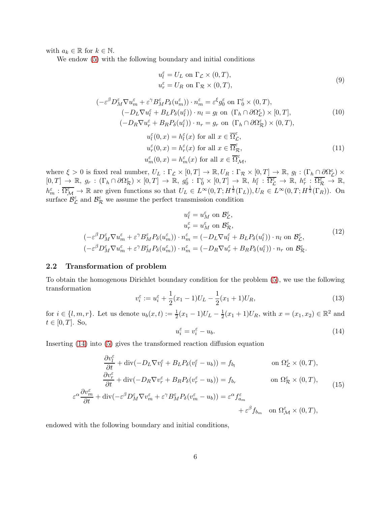with  $a_k \in \mathbb{R}$  for  $k \in \mathbb{N}$ .

We endow [\(5\)](#page-4-1) with the following boundary and initial conditions

<span id="page-5-1"></span>
$$
u_l^{\varepsilon} = U_L \text{ on } \Gamma_{\mathcal{L}} \times (0, T),
$$
  

$$
u_r^{\varepsilon} = U_R \text{ on } \Gamma_{\mathcal{R}} \times (0, T),
$$
  
(9)

$$
\begin{aligned}\n(-\varepsilon^{\beta}D_{M}^{\varepsilon}\nabla u_{m}^{\varepsilon} + \varepsilon^{\gamma}B_{M}^{\varepsilon}P_{\delta}(u_{m}^{\varepsilon})) \cdot n_{m}^{\varepsilon} &= \varepsilon^{\xi}g_{0}^{\varepsilon} \text{ on } \Gamma_{0}^{\varepsilon} \times (0,T), \\
(-D_{L}\nabla u_{l}^{\varepsilon} + B_{L}P_{\delta}(u_{l}^{\varepsilon})) \cdot n_{l} &= g_{l} \text{ on } (\Gamma_{h} \cap \partial \Omega_{\mathcal{L}}^{\varepsilon}) \times [0,T], \\
(-D_{R}\nabla u_{r}^{\varepsilon} + B_{R}P_{\delta}(u_{l}^{\varepsilon})) \cdot n_{r} &= g_{r} \text{ on } (\Gamma_{h} \cap \partial \Omega_{\mathcal{R}}^{\varepsilon}) \times (0,T),\n\end{aligned} \tag{10}
$$

$$
u_l^{\varepsilon}(0, x) = h_l^{\varepsilon}(x) \text{ for all } x \in \overline{\Omega}_{\mathcal{L}}^{\varepsilon},
$$
  
\n
$$
u_r^{\varepsilon}(0, x) = h_r^{\varepsilon}(x) \text{ for all } x \in \overline{\Omega}_{\mathcal{R}}^{\varepsilon},
$$
  
\n
$$
u_m^{\varepsilon}(0, x) = h_m^{\varepsilon}(x) \text{ for all } x \in \overline{\Omega}_{\mathcal{M}}^{\varepsilon},
$$
\n(11)

where  $\xi > 0$  is fixed real number,  $U_L : \Gamma_{\mathcal{L}} \times [0,T] \to \mathbb{R}, U_R : \Gamma_{\mathcal{R}} \times [0,T] \to \mathbb{R}, g_l : (\Gamma_h \cap \partial \Omega_{\mathcal{L}}^{\varepsilon}) \times$  $[0,T] \to \mathbb{R}, g_r : (\Gamma_h \cap \partial \Omega_{\mathcal{R}}^{\varepsilon}) \times [0,T] \to \mathbb{R}, g_0^{\varepsilon} : \Gamma_0^{\varepsilon} \times [0,T] \to \mathbb{R}, h_l^{\varepsilon} : \overline{\Omega_{\mathcal{L}}^{\varepsilon}} \to \mathbb{R}, h_r^{\varepsilon} : \overline{\Omega_{\mathcal{R}}^{\varepsilon}} \to \mathbb{R},$  $h_m^{\varepsilon} : \overline{\Omega_{\mathcal{M}}^{\varepsilon}} \to \mathbb{R}$  are given functions so that  $U_L \in L^{\infty}(0,T; H^{\frac{1}{2}}(\Gamma_L)), U_R \in L^{\infty}(0,T; H^{\frac{1}{2}}(\Gamma_R)).$  On surface  $\mathcal{B}_{\mathcal{L}}^{\varepsilon}$  and  $\mathcal{B}_{\mathcal{R}}^{\varepsilon}$  we assume the perfect transmission condition

$$
u_{l}^{\varepsilon} = u_{M}^{\varepsilon} \text{ on } \mathcal{B}_{\mathcal{L}}^{\varepsilon},
$$

$$
u_{r}^{\varepsilon} = u_{M}^{\varepsilon} \text{ on } \mathcal{B}_{\mathcal{R}}^{\varepsilon},
$$

$$
(-\varepsilon^{\beta} D_{M}^{\varepsilon} \nabla u_{m}^{\varepsilon} + \varepsilon^{\gamma} B_{M}^{\varepsilon} P_{\delta}(u_{m}^{\varepsilon})) \cdot n_{m}^{\varepsilon} = (-D_{L} \nabla u_{l}^{\varepsilon} + B_{L} P_{\delta}(u_{l}^{\varepsilon})) \cdot n_{l} \text{ on } \mathcal{B}_{\mathcal{L}}^{\varepsilon},
$$

$$
(-\varepsilon^{\beta} D_{M}^{\varepsilon} \nabla u_{m}^{\varepsilon} + \varepsilon^{\gamma} B_{M}^{\varepsilon} P_{\delta}(u_{m}^{\varepsilon})) \cdot n_{m}^{\varepsilon} = (-D_{R} \nabla u_{r}^{\varepsilon} + B_{R} P_{\delta}(u_{l}^{\varepsilon})) \cdot n_{r} \text{ on } \mathcal{B}_{\mathcal{R}}^{\varepsilon}.
$$

$$
(12)
$$

#### 2.2 Transformation of problem

To obtain the homogenous Dirichlet boundary condition for the problem [\(5\)](#page-4-1), we use the following transformation

$$
v_i^{\varepsilon} := u_i^{\varepsilon} + \frac{1}{2}(x_1 - 1)U_L - \frac{1}{2}(x_1 + 1)U_R,
$$
\n(13)

for  $i \in \{l, m, r\}$ . Let us denote  $u_b(x, t) := \frac{1}{2}(x_1 - 1)U_L - \frac{1}{2}$  $\frac{1}{2}(x_1+1)U_R$ , with  $x=(x_1,x_2) \in \mathbb{R}^2$  and  $t \in [0, T]$ . So,

<span id="page-5-0"></span>
$$
u_i^{\varepsilon} = v_i^{\varepsilon} - u_b. \tag{14}
$$

Inserting [\(14\)](#page-5-0) into [\(5\)](#page-4-1) gives the transformed reaction diffusion equation

<span id="page-5-2"></span>
$$
\frac{\partial v_l^{\varepsilon}}{\partial t} + \text{div}(-D_L \nabla v_l^{\varepsilon} + B_L P_{\delta}(v_l^{\varepsilon} - u_b)) = f_{b_l} \qquad \text{on } \Omega_{\mathcal{L}}^{\varepsilon} \times (0, T),
$$

$$
\frac{\partial v_r^{\varepsilon}}{\partial t} + \text{div}(-D_R \nabla v_r^{\varepsilon} + B_R P_{\delta}(v_r^{\varepsilon} - u_b)) = f_{b_r} \qquad \text{on } \Omega_{\mathcal{R}}^{\varepsilon} \times (0, T),
$$

$$
\varepsilon^{\alpha} \frac{\partial v_m^{\varepsilon}}{\partial t} + \text{div}(-\varepsilon^{\beta} D_M^{\varepsilon} \nabla v_m^{\varepsilon} + \varepsilon^{\gamma} B_M^{\varepsilon} P_{\delta}(v_m^{\varepsilon} - u_b)) = \varepsilon^{\alpha} f_{a_m}^{\varepsilon} + \varepsilon^{\beta} f_{b_m} \quad \text{on } \Omega_{\mathcal{M}}^{\varepsilon} \times (0, T),
$$

$$
+ \varepsilon^{\beta} f_{b_m} \quad \text{on } \Omega_{\mathcal{M}}^{\varepsilon} \times (0, T),
$$

endowed with the following boundary and initial conditions,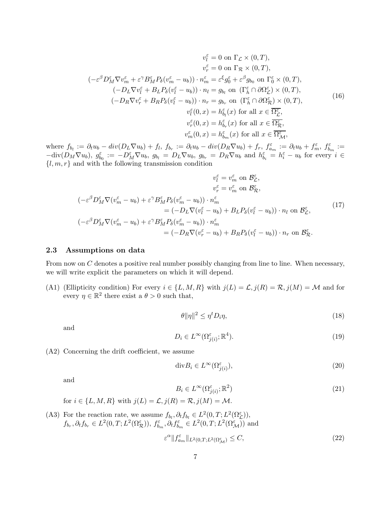<span id="page-6-2"></span>
$$
v_{l}^{\varepsilon} = 0 \text{ on } \Gamma_{\mathcal{L}} \times (0, T),
$$

$$
v_{r}^{\varepsilon} = 0 \text{ on } \Gamma_{\mathcal{R}} \times (0, T),
$$

$$
v_{r}^{\varepsilon} = 0 \text{ on } \Gamma_{\mathcal{R}} \times (0, T),
$$

$$
(-\varepsilon^{\beta} D_{M}^{\varepsilon} \nabla v_{m}^{\varepsilon} + \varepsilon^{\gamma} B_{M}^{\varepsilon} P_{\delta}(v_{m}^{\varepsilon} - u_{b})) \cdot n_{m}^{\varepsilon} = \varepsilon^{\xi} g_{0}^{\varepsilon} + \varepsilon^{\beta} g_{b_{0}} \text{ on } \Gamma_{0}^{\varepsilon} \times (0, T),
$$

$$
(-D_{L} \nabla v_{l}^{\varepsilon} + B_{L} P_{\delta}(v_{l}^{\varepsilon} - u_{b})) \cdot n_{l} = g_{b_{l}} \text{ on } (\Gamma_{h}^{\varepsilon} \cap \partial \Omega_{\mathcal{L}}^{\varepsilon}) \times (0, T),
$$

$$
(-D_{R} \nabla v_{r}^{\varepsilon} + B_{R} P_{\delta}(v_{l}^{\varepsilon} - u_{b})) \cdot n_{r} = g_{b_{r}} \text{ on } (\Gamma_{h}^{\varepsilon} \cap \partial \Omega_{\mathcal{R}}^{\varepsilon}) \times (0, T),
$$

$$
v_{l}^{\varepsilon}(0, x) = h_{b_{l}}^{\varepsilon}(x) \text{ for all } x \in \overline{\Omega_{\mathcal{R}}^{\varepsilon}},
$$

$$
v_{r}^{\varepsilon}(0, x) = h_{b_{m}}^{\varepsilon}(x) \text{ for all } x \in \overline{\Omega_{\mathcal{R}}^{\varepsilon}},
$$

$$
v_{m}^{\varepsilon}(0, x) = h_{b_{m}}^{\varepsilon}(x) \text{ for all } x \in \overline{\Omega_{\mathcal{M}}^{\varepsilon}},
$$

where  $f_{b_l} := \partial_t u_b - div(D_L \nabla u_b) + f_l, f_{b_r} := \partial_t u_b - div(D_R \nabla u_b) + f_r, f_{a_m}^{\varepsilon} := \partial_t u_b + f_m^{\varepsilon}, f_{b_m}^{\varepsilon} :=$  $-\text{div}(D_M\nabla u_b)$ ,  $g_{b_0}^{\varepsilon} := -D_M^{\varepsilon}\nabla u_b$ ,  $g_{b_l} = D_L\nabla u_b$ ,  $g_{b_r} = D_R\nabla u_b$  and  $h_{b_i}^{\varepsilon} = h_i^{\varepsilon} - u_b$  for every  $i \in$  ${l, m, r}$  and with the following transmission condition

<span id="page-6-1"></span>
$$
v_{l}^{\varepsilon} = v_{m}^{\varepsilon} \text{ on } \mathcal{B}_{\mathcal{L}}^{\varepsilon},
$$
  
\n
$$
v_{r}^{\varepsilon} = v_{m}^{\varepsilon} \text{ on } \mathcal{B}_{\mathcal{R}}^{\varepsilon},
$$
  
\n
$$
(-\varepsilon^{\beta} D_{M}^{\varepsilon} \nabla (v_{m}^{\varepsilon} - u_{b}) + \varepsilon^{\gamma} B_{M}^{\varepsilon} P_{\delta} (v_{m}^{\varepsilon} - u_{b})) \cdot n_{m}^{\varepsilon}
$$
  
\n
$$
= (-D_{L} \nabla (v_{l}^{\varepsilon} - u_{b}) + B_{L} P_{\delta} (v_{l}^{\varepsilon} - u_{b})) \cdot n_{l} \text{ on } \mathcal{B}_{\mathcal{L}}^{\varepsilon},
$$
  
\n
$$
(-\varepsilon^{\beta} D_{M}^{\varepsilon} \nabla (v_{m}^{\varepsilon} - u_{b}) + \varepsilon^{\gamma} B_{M}^{\varepsilon} P_{\delta} (v_{m}^{\varepsilon} - u_{b})) \cdot n_{m}^{\varepsilon}
$$
  
\n
$$
= (-D_{R} \nabla (v_{r}^{\varepsilon} - u_{b}) + B_{R} P_{\delta} (v_{l}^{\varepsilon} - u_{b})) \cdot n_{r} \text{ on } \mathcal{B}_{\mathcal{R}}^{\varepsilon}.
$$
  
\n(17)

#### 2.3 Assumptions on data

From now on C denotes a positive real number possibly changing from line to line. When necessary, we will write explicit the parameters on which it will depend.

<span id="page-6-0"></span>(A1) (Ellipticity condition) For every  $i \in \{L, M, R\}$  with  $j(L) = \mathcal{L}, j(R) = \mathcal{R}, j(M) = \mathcal{M}$  and for every  $\eta \in \mathbb{R}^2$  there exist a  $\theta > 0$  such that,

<span id="page-6-4"></span>
$$
\theta \|\eta\|^2 \le \eta^t D_i \eta,\tag{18}
$$

and

<span id="page-6-5"></span>
$$
D_i \in L^{\infty}(\Omega_{j(i)}^{\varepsilon}; \mathbb{R}^4). \tag{19}
$$

<span id="page-6-7"></span>(A2) Concerning the drift coefficient, we assume

$$
\mathrm{div}B_i \in L^{\infty}(\Omega^{\varepsilon}_{j(i)}),\tag{20}
$$

and

<span id="page-6-3"></span>
$$
B_i \in L^{\infty}(\Omega_{j(i)}^{\varepsilon}; \mathbb{R}^2)
$$
\n(21)

for 
$$
i \in \{L, M, R\}
$$
 with  $j(L) = \mathcal{L}, j(R) = \mathcal{R}, j(M) = \mathcal{M}.$ 

<span id="page-6-6"></span>(A3) For the reaction rate, we assume  $f_{b_l}, \partial_t f_{b_l} \in L^2(0, T; L^2(\Omega^{\varepsilon}_{\mathcal{L}})),$  $f_{b_r}, \partial_t f_{b_r} \in L^2(0,T; L^2(\Omega_{\mathcal{R}}^{\varepsilon}))$ ,  $f_{b_m}^{\varepsilon}, \partial_t f_{b_m}^{\varepsilon} \in L^2(0,T; L^2(\Omega_{\mathcal{M}}^{\varepsilon}))$  and  $\varepsilon^{\alpha} \| f_{a_m}^{\varepsilon} \|_{L^2(0,T;L^2(\Omega_M^{\varepsilon})} \leq C,$ (22)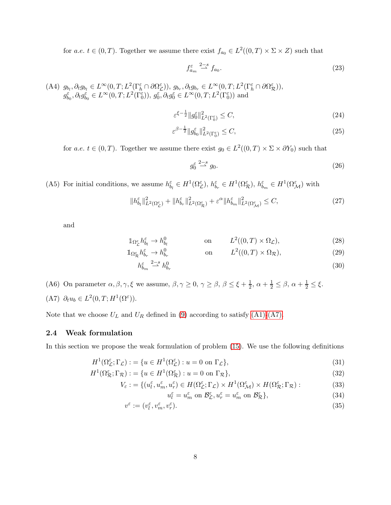for a.e.  $t \in (0, T)$ . Together we assume there exist  $f_{a_0} \in L^2((0, T) \times \Sigma \times Z)$  such that

<span id="page-7-5"></span>
$$
f_{a_m}^{\varepsilon} \stackrel{2-s}{\rightharpoonup} f_{a_0}.\tag{23}
$$

<span id="page-7-3"></span>(A4)  $g_{b_l}, \partial_t g_{b_l} \in L^{\infty}(0,T; L^2(\Gamma_h^{\varepsilon} \cap \partial \Omega_{\mathcal{L}}^{\varepsilon}))$ ,  $g_{b_r}, \partial_t g_{b_r} \in L^{\infty}(0,T; L^2(\Gamma_h^{\varepsilon} \cap \partial \Omega_{\mathcal{R}}^{\varepsilon}))$ ,  $g_{b_0}^{\varepsilon}, \partial_t g_{b_0}^{\varepsilon} \in L^{\infty}(0,T; L^2(\Gamma_0^{\varepsilon})), g_0^{\varepsilon}, \partial_t g_0^{\varepsilon} \in L^{\infty}(0,T; L^2(\Gamma_0^{\varepsilon}))$  and

$$
\varepsilon^{\xi - \frac{1}{2}} \|g_0^{\varepsilon}\|_{L^2(\Gamma_0^{\varepsilon})}^2 \le C,\tag{24}
$$

$$
\varepsilon^{\beta - \frac{1}{2}} \|g_{b_0}^{\varepsilon}\|_{L^2(\Gamma_0^{\varepsilon})}^2 \le C,\tag{25}
$$

for a.e.  $t \in (0, T)$ . Together we assume there exist  $g_0 \in L^2((0, T) \times \Sigma \times \partial Y_0)$  such that

<span id="page-7-9"></span><span id="page-7-8"></span><span id="page-7-7"></span><span id="page-7-6"></span>
$$
g_0^{\varepsilon} \stackrel{2-s}{\rightharpoonup} g_0. \tag{26}
$$

<span id="page-7-4"></span>(A5) For initial conditions, we assume  $h_{b_l}^{\varepsilon} \in H^1(\Omega_{\mathcal{L}}^{\varepsilon}), h_{b_r}^{\varepsilon} \in H^1(\Omega_{\mathcal{R}}^{\varepsilon}), h_{b_m}^{\varepsilon} \in H^1(\Omega_{\mathcal{M}}^{\varepsilon})$  with

$$
\|h_{b_l}^{\varepsilon}\|_{L^2(\Omega_{\mathcal{L}}^{\varepsilon})}^2 + \|h_{b_r}^{\varepsilon}\|_{L^2(\Omega_{\mathcal{R}}^{\varepsilon})}^2 + \varepsilon^{\alpha} \|h_{b_m}^{\varepsilon}\|_{L^2(\Omega_{\mathcal{M}}^{\varepsilon})}^2 \leq C,
$$
\n(27)

and

$$
\mathbb{1}_{\Omega_{\mathcal{L}}^{\varepsilon}} h_{b_l}^{\varepsilon} \to h_{b_l}^0 \qquad \text{on} \qquad L^2((0,T) \times \Omega_{\mathcal{L}}), \tag{28}
$$

$$
\mathbb{1}_{\Omega_{\mathcal{R}}^{\varepsilon}} h_{b_r}^{\varepsilon} \to h_{b_r}^0 \qquad \text{on} \qquad L^2((0,T) \times \Omega_{\mathcal{R}}), \tag{29}
$$

$$
h_{b_m}^{\varepsilon} \stackrel{2-s}{\rightharpoonup} h_{b_r}^0 \tag{30}
$$

<span id="page-7-2"></span><span id="page-7-0"></span>(A6) On parameter  $\alpha, \beta, \gamma, \xi$  we assume,  $\beta, \gamma \ge 0, \gamma \ge \beta, \beta \le \xi + \frac{1}{2}$  $\frac{1}{2}$ ,  $\alpha + \frac{1}{2} \leq \beta$ ,  $\alpha + \frac{1}{2} \leq \xi$ . (A7)  $\partial_t u_b \in L^2(0,T;H^1(\Omega^{\varepsilon}))$ .

Note that we choose  $U_L$  and  $U_R$  defined in [\(9\)](#page-5-1) according to satisfy [\(A1\)](#page-6-0)[-\(A7\).](#page-7-0)

### 2.4 Weak formulation

In this section we propose the weak formulation of problem [\(15\)](#page-5-2). We use the following definitions

$$
H^{1}(\Omega_{\mathcal{L}}^{\varepsilon};\Gamma_{\mathcal{L}}):=\{u\in H^{1}(\Omega_{\mathcal{L}}^{\varepsilon}):u=0\text{ on }\Gamma_{\mathcal{L}}\},\tag{31}
$$

<span id="page-7-1"></span>
$$
H^{1}(\Omega_{\mathcal{R}}^{\varepsilon};\Gamma_{\mathcal{R}}):=\{u\in H^{1}(\Omega_{\mathcal{R}}^{\varepsilon}):u=0\text{ on }\Gamma_{\mathcal{R}}\},\tag{32}
$$

$$
V_{\varepsilon} := \{ (u_{l}^{\varepsilon}, u_{m}^{\varepsilon}, u_{r}^{\varepsilon}) \in H(\Omega_{\mathcal{L}}^{\varepsilon}; \Gamma_{\mathcal{L}}) \times H^{1}(\Omega_{\mathcal{M}}^{\varepsilon}) \times H(\Omega_{\mathcal{R}}^{\varepsilon}; \Gamma_{\mathcal{R}}) :
$$
 (33)

$$
u_l^{\varepsilon} = u_m^{\varepsilon} \text{ on } \mathcal{B}_{\mathcal{L}}^{\varepsilon}, u_r^{\varepsilon} = u_m^{\varepsilon} \text{ on } \mathcal{B}_{\mathcal{R}}^{\varepsilon} \},\tag{34}
$$

$$
v^{\varepsilon} := (v_l^{\varepsilon}, v_m^{\varepsilon}, v_r^{\varepsilon}). \tag{35}
$$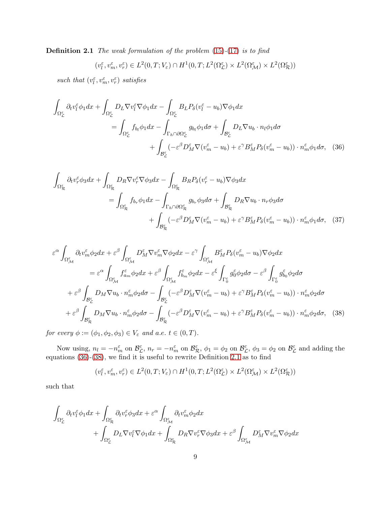**Definition 2.1** The weak formulation of the problem  $(15)-(17)$  $(15)-(17)$  $(15)-(17)$  is to find

<span id="page-8-0"></span>
$$
(v_l^{\varepsilon},v_m^{\varepsilon},v_r^{\varepsilon})\in L^2(0,T;V_{\varepsilon})\cap H^1(0,T;L^2(\Omega_{\mathcal{L}}^{\varepsilon})\times L^2(\Omega_{\mathcal{M}}^{\varepsilon})\times L^2(\Omega_{\mathcal{R}}^{\varepsilon}))
$$

such that  $(v_l^{\varepsilon}, v_m^{\varepsilon}, v_r^{\varepsilon})$  satisfies

$$
\int_{\Omega_{\mathcal{L}}^{\varepsilon}} \partial_t v_l^{\varepsilon} \phi_1 dx + \int_{\Omega_{\mathcal{L}}^{\varepsilon}} D_L \nabla v_l^{\varepsilon} \nabla \phi_1 dx - \int_{\Omega_{\mathcal{L}}^{\varepsilon}} B_L P_{\delta} (v_l^{\varepsilon} - u_b) \nabla \phi_1 dx \n= \int_{\Omega_{\mathcal{L}}^{\varepsilon}} f_{b_l} \phi_1 dx - \int_{\Gamma_h \cap \partial \Omega_{\mathcal{L}}^{\varepsilon}} g_{b_l} \phi_1 d\sigma + \int_{\mathcal{B}_{\mathcal{L}}^{\varepsilon}} D_L \nabla u_b \cdot n_l \phi_1 d\sigma \n+ \int_{\mathcal{B}_{\mathcal{L}}^{\varepsilon}} (-\varepsilon^{\beta} D_M^{\varepsilon} \nabla (v_m^{\varepsilon} - u_b) + \varepsilon^{\gamma} B_M^{\varepsilon} P_{\delta} (v_m^{\varepsilon} - u_b)) \cdot n_m^{\varepsilon} \phi_1 d\sigma, \quad (36)
$$

$$
\int_{\Omega_{\mathcal{R}}^{\varepsilon}} \partial_t v_r^{\varepsilon} \phi_3 dx + \int_{\Omega_{\mathcal{R}}^{\varepsilon}} D_R \nabla v_r^{\varepsilon} \nabla \phi_3 dx - \int_{\Omega_{\mathcal{R}}^{\varepsilon}} B_R P_\delta (v_r^{\varepsilon} - u_b) \nabla \phi_3 dx \n= \int_{\Omega_{\mathcal{R}}^{\varepsilon}} f_{b_r} \phi_1 dx - \int_{\Gamma_h \cap \partial \Omega_{\mathcal{R}}^{\varepsilon}} g_{b_r} \phi_3 d\sigma + \int_{\mathcal{B}_{\mathcal{R}}^{\varepsilon}} D_R \nabla u_b \cdot n_r \phi_3 d\sigma \n+ \int_{\mathcal{B}_{\mathcal{R}}^{\varepsilon}} (-\varepsilon^{\beta} D_M^{\varepsilon} \nabla (v_m^{\varepsilon} - u_b) + \varepsilon^{\gamma} B_M^{\varepsilon} P_\delta (v_m^{\varepsilon} - u_b)) \cdot n_m^{\varepsilon} \phi_1 d\sigma, \quad (37)
$$

$$
\varepsilon^{\alpha} \int_{\Omega_{\mathcal{M}}^{\varepsilon}} \partial_{t} v_{m}^{\varepsilon} \phi_{2} dx + \varepsilon^{\beta} \int_{\Omega_{\mathcal{M}}^{\varepsilon}} D_{\mathcal{M}}^{\varepsilon} \nabla v_{m}^{\varepsilon} \nabla \phi_{2} dx - \varepsilon^{\gamma} \int_{\Omega_{\mathcal{M}}^{\varepsilon}} B_{M}^{\varepsilon} P_{\delta} (v_{m}^{\varepsilon} - u_{b}) \nabla \phi_{2} dx
$$
\n
$$
= \varepsilon^{\alpha} \int_{\Omega_{\mathcal{M}}^{\varepsilon}} f_{a_{m}}^{\varepsilon} \phi_{2} dx + \varepsilon^{\beta} \int_{\Omega_{\mathcal{M}}^{\varepsilon}} f_{b_{m}}^{\varepsilon} \phi_{2} dx - \varepsilon^{\xi} \int_{\Gamma_{0}^{\varepsilon}} g_{0}^{\varepsilon} \phi_{2} d\sigma - \varepsilon^{\beta} \int_{\Gamma_{0}^{\varepsilon}} g_{b_{0}}^{\varepsilon} \phi_{2} d\sigma
$$
\n
$$
+ \varepsilon^{\beta} \int_{\mathcal{B}_{\mathcal{L}}^{\varepsilon}} D_{M} \nabla u_{b} \cdot n_{m}^{\varepsilon} \phi_{2} d\sigma - \int_{\mathcal{B}_{\mathcal{L}}^{\varepsilon}} (-\varepsilon^{\beta} D_{M}^{\varepsilon} \nabla (v_{m}^{\varepsilon} - u_{b}) + \varepsilon^{\gamma} B_{M}^{\varepsilon} P_{\delta} (v_{m}^{\varepsilon} - u_{b})) \cdot n_{m}^{\varepsilon} \phi_{2} d\sigma
$$
\n
$$
+ \varepsilon^{\beta} \int_{\mathcal{B}_{\mathcal{R}}^{\varepsilon}} D_{M} \nabla u_{b} \cdot n_{m}^{\varepsilon} \phi_{2} d\sigma - \int_{\mathcal{B}_{\mathcal{R}}^{\varepsilon}} (-\varepsilon^{\beta} D_{M}^{\varepsilon} \nabla (v_{m}^{\varepsilon} - u_{b}) + \varepsilon^{\gamma} B_{M}^{\varepsilon} P_{\delta} (v_{m}^{\varepsilon} - u_{b})) \cdot n_{m}^{\varepsilon} \phi_{2} d\sigma, \quad (38)
$$

for every  $\phi := (\phi_1, \phi_2, \phi_3) \in V_{\varepsilon}$  and a.e.  $t \in (0, T)$ .

Now using,  $n_l = -n_m^{\varepsilon}$  on  $\mathcal{B}_{\mathcal{L}}^{\varepsilon}$ ,  $n_r = -n_m^{\varepsilon}$  on  $\mathcal{B}_{\mathcal{R}}^{\varepsilon}$ ,  $\phi_1 = \phi_2$  on  $\mathcal{B}_{\mathcal{L}}^{\varepsilon}$ ,  $\phi_3 = \phi_2$  on  $\mathcal{B}_{\mathcal{L}}^{\varepsilon}$  and adding the equations [\(36\)](#page-8-0)-[\(38\)](#page-8-1), we find it is useful to rewrite Definition [2.1](#page-7-1) as to find

<span id="page-8-1"></span>
$$
(v_l^{\varepsilon}, v_m^{\varepsilon}, v_r^{\varepsilon}) \in L^2(0, T; V_{\varepsilon}) \cap H^1(0, T; L^2(\Omega_{\mathcal{L}}^{\varepsilon}) \times L^2(\Omega_{\mathcal{M}}^{\varepsilon}) \times L^2(\Omega_{\mathcal{R}}^{\varepsilon}))
$$

such that

$$
\int_{\Omega^{\varepsilon}_{\mathcal{L}}} \partial_t v_l^{\varepsilon} \phi_1 dx + \int_{\Omega^{\varepsilon}_{\mathcal{L}}} \partial_t v_r^{\varepsilon} \phi_3 dx + \varepsilon^{\alpha} \int_{\Omega^{\varepsilon}_{\mathcal{M}}} \partial_t v_m^{\varepsilon} \phi_2 dx + \int_{\Omega^{\varepsilon}_{\mathcal{L}}} D_L \nabla v_l^{\varepsilon} \nabla \phi_1 dx + \int_{\Omega^{\varepsilon}_{\mathcal{R}}} D_R \nabla v_r^{\varepsilon} \nabla \phi_3 dx + \varepsilon^{\beta} \int_{\Omega^{\varepsilon}_{\mathcal{M}}} D_M^{\varepsilon} \nabla v_m^{\varepsilon} \nabla \phi_2 dx
$$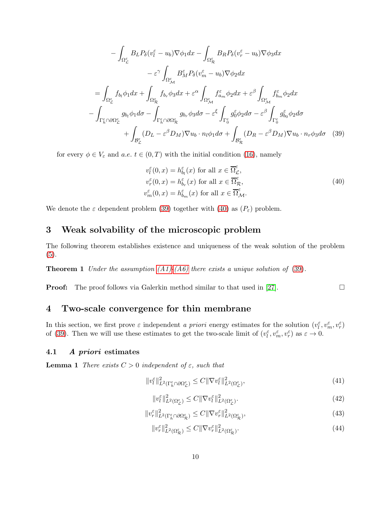$$
-\int_{\Omega_{\mathcal{L}}^{\varepsilon}} B_{L} P_{\delta} (v_{l}^{\varepsilon} - u_{b}) \nabla \phi_{1} dx - \int_{\Omega_{\mathcal{R}}^{\varepsilon}} B_{R} P_{\delta} (v_{r}^{\varepsilon} - u_{b}) \nabla \phi_{3} dx
$$

$$
- \varepsilon^{\gamma} \int_{\Omega_{\mathcal{M}}^{\varepsilon}} B_{M}^{\varepsilon} P_{\delta} (v_{m}^{\varepsilon} - u_{b}) \nabla \phi_{2} dx
$$

$$
= \int_{\Omega_{\mathcal{L}}^{\varepsilon}} f_{b_{l}} \phi_{1} dx + \int_{\Omega_{\mathcal{R}}^{\varepsilon}} f_{b_{r}} \phi_{3} dx + \varepsilon^{\alpha} \int_{\Omega_{\mathcal{M}}^{\varepsilon}} f_{a_{m}}^{\varepsilon} \phi_{2} dx + \varepsilon^{\beta} \int_{\Omega_{\mathcal{M}}^{\varepsilon}} f_{b_{m}}^{\varepsilon} \phi_{2} dx
$$

$$
- \int_{\Gamma_{h}^{\varepsilon} \cap \partial \Omega_{\mathcal{L}}^{\varepsilon}} g_{b_{l}} \phi_{1} d\sigma - \int_{\Gamma_{h}^{\varepsilon} \cap \partial \Omega_{\mathcal{R}}^{\varepsilon}} g_{b_{r}} \phi_{3} d\sigma - \varepsilon^{\xi} \int_{\Gamma_{0}^{\varepsilon}} g_{0}^{\varepsilon} \phi_{2} d\sigma - \varepsilon^{\beta} \int_{\Gamma_{0}^{\varepsilon}} g_{b_{0}}^{\varepsilon} \phi_{2} d\sigma
$$

$$
+ \int_{\mathcal{B}_{\mathcal{L}}^{\varepsilon}} (D_{L} - \varepsilon^{\beta} D_{M}) \nabla u_{b} \cdot n_{l} \phi_{1} d\sigma + \int_{\mathcal{B}_{\mathcal{R}}^{\varepsilon}} (D_{R} - \varepsilon^{\beta} D_{M}) \nabla u_{b} \cdot n_{r} \phi_{3} d\sigma \quad (39)
$$

for every  $\phi \in V_{\varepsilon}$  and  $a.e. t \in (0,T)$  with the initial condition [\(16\)](#page-6-2), namely

<span id="page-9-3"></span><span id="page-9-2"></span>
$$
v_l^{\varepsilon}(0, x) = h_{b_l}^{\varepsilon}(x) \text{ for all } x \in \overline{\Omega}_{\mathcal{L}}^{\varepsilon},
$$
  
\n
$$
v_r^{\varepsilon}(0, x) = h_{b_r}^{\varepsilon}(x) \text{ for all } x \in \overline{\Omega}_{\mathcal{R}}^{\varepsilon},
$$
  
\n
$$
v_m^{\varepsilon}(0, x) = h_{b_m}^{\varepsilon}(x) \text{ for all } x \in \overline{\Omega}_{\mathcal{M}}^{\varepsilon}.
$$
\n(40)

We denote the  $\varepsilon$  dependent problem [\(39\)](#page-9-2) together with [\(40\)](#page-9-3) as  $(P_{\varepsilon})$  problem.

# <span id="page-9-0"></span>3 Weak solvability of the microscopic problem

The following theorem establishes existence and uniqueness of the weak solution of the problem [\(5\)](#page-4-1).

**Theorem 1** Under the assumption  $(A1)$ - $(A6)$  there exists a unique solution of [\(39\)](#page-9-2).

**Proof:** The proof follows via Galerkin method similar to that used in [\[27\]](#page-39-11).  $\Box$ 

## <span id="page-9-1"></span>4 Two-scale convergence for thin membrane

In this section, we first prove  $\varepsilon$  independent a priori energy estimates for the solution  $(v_l^{\varepsilon}, v_m^{\varepsilon}, v_r^{\varepsilon})$ of [\(39\)](#page-9-2). Then we will use these estimates to get the two-scale limit of  $(v_l^{\varepsilon}, v_m^{\varepsilon}, v_r^{\varepsilon})$  as  $\varepsilon \to 0$ .

#### <span id="page-9-7"></span>4.1 A priori estimates

**Lemma 1** There exists  $C > 0$  independent of  $\varepsilon$ , such that

<span id="page-9-4"></span>
$$
||v_l^{\varepsilon}||_{L^2(\Gamma_h^{\varepsilon} \cap \partial \Omega_{\mathcal{L}}^{\varepsilon})}^2 \le C ||\nabla v_l^{\varepsilon}||_{L^2(\Omega_{\mathcal{L}}^{\varepsilon})}^2,
$$
\n(41)

<span id="page-9-5"></span>
$$
\|\mathbf{v}_l^{\varepsilon}\|_{L^2(\Omega_{\mathcal{L}}^{\varepsilon})}^2 \le C \|\nabla \mathbf{v}_l^{\varepsilon}\|_{L^2(\Omega_{\mathcal{L}}^{\varepsilon})}^2.
$$
\n(42)

$$
||v_r^{\varepsilon}||_{L^2(\Gamma_h^{\varepsilon} \cap \partial \Omega_{\mathcal{R}}^{\varepsilon})}^2 \le C ||\nabla v_r^{\varepsilon}||_{L^2(\Omega_{\mathcal{R}}^{\varepsilon})}^2,
$$
\n(43)

<span id="page-9-6"></span>
$$
||v_r^{\varepsilon}||_{L^2(\Omega_\mathcal{R}^{\varepsilon})}^2 \le C||\nabla v_r^{\varepsilon}||_{L^2(\Omega_\mathcal{R}^{\varepsilon})}^2. \tag{44}
$$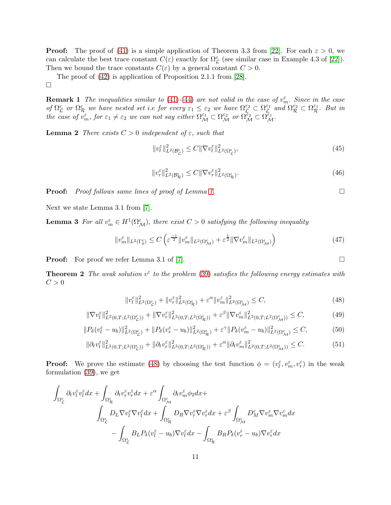**Proof:** The proof of [\(41\)](#page-9-4) is a simple application of Theorem 3.3 from [\[22\]](#page-39-12). For each  $\varepsilon > 0$ , we can calculate the best trace constant  $C(\varepsilon)$  exactly for  $\Omega_{\mathcal{L}}^{\varepsilon}$  (see similar case in Example 4.3 of [\[22\]](#page-39-12)). Then we bound the trace constants  $C(\varepsilon)$  by a general constant  $C > 0$ .

The proof of [\(42\)](#page-9-5) is application of Proposition 2.1.1 from [\[28\]](#page-39-13).

 $\Box$ 

**Remark 1** The inequalities similar to [\(41\)](#page-9-4)-[\(44\)](#page-9-6) are not valid in the case of  $v_m^{\varepsilon}$ . Since in the case of  $\Omega_{\mathcal{L}}^{\varepsilon}$  or  $\Omega_{\mathcal{R}}^{\varepsilon}$  we have nested set i.e for every  $\varepsilon_1 \leq \varepsilon_2$  we have  $\Omega_{\mathcal{L}}^{\varepsilon_2} \subset \Omega_{\mathcal{L}}^{\varepsilon_1}$  $\mathcal{L}^{\varepsilon_1}$  and  $\Omega^{\varepsilon_2}_\mathcal{R} \subset \Omega^{\varepsilon_1}_\mathcal{R}$ . But in the case of  $v_m^{\varepsilon}$ , for  $\varepsilon_1 \neq \varepsilon_2$  we can not say either  $\Omega_{\mathcal{M}}^{\varepsilon_1} \subset \Omega_{\mathcal{M}}^{\varepsilon_2}$  or  $\Omega_{\mathcal{M}}^{\varepsilon_2} \subset \Omega_{\mathcal{M}}^{\varepsilon_1}$ .

<span id="page-10-7"></span>**Lemma 2** There exists  $C > 0$  independent of  $\varepsilon$ , such that

<span id="page-10-5"></span>
$$
||v_l^{\varepsilon}||_{L^2(\mathcal{B}_{\mathcal{L}}^{\varepsilon})}^2 \le C||\nabla v_l^{\varepsilon}||_{L^2(\Omega_{\mathcal{L}}^{\varepsilon})}^2,
$$
\n(45)

<span id="page-10-1"></span>
$$
||v_r^{\varepsilon}||_{L^2(\mathcal{B}_\mathcal{R}^{\varepsilon})}^2 \le C||\nabla v_r^{\varepsilon}||_{L^2(\Omega_\mathcal{R}^{\varepsilon})}^2.
$$
\n(46)

**Proof:** Proof follows same lines of proof of Lemma [1.](#page-9-7)

Next we state Lemma 3.1 from [\[7\]](#page-38-7).

**Lemma 3** For all  $v_m^{\varepsilon} \in H^1(\Omega_{\mathcal{M}}^{\varepsilon})$ , there exist  $C > 0$  satisfying the following inequality

$$
||v_m^{\varepsilon}||_{L^2(\Gamma_0^{\varepsilon})} \le C \left( \varepsilon^{\frac{-1}{2}} ||v_m^{\varepsilon}||_{L^2(\Omega_\mathcal{M}^{\varepsilon})} + \varepsilon^{\frac{1}{2}} ||\nabla v_m^{\varepsilon}||_{L^2(\Omega_\mathcal{M}^{\varepsilon})} \right) \tag{47}
$$

**Proof:** For proof we refer Lemma 3.1 of [\[7\]](#page-38-7).

**Theorem 2** The weak solution  $v^{\varepsilon}$  to the problem [\(39\)](#page-9-2) satisfies the following energy estimates with  $C > 0$ 

<span id="page-10-0"></span>
$$
||v_l^{\varepsilon}||_{L^2(\Omega_{\mathcal{L}}^{\varepsilon})}^2 + ||v_r^{\varepsilon}||_{L^2(\Omega_{\mathcal{R}}^{\varepsilon})}^2 + \varepsilon^{\alpha} ||v_m^{\varepsilon}||_{L^2(\Omega_{\mathcal{M}}^{\varepsilon})}^2 \leq C,
$$
\n(48)

<span id="page-10-2"></span>
$$
\|\nabla v_l^{\varepsilon}\|_{L^2(0,T;L^2(\Omega_L^{\varepsilon}))}^2 + \|\nabla v_r^{\varepsilon}\|_{L^2(0,T;L^2(\Omega_R^{\varepsilon}))}^2 + \varepsilon^{\beta} \|\nabla v_m^{\varepsilon}\|_{L^2(0,T;L^2(\Omega_M^{\varepsilon}))}^2 \leq C,\tag{49}
$$

<span id="page-10-3"></span>
$$
||P_{\delta}(v_{l}^{\varepsilon} - u_{b})||_{L^{2}(\Omega_{\mathcal{L}}^{\varepsilon})}^{2} + ||P_{\delta}(v_{r}^{\varepsilon} - u_{b})||_{L^{2}(\Omega_{\mathcal{R}}^{\varepsilon})}^{2} + \varepsilon^{\gamma} ||P_{\delta}(v_{m}^{\varepsilon} - u_{b})||_{L^{2}(\Omega_{\mathcal{M}}^{\varepsilon})}^{2} \leq C,
$$
\n(50)

<span id="page-10-4"></span>
$$
\|\partial_t v_l^{\varepsilon}\|_{L^2(0,T;L^2(\Omega_{\mathcal{L}}^{\varepsilon}))}^2 + \|\partial_t v_r^{\varepsilon}\|_{L^2(0,T;L^2(\Omega_{\mathcal{R}}^{\varepsilon}))}^2 + \varepsilon^{\alpha} \|\partial_t v_m^{\varepsilon}\|_{L^2(0,T;L^2(\Omega_{\mathcal{M}}^{\varepsilon}))}^2 \leq C. \tag{51}
$$

**Proof:** We prove the estimate [\(48\)](#page-10-0) by choosing the test function  $\phi = (v_l^{\varepsilon}, v_m^{\varepsilon}, v_r^{\varepsilon})$  in the weak formulation [\(39\)](#page-9-2), we get

$$
\int_{\Omega_{\mathcal{L}}^{\varepsilon}} \partial_t v_l^{\varepsilon} v_l^{\varepsilon} dx + \int_{\Omega_{\mathcal{R}}^{\varepsilon}} \partial_t v_r^{\varepsilon} v_r^{\varepsilon} dx + \varepsilon^{\alpha} \int_{\Omega_{\mathcal{M}}^{\varepsilon}} \partial_t v_m^{\varepsilon} \phi_2 dx +
$$
\n
$$
\int_{\Omega_{\mathcal{L}}^{\varepsilon}} D_L \nabla v_l^{\varepsilon} \nabla v_l^{\varepsilon} dx + \int_{\Omega_{\mathcal{R}}^{\varepsilon}} D_R \nabla v_r^{\varepsilon} \nabla v_r^{\varepsilon} dx + \varepsilon^{\beta} \int_{\Omega_{\mathcal{M}}^{\varepsilon}} D_{\mathcal{M}}^{\varepsilon} \nabla v_m^{\varepsilon} \nabla v_m^{\varepsilon} dx
$$
\n
$$
- \int_{\Omega_{\mathcal{L}}^{\varepsilon}} B_L P_\delta (v_l^{\varepsilon} - u_b) \nabla v_l^{\varepsilon} dx - \int_{\Omega_{\mathcal{R}}^{\varepsilon}} B_R P_\delta (v_r^{\varepsilon} - u_b) \nabla v_r^{\varepsilon} dx
$$

<span id="page-10-6"></span>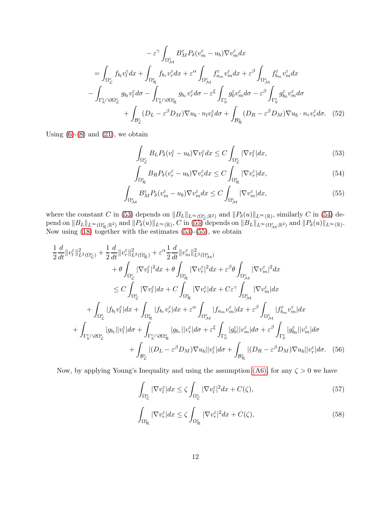$$
-\varepsilon^{\gamma} \int_{\Omega_{\mathcal{M}}^{\varepsilon}} B_{M}^{\varepsilon} P_{\delta}(v_{m}^{\varepsilon} - u_{b}) \nabla v_{m}^{\varepsilon} dx
$$

$$
= \int_{\Omega_{\mathcal{L}}^{\varepsilon}} f_{b_{l}} v_{l}^{\varepsilon} dx + \int_{\Omega_{\mathcal{R}}^{\varepsilon}} f_{b_{r}} v_{r}^{\varepsilon} dx + \varepsilon^{\alpha} \int_{\Omega_{\mathcal{M}}^{\varepsilon}} f_{a_{m}}^{\varepsilon} v_{m}^{\varepsilon} dx + \varepsilon^{\beta} \int_{\Omega_{\mathcal{M}}^{\varepsilon}} f_{b_{m}}^{\varepsilon} v_{m}^{\varepsilon} dx
$$

$$
- \int_{\Gamma_{h}^{\varepsilon} \cap \partial \Omega_{\mathcal{L}}^{\varepsilon}} g_{b_{l}} v_{l}^{\varepsilon} d\sigma - \int_{\Gamma_{h}^{\varepsilon} \cap \partial \Omega_{\mathcal{R}}^{\varepsilon}} g_{b_{r}} v_{r}^{\varepsilon} d\sigma - \varepsilon^{\xi} \int_{\Gamma_{0}^{\varepsilon}} g_{0}^{\varepsilon} v_{m}^{\varepsilon} d\sigma - \varepsilon^{\beta} \int_{\Gamma_{0}^{\varepsilon}} g_{b_{0}}^{\varepsilon} v_{m}^{\varepsilon} d\sigma
$$

$$
+ \int_{\mathcal{B}_{\mathcal{L}}^{\varepsilon}} (D_{L} - \varepsilon^{\beta} D_{M}) \nabla u_{b} \cdot n_{l} v_{l}^{\varepsilon} d\sigma + \int_{\mathcal{B}_{\mathcal{R}}^{\varepsilon}} (D_{R} - \varepsilon^{\beta} D_{M}) \nabla u_{b} \cdot n_{r} v_{r}^{\varepsilon} d\sigma. \quad (52)
$$

Using  $(6)-(8)$  $(6)-(8)$  and  $(21)$ , we obtain

<span id="page-11-1"></span><span id="page-11-0"></span>
$$
\int_{\Omega_{\mathcal{L}}^{\varepsilon}} B_{L} P_{\delta}(v_{l}^{\varepsilon} - u_{b}) \nabla v_{l}^{\varepsilon} dx \leq C \int_{\Omega_{\mathcal{L}}^{\varepsilon}} |\nabla v_{l}^{\varepsilon}| dx, \tag{53}
$$

<span id="page-11-2"></span>
$$
\int_{\Omega_{\mathcal{R}}^{\varepsilon}} B_R P_{\delta}(v_r^{\varepsilon} - u_b) \nabla v_r^{\varepsilon} dx \le C \int_{\Omega_{\mathcal{R}}^{\varepsilon}} |\nabla v_r^{\varepsilon}| dx,
$$
\n(54)

$$
\int_{\Omega^{\varepsilon}_{\mathcal{M}}} B^{\varepsilon}_{M} P_{\delta}(v_m^{\varepsilon} - u_b) \nabla v_m^{\varepsilon} dx \le C \int_{\Omega^{\varepsilon}_{\mathcal{M}}} |\nabla v_m^{\varepsilon}| dx, \tag{55}
$$

where the constant C in [\(53\)](#page-11-0) depends on  $||B_L||_{L^{\infty}(\Omega_{\mathcal{L}}^{\varepsilon};\mathbb{R}^2)}$  and  $||P_{\delta}(u)||_{L^{\infty}(\mathbb{R})}$ , similarly C in [\(54\)](#page-11-1) depend on  $||B_L||_{L^{\infty}(\Omega_{\mathcal{R}}^{\varepsilon};\mathbb{R}^2)}$  and  $||P_\delta(u)||_{L^{\infty}(\mathbb{R})}$ , C in [\(55\)](#page-11-2) depends on  $||B_L||_{L^{\infty}(\Omega_{\mathcal{M}}^{\varepsilon};\mathbb{R}^2)}$  and  $||P_\delta(u)||_{L^{\infty}(\mathbb{R})}$ . Now using [\(18\)](#page-6-4) together with the estimates [\(53\)](#page-11-0)-[\(55\)](#page-11-2), we obtain

$$
\frac{1}{2}\frac{d}{dt}\|v_{l}^{\varepsilon}\|_{L^{2}(\Omega_{\mathcal{L}}^{\varepsilon})}^{2} + \frac{1}{2}\frac{d}{dt}\|v_{r}^{\varepsilon}\|_{L^{2}(\Omega_{\mathcal{R}}^{\varepsilon})}^{2} + \varepsilon^{\alpha}\frac{1}{2}\frac{d}{dt}\|v_{m}^{\varepsilon}\|_{L^{2}(\Omega_{\mathcal{M}}^{\varepsilon})}^{2}
$$
\n
$$
+ \theta \int_{\Omega_{\mathcal{L}}^{\varepsilon}} |\nabla v_{l}^{\varepsilon}|^{2}dx + \theta \int_{\Omega_{\mathcal{R}}^{\varepsilon}} |\nabla v_{r}^{\varepsilon}|^{2}dx + \varepsilon^{\beta}\theta \int_{\Omega_{\mathcal{M}}^{\varepsilon}} |\nabla v_{m}^{\varepsilon}|^{2}dx
$$
\n
$$
\leq C \int_{\Omega_{\mathcal{L}}^{\varepsilon}} |\nabla v_{l}^{\varepsilon}|dx + C \int_{\Omega_{\mathcal{R}}^{\varepsilon}} |\nabla v_{r}^{\varepsilon}|dx + C\varepsilon^{\gamma} \int_{\Omega_{\mathcal{M}}^{\varepsilon}} |\nabla v_{m}^{\varepsilon}|dx
$$
\n
$$
+ \int_{\Omega_{\mathcal{L}}^{\varepsilon}} |f_{b_{l}}v_{l}^{\varepsilon}|dx + \int_{\Omega_{\mathcal{R}}^{\varepsilon}} |f_{b_{r}}v_{r}^{\varepsilon}|dx + \varepsilon^{\alpha} \int_{\Omega_{\mathcal{M}}^{\varepsilon}} |f_{a_{m}}v_{m}^{\varepsilon}|dx + \varepsilon^{\beta} \int_{\Omega_{\mathcal{M}}^{\varepsilon}} |f_{b_{m}}v_{m}^{\varepsilon}|dx
$$
\n
$$
+ \int_{\Gamma_{h}^{\varepsilon}\cap\partial\Omega_{\mathcal{L}}^{\varepsilon}} |g_{b_{l}}||v_{l}^{\varepsilon}|d\sigma + \int_{\Gamma_{h}^{\varepsilon}\cap\partial\Omega_{\mathcal{R}}^{\varepsilon}} |g_{b_{r}}||v_{r}^{\varepsilon}|d\sigma + \varepsilon^{\beta} \int_{\Gamma_{h}^{\varepsilon}} |g_{0}^{\varepsilon}||v_{m}^{\varepsilon}|d\sigma + \int_{\Gamma_{h
$$

Now, by applying Young's Inequality and using the assumption [\(A6\),](#page-7-2) for any  $\zeta > 0$  we have

<span id="page-11-4"></span><span id="page-11-3"></span>
$$
\int_{\Omega_{\mathcal{L}}^{\varepsilon}} |\nabla v_{l}^{\varepsilon}| dx \le \zeta \int_{\Omega_{\mathcal{L}}^{\varepsilon}} |\nabla v_{l}^{\varepsilon}|^{2} dx + C(\zeta),\tag{57}
$$

$$
\int_{\Omega_{\mathcal{R}}^{\varepsilon}} |\nabla v_r^{\varepsilon}| dx \le \zeta \int_{\Omega_{\mathcal{R}}^{\varepsilon}} |\nabla v_r^{\varepsilon}|^2 dx + C(\zeta),\tag{58}
$$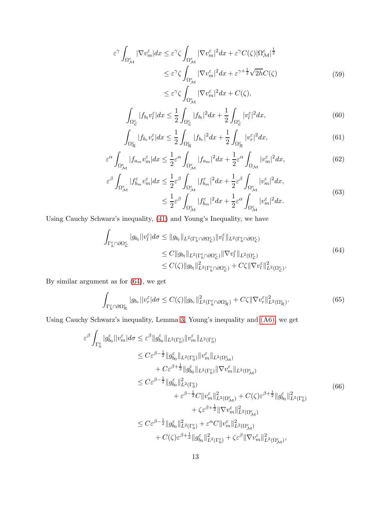$$
\varepsilon^{\gamma} \int_{\Omega_{\mathcal{M}}^{\varepsilon}} |\nabla v_{m}^{\varepsilon}| dx \leq \varepsilon^{\gamma} \zeta \int_{\Omega_{\mathcal{M}}^{\varepsilon}} |\nabla v_{m}^{\varepsilon}|^{2} dx + \varepsilon^{\gamma} C(\zeta) |\Omega_{\mathcal{M}}^{\varepsilon}|^{\frac{1}{2}} \n\leq \varepsilon^{\gamma} \zeta \int_{\Omega_{\mathcal{M}}^{\varepsilon}} |\nabla v_{m}^{\varepsilon}|^{2} dx + \varepsilon^{\gamma + \frac{1}{2}} \sqrt{2h} C(\zeta)
$$
\n(59)

 $\leq \varepsilon^{\gamma} \zeta$  $\Omega_{\mathcal{M}}^{\varepsilon}$  $|\nabla v_m^{\varepsilon}|^2 dx + C(\zeta),$  $|f_{b_l}v_l^{\varepsilon}|dx \leq \frac{1}{2}$ 2 Z  $|f_{b_l}|^2 dx + \frac{1}{2}$ 2 Z  $|v_l^{\varepsilon}|^2$  $(60)$ 

$$
\int_{\Omega_{\mathcal{L}}^{\varepsilon}} \int_{\Omega_{\mathcal{R}}^{\varepsilon}} |f_{b_r} v_r^{\varepsilon}| dx \le \frac{1}{2} \int_{\Omega_{\mathcal{R}}^{\varepsilon}} |f_{b_r}|^2 dx + \frac{1}{2} \int_{\Omega_{\mathcal{R}}^{\varepsilon}} |v_r^{\varepsilon}|^2 dx, \tag{61}
$$

$$
\varepsilon^{\alpha} \int_{\Omega_{\mathcal{M}}^{\varepsilon}} |f_{a_{m}} v_{m}^{\varepsilon}| dx \leq \frac{1}{2} \varepsilon^{\alpha} \int_{\Omega_{\mathcal{M}}^{\varepsilon}} |f_{a_{m}}|^{2} dx + \frac{1}{2} \varepsilon^{\alpha} \int_{\Omega_{\mathcal{M}}} |v_{m}^{\varepsilon}|^{2} dx, \tag{62}
$$

$$
\varepsilon^{\beta} \int_{\Omega_{\mathcal{M}}^{\varepsilon}} |f_{b_{m}}^{\varepsilon} v_{m}^{\varepsilon}| dx \leq \frac{1}{2} \varepsilon^{\beta} \int_{\Omega_{\mathcal{M}}^{\varepsilon}} |f_{b_{m}}^{\varepsilon}|^{2} dx + \frac{1}{2} \varepsilon^{\beta} \int_{\Omega_{\mathcal{M}}^{\varepsilon}} |v_{m}^{\varepsilon}|^{2} dx, \leq \frac{1}{2} \varepsilon^{\beta} \int_{\Omega_{\mathcal{M}}^{\varepsilon}} |f_{b_{m}}^{\varepsilon}|^{2} dx + \frac{1}{2} \varepsilon^{\alpha} \int_{\Omega_{\mathcal{M}}^{\varepsilon}} |v_{m}^{\varepsilon}|^{2} dx.
$$
\n(63)

Using Cauchy Schwarz's inequality, [\(41\)](#page-9-4) and Young's Inequality, we have

Z

<span id="page-12-0"></span>
$$
\int_{\Gamma_h^{\varepsilon} \cap \partial \Omega_{\mathcal{L}}^{\varepsilon}} |g_{b_l}| |v_l^{\varepsilon}| d\sigma \leq \|g_{b_l}\|_{L^2(\Gamma_h^{\varepsilon} \cap \partial \Omega_{\mathcal{L}}^{\varepsilon})} \|v_l^{\varepsilon}\|_{L^2(\Gamma_h^{\varepsilon} \cap \partial \Omega_{\mathcal{L}}^{\varepsilon})} \leq C \|g_{b_l}\|_{L^2(\Gamma_h^{\varepsilon} \cap \partial \Omega_{\mathcal{L}}^{\varepsilon})} \|\nabla v_l^{\varepsilon}\|_{L^2(\Omega_{\mathcal{L}}^{\varepsilon})} \leq C(\zeta) \|g_{b_l}\|_{L^2(\Gamma_h^{\varepsilon} \cap \partial \Omega_{\mathcal{L}}^{\varepsilon})}^2 + C\zeta \|\nabla v_l^{\varepsilon}\|_{L^2(\Omega_{\mathcal{L}}^{\varepsilon})}^2.
$$
\n
$$
(64)
$$

By similar argument as for [\(64\)](#page-12-0), we get

$$
\int_{\Gamma_h^{\varepsilon} \cap \partial \Omega_{\mathcal{R}}^{\varepsilon}} |g_{b_r}| |v_r^{\varepsilon}| d\sigma \le C(\zeta) \|g_{b_r}\|_{L^2(\Gamma_h^{\varepsilon} \cap \partial \Omega_{\mathcal{R}}^{\varepsilon})}^2 + C\zeta \|\nabla v_r^{\varepsilon}\|_{L^2(\Omega_{\mathcal{R}}^{\varepsilon})}^2. \tag{65}
$$

Using Cauchy Schwarz's inequality, Lemma [3,](#page-10-1) Young's inequality and [\(A6\),](#page-7-2) we get

<span id="page-12-1"></span>
$$
\varepsilon^{\beta} \int_{\Gamma_{0}^{\varepsilon}} |g_{b_{0}}^{\varepsilon}||v_{m}^{\varepsilon}| d\sigma \leq \varepsilon^{\beta} ||g_{b_{0}}^{\varepsilon}||_{L^{2}(\Gamma_{0}^{\varepsilon})} ||v_{m}^{\varepsilon}||_{L^{2}(\Omega_{\mathcal{M}}^{\varepsilon})} \n\leq C\varepsilon^{\beta-\frac{1}{2}} ||g_{b_{0}}^{\varepsilon}||_{L^{2}(\Gamma_{0}^{\varepsilon})} ||v_{m}^{\varepsilon}||_{L^{2}(\Omega_{\mathcal{M}}^{\varepsilon})} \n+ C\varepsilon^{\beta+\frac{1}{2}} ||g_{b_{0}}^{\varepsilon}||_{L^{2}(\Gamma_{0}^{\varepsilon})} ||\nabla v_{m}^{\varepsilon}||_{L^{2}(\Omega_{\mathcal{M}}^{\varepsilon})} \n\leq C\varepsilon^{\beta-\frac{1}{2}} ||g_{b_{0}}^{\varepsilon}||_{L^{2}(\Gamma_{0}^{\varepsilon})}^{2} \qquad (66) \n+ \varepsilon^{\beta-\frac{1}{2}} C ||v_{m}^{\varepsilon}||_{L^{2}(\Omega_{\mathcal{M}}^{\varepsilon})}^{2} + C(\zeta)\varepsilon^{\beta+\frac{1}{2}} ||g_{b_{0}}^{\varepsilon}||_{L^{2}(\Gamma_{0}^{\varepsilon})}^{2} \n+ \zeta\varepsilon^{\beta+\frac{1}{2}} ||\nabla v_{m}^{\varepsilon}||_{L^{2}(\Omega_{\mathcal{M}}^{\varepsilon})}^{2} \n\leq C\varepsilon^{\beta-\frac{1}{2}} ||g_{b_{0}}^{\varepsilon}||_{L^{2}(\Gamma_{0}^{\varepsilon})}^{2} + \varepsilon^{\alpha} C ||v_{m}^{\varepsilon}||_{L^{2}(\Omega_{\mathcal{M}}^{\varepsilon})}^{2} \n+ C(\zeta)\varepsilon^{\beta+\frac{1}{2}} ||g_{b_{0}}^{\varepsilon}||_{L^{2}(\Gamma_{0}^{\varepsilon})}^{2} + \zeta\varepsilon^{\beta} ||\nabla v_{m}^{\varepsilon}||_{L^{2}(\Omega_{\mathcal{M}}^{\varepsilon})}^{2},
$$
\n(66)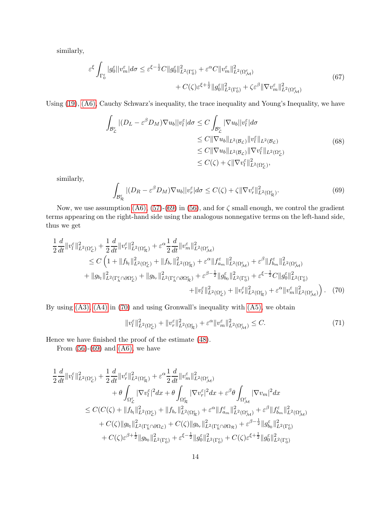similarly,

$$
\varepsilon^{\xi} \int_{\Gamma_0^{\varepsilon}} |g_0^{\varepsilon}||v_m^{\varepsilon}| d\sigma \leq \varepsilon^{\xi - \frac{1}{2}} C \|g_0^{\varepsilon}\|_{L^2(\Gamma_0^{\varepsilon})}^2 + \varepsilon^{\alpha} C \|v_m^{\varepsilon}\|_{L^2(\Omega_{\mathcal{M}}^{\varepsilon})}^2 + C(\zeta) \varepsilon^{\xi + \frac{1}{2}} \|g_0^{\varepsilon}\|_{L^2(\Gamma_0^{\varepsilon})}^2 + \zeta \varepsilon^{\beta} \|\nabla v_m^{\varepsilon}\|_{L^2(\Omega_{\mathcal{M}}^{\varepsilon})}^2 \tag{67}
$$

Using [\(19\)](#page-6-5), [\(A6\),](#page-7-2) Cauchy Schwarz's inequality, the trace inequality and Young's Inequality, we have

$$
\int_{\mathcal{B}_{\mathcal{L}}^{\varepsilon}} |(D_{L} - \varepsilon^{\beta} D_{M}) \nabla u_{b}||v_{l}^{\varepsilon}| d\sigma \leq C \int_{\mathcal{B}_{\mathcal{L}}^{\varepsilon}} |\nabla u_{b}||v_{l}^{\varepsilon}| d\sigma \leq C ||\nabla u_{b}||_{L^{2}(\mathcal{B}_{\mathcal{L}})} ||v_{l}^{\varepsilon}||_{L^{2}(\mathcal{B}_{\mathcal{L}})} \leq C ||\nabla u_{b}||_{L^{2}(\mathcal{B}_{\mathcal{L}})} ||\nabla v_{l}^{\varepsilon}||_{L^{2}(\Omega_{\mathcal{L}}^{\varepsilon})} \leq C (\zeta) + \zeta ||\nabla v_{l}^{\varepsilon}||_{L^{2}(\Omega_{\mathcal{L}}^{\varepsilon})},
$$
\n(68)

similarly,

<span id="page-13-0"></span>
$$
\int_{\mathcal{B}_{\mathcal{R}}^{\varepsilon}} |(D_R - \varepsilon^{\beta} D_M) \nabla u_b| |v_r^{\varepsilon}| d\sigma \le C(\zeta) + \zeta \| \nabla v_r^{\varepsilon} \|_{L^2(\Omega_{\mathcal{R}}^{\varepsilon})}^2.
$$
\n(69)

Now, we use assumption [\(A6\),](#page-7-2) [\(57\)](#page-11-3)-[\(69\)](#page-13-0) in [\(56\)](#page-11-4), and for  $\zeta$  small enough, we control the gradient terms appearing on the right-hand side using the analogous nonnegative terms on the left-hand side, thus we get

$$
\frac{1}{2}\frac{d}{dt}\|v_{l}^{\varepsilon}\|_{L^{2}(\Omega_{L}^{\varepsilon})}^{2} + \frac{1}{2}\frac{d}{dt}\|v_{r}^{\varepsilon}\|_{L^{2}(\Omega_{R}^{\varepsilon})}^{2} + \varepsilon^{\alpha}\frac{1}{2}\frac{d}{dt}\|v_{m}^{\varepsilon}\|_{L^{2}(\Omega_{\mathcal{M}}^{\varepsilon})}^{2}
$$
\n
$$
\leq C\left(1 + \|f_{b_{l}}\|_{L^{2}(\Omega_{\mathcal{L}}^{\varepsilon})}^{2} + \|f_{b_{r}}\|_{L^{2}(\Omega_{\mathcal{R}}^{\varepsilon})}^{2} + \varepsilon^{\alpha}\|f_{a_{m}}^{\varepsilon}\|_{L^{2}(\Omega_{\mathcal{M}}^{\varepsilon})}^{2} + \varepsilon^{\beta}\|f_{b_{m}}^{\varepsilon}\|_{L^{2}(\Omega_{\mathcal{M}}^{\varepsilon})}^{2}
$$
\n
$$
+ \|g_{b_{l}}\|_{L^{2}(\Gamma_{h}^{\varepsilon}\cap\partial\Omega_{\mathcal{L}}^{\varepsilon})}^{2} + \|g_{b_{r}}\|_{L^{2}(\Gamma_{h}^{\varepsilon}\cap\partial\Omega_{\mathcal{R}}^{\varepsilon})}^{2} + \varepsilon^{\beta-\frac{1}{2}}\|g_{b_{0}}^{\varepsilon}\|_{L^{2}(\Gamma_{0}^{\varepsilon})}^{2} + \varepsilon^{\xi-\frac{1}{2}}C\|g_{0}^{\varepsilon}\|_{L^{2}(\Gamma_{0}^{\varepsilon})}^{2}
$$
\n
$$
+ \|v_{l}^{\varepsilon}\|_{L^{2}(\Omega_{\mathcal{L}}^{\varepsilon})}^{2} + \|v_{r}^{\varepsilon}\|_{L^{2}(\Omega_{\mathcal{R}}^{\varepsilon})}^{2} + \varepsilon^{\alpha}\|v_{m}^{\varepsilon}\|_{L^{2}(\Omega_{\mathcal{M}}^{\varepsilon})}^{2} \tag{70}
$$

By using  $(A3)$ ,  $(A4)$  in  $(70)$  and using Gronwall's inequality with  $(A5)$ , we obtain

<span id="page-13-1"></span>
$$
||v_l^{\varepsilon}||_{L^2(\Omega_L^{\varepsilon})}^2 + ||v_r^{\varepsilon}||_{L^2(\Omega_R^{\varepsilon})}^2 + \varepsilon^{\alpha} ||v_m^{\varepsilon}||_{L^2(\Omega_M^{\varepsilon})}^2 \leq C. \tag{71}
$$

Hence we have finished the proof of the estimate [\(48\)](#page-10-0).

From  $(56)-(69)$  $(56)-(69)$  and  $(A6)$ , we have

$$
\begin{aligned}\frac{1}{2}\frac{d}{dt}\|v^{\varepsilon}_{l}\|^{2}_{L^{2}(\Omega^{\varepsilon}_{\mathcal{L}})}&+\frac{1}{2}\frac{d}{dt}\|v^{\varepsilon}_{r}\|^{2}_{L^{2}(\Omega^{\varepsilon}_{\mathcal{R}})}+\varepsilon^{\alpha}\frac{1}{2}\frac{d}{dt}\|v^{\varepsilon}_{m}\|^{2}_{L^{2}(\Omega^{\varepsilon}_{\mathcal{M}})}\\&+\theta\int_{\Omega^{\varepsilon}_{\mathcal{L}}}|\nabla v^{\varepsilon}_{l}|^{2}dx+\theta\int_{\Omega^{\varepsilon}_{\mathcal{R}}}|\nabla v^{\varepsilon}_{r}|^{2}dx+\varepsilon^{\beta}\theta\int_{\Omega^{\varepsilon}_{\mathcal{M}}}|\nabla v_{m}|^{2}dx\\&\leq C(C(\zeta)+\|f_{b_{l}}\|^{2}_{L^{2}(\Omega^{\varepsilon}_{\mathcal{L}})}+\|f_{b_{r}}\|^{2}_{L^{2}(\Omega^{\varepsilon}_{\mathcal{R}})}+\varepsilon^{\alpha}\|f^{\varepsilon}_{a_{m}}\|^{2}_{L^{2}(\Omega^{\varepsilon}_{\mathcal{M}})}+\varepsilon^{\beta}\|f^{\varepsilon}_{b_{m}}\|^{2}_{L^{2}(\Omega^{\varepsilon}_{\mathcal{M}})}\\&+C(\zeta)\|g_{b_{l}}\|^{2}_{L^{2}(\Gamma^{\varepsilon}_{\hbar}\cap\partial\Omega_{\mathcal{L}})}+C(\zeta)\|g_{b_{r}}\|^{2}_{L^{2}(\Gamma^{\varepsilon}_{\hbar}\cap\partial\Omega_{\mathcal{R}})}+\varepsilon^{\beta-\frac{1}{2}}\|g^{\varepsilon}_{b_{0}}\|^{2}_{L^{2}(\Gamma^{\varepsilon}_{0})}\\&+C(\zeta)\varepsilon^{\beta+\frac{1}{2}}\|g_{b_{0}}\|^{2}_{L^{2}(\Gamma^{\varepsilon}_{0})}+\varepsilon^{\xi-\frac{1}{2}}\|g^{\varepsilon}_{0}\|^{2}_{L^{2}(\Gamma^{\varepsilon}_{0})}+C(\zeta)\varepsilon^{\xi+\frac{1}{2}}\|g^{\varepsilon}_{0}\|^{2}_{L^{2}(\Gamma^{\varepsilon}_{0})}\end{aligned}
$$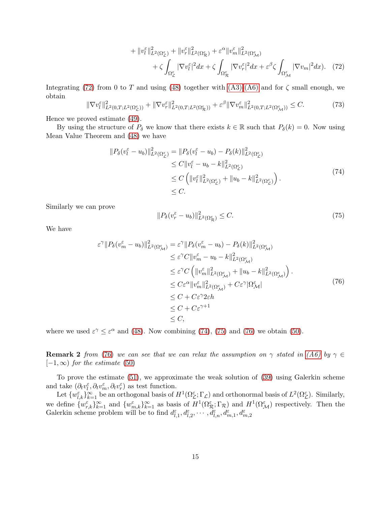<span id="page-14-0"></span>
$$
+ \|v_{l}^{\varepsilon}\|_{L^{2}(\Omega_{\mathcal{L}}^{\varepsilon})}^{2} + \|v_{r}^{\varepsilon}\|_{L^{2}(\Omega_{\mathcal{R}}^{\varepsilon})}^{2} + \varepsilon^{\alpha} \|v_{m}^{\varepsilon}\|_{L^{2}(\Omega_{\mathcal{M}}^{\varepsilon})}^{2}
$$
  
+  $\zeta \int_{\Omega_{\mathcal{L}}^{\varepsilon}} |\nabla v_{l}^{\varepsilon}|^{2} dx + \zeta \int_{\Omega_{\mathcal{R}}^{\varepsilon}} |\nabla v_{r}^{\varepsilon}|^{2} dx + \varepsilon^{\beta} \zeta \int_{\Omega_{\mathcal{M}}^{\varepsilon}} |\nabla v_{m}|^{2} dx). \tag{72}$ 

Integrating [\(72\)](#page-14-0) from 0 to T and using [\(48\)](#page-10-0) together with [\(A3\)](#page-6-6)[-\(A6\)](#page-7-2) and for  $\zeta$  small enough, we obtain

$$
\|\nabla v_l^{\varepsilon}\|_{L^2(0,T;L^2(\Omega_{\mathcal{L}}^{\varepsilon}))}^2 + \|\nabla v_r^{\varepsilon}\|_{L^2(0,T;L^2(\Omega_{\mathcal{R}}^{\varepsilon}))}^2 + \varepsilon^{\beta} \|\nabla v_m^{\varepsilon}\|_{L^2(0,T;L^2(\Omega_{\mathcal{M}}^{\varepsilon}))}^2 \leq C. \tag{73}
$$

Hence we proved estimate [\(49\)](#page-10-2).

By using the structure of  $P_\delta$  we know that there exists  $k \in \mathbb{R}$  such that  $P_\delta(k) = 0$ . Now using Mean Value Theorem and [\(48\)](#page-10-0) we have

<span id="page-14-1"></span>
$$
\|P_{\delta}(v_{l}^{\varepsilon} - u_{b})\|_{L^{2}(\Omega_{\mathcal{L}}^{\varepsilon})}^{2} = \|P_{\delta}(v_{l}^{\varepsilon} - u_{b}) - P_{\delta}(k)\|_{L^{2}(\Omega_{\mathcal{L}}^{\varepsilon})}^{2}
$$
  
\n
$$
\leq C \|v_{l}^{\varepsilon} - u_{b} - k\|_{L^{2}(\Omega_{\mathcal{L}}^{\varepsilon})}^{2}
$$
  
\n
$$
\leq C \left( \|v_{l}^{\varepsilon}\|_{L^{2}(\Omega_{\mathcal{L}}^{\varepsilon})}^{2} + \|u_{b} - k\|_{L^{2}(\Omega_{\mathcal{L}}^{\varepsilon})}^{2} \right).
$$
  
\n
$$
\leq C.
$$
\n(74)

Similarly we can prove

<span id="page-14-2"></span>
$$
||P_{\delta}(v_r^{\varepsilon} - u_b)||_{L^2(\Omega_{\mathcal{R}}^{\varepsilon})}^2 \le C. \tag{75}
$$

We have

<span id="page-14-3"></span>
$$
\varepsilon^{\gamma} \| P_{\delta} (v_m^{\varepsilon} - u_b) \|_{L^2(\Omega_M^{\varepsilon})}^2 = \varepsilon^{\gamma} \| P_{\delta} (v_m^{\varepsilon} - u_b) - P_{\delta}(k) \|_{L^2(\Omega_M^{\varepsilon})}^2
$$
  
\n
$$
\leq \varepsilon^{\gamma} C \| v_m^{\varepsilon} - u_b - k \|_{L^2(\Omega_M^{\varepsilon})}^2
$$
  
\n
$$
\leq \varepsilon^{\gamma} C \left( \| v_m^{\varepsilon} \|_{L^2(\Omega_M^{\varepsilon})}^2 + \| u_b - k \|_{L^2(\Omega_M^{\varepsilon})}^2 \right).
$$
  
\n
$$
\leq C \varepsilon^{\alpha} \| v_m^{\varepsilon} \|_{L^2(\Omega_M^{\varepsilon})}^2 + C \varepsilon^{\gamma} |\Omega_M^{\varepsilon}|
$$
  
\n
$$
\leq C + C \varepsilon^{\gamma} 2\varepsilon h
$$
  
\n
$$
\leq C + C \varepsilon^{\gamma+1}
$$
  
\n
$$
\leq C,
$$
  
\n(76)

where we used  $\varepsilon^{\gamma} \leq \varepsilon^{\alpha}$  and [\(48\)](#page-10-0). Now combining [\(74\)](#page-14-1), [\(75\)](#page-14-2) and [\(76\)](#page-14-3) we obtain [\(50\)](#page-10-3).

**Remark 2** from [\(76\)](#page-14-3) we can see that we can relax the assumption on  $\gamma$  stated in [\(A6\)](#page-7-2) by  $\gamma \in$  $[-1,\infty)$  for the estimate [\(50\)](#page-10-3)

To prove the estimate [\(51\)](#page-10-4), we approximate the weak solution of [\(39\)](#page-9-2) using Galerkin scheme and take  $(\partial_t v_l^{\varepsilon}, \partial_t v_m^{\varepsilon}, \partial_t v_r^{\varepsilon})$  as test function.

Let  $\{w_{l,k}^{\varepsilon}\}_{k=1}^{\infty}$  be an orthogonal basis of  $H^{1}(\Omega_{\mathcal{L}}^{\varepsilon};\Gamma_{\mathcal{L}})$  and orthonormal basis of  $L^{2}(\Omega_{\mathcal{L}}^{\varepsilon})$ . Similarly, we define  $\{w_{r,k}^{\varepsilon}\}_{k=1}^{\infty}$  and  $\{w_{m,k}^{\varepsilon}\}_{k=1}^{\infty}$  as basis of  $H^{1}(\Omega_{\mathcal{R}}^{\varepsilon};\Gamma_{\mathcal{R}})$  and  $H^{1}(\Omega_{\mathcal{M}}^{\varepsilon})$  respectively. Then the Galerkin scheme problem will be to find  $d_{l,1}^{\varepsilon}, d_{l,2}^{\varepsilon}, \cdots, d_{l,n}^{\varepsilon}, d_{m,1}^{\varepsilon}, d_{m,2}^{\varepsilon}$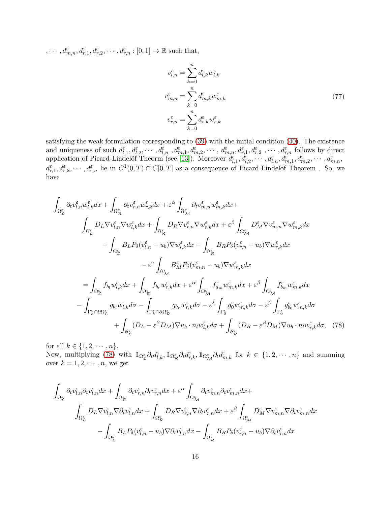$, \cdots, d_{m,n}^{\varepsilon}, d_{r,1}^{\varepsilon}, d_{r,2}^{\varepsilon}, \cdots, d_{r,n}^{\varepsilon} : [0,1] \to \mathbb{R}$  such that,

$$
v_{l,n}^{\varepsilon} = \sum_{k=0}^{n} d_{l,k}^{\varepsilon} w_{l,k}^{\varepsilon}
$$
  

$$
v_{m,n}^{\varepsilon} = \sum_{k=0}^{n} d_{m,k}^{\varepsilon} w_{m,k}^{\varepsilon}
$$
  

$$
v_{r,n}^{\varepsilon} = \sum_{k=0}^{n} d_{r,k}^{\varepsilon} w_{r,k}^{\varepsilon}
$$
 (77)

satisfying the weak formulation corresponding to [\(39\)](#page-9-2) with the initial condition [\(40\)](#page-9-3). The existence and uniqueness of such  $d_{l,1}^{\varepsilon}, d_{l,2}^{\varepsilon}, \cdots, d_{l,n}^{\varepsilon}, d_{m,1}^{\varepsilon}, d_{m,2}^{\varepsilon}, \cdots, d_{m,n}^{\varepsilon}, d_{r,1}^{\varepsilon}, d_{r,2}^{\varepsilon}, \cdots, d_{r,n}^{\varepsilon}$  follows by direct application of Picard-Lindelöf Theorm (see [\[13\]](#page-38-10)). Moreover  $d_{l,1}^{\varepsilon}, d_{l,2}^{\varepsilon}, \cdots, d_{l,n}^{\varepsilon}, d_{m,1}^{\varepsilon}, d_{m,2}^{\varepsilon}, \cdots, d_{m,n}^{\varepsilon}$  $d_{r,1}^{\varepsilon}, d_{r,2}^{\varepsilon}, \cdots, d_{r,n}^{\varepsilon}$  lie in  $C^1(0,T) \cap C[0,T]$  as a consequence of Picard-Lindelöf Theorem . So, we have

$$
\int_{\Omega_{\mathcal{L}}^{\varepsilon}} \partial_{t} v_{l,n}^{\varepsilon} w_{l,k}^{\varepsilon} dx + \int_{\Omega_{\mathcal{R}}^{\varepsilon}} \partial_{t} v_{r,n}^{\varepsilon} w_{r,k}^{\varepsilon} dx + \varepsilon^{\alpha} \int_{\Omega_{\mathcal{M}}^{\varepsilon}} \partial_{t} v_{m,n}^{\varepsilon} w_{m,k}^{\varepsilon} dx + \int_{\Omega_{\mathcal{R}}^{\varepsilon}} D_{R} \nabla v_{l,n}^{\varepsilon} \nabla w_{l,k}^{\varepsilon} dx + \varepsilon^{\beta} \int_{\Omega_{\mathcal{M}}^{\varepsilon}} D_{M}^{\varepsilon} \nabla v_{m,n}^{\varepsilon} \nabla w_{m,k}^{\varepsilon} dx \n- \int_{\Omega_{\mathcal{L}}^{\varepsilon}} B_{L} P_{\delta} (v_{l,n}^{\varepsilon} - u_{b}) \nabla w_{l,k}^{\varepsilon} dx - \int_{\Omega_{\mathcal{R}}^{\varepsilon}} B_{R} P_{\delta} (v_{r,n}^{\varepsilon} - u_{b}) \nabla w_{r,k}^{\varepsilon} dx \n- \varepsilon^{\gamma} \int_{\Omega_{\mathcal{L}}^{\varepsilon}} B_{M}^{\varepsilon} P_{\delta} (v_{m,n}^{\varepsilon} - u_{b}) \nabla w_{m,k}^{\varepsilon} dx \n- \int_{\Omega_{\mathcal{L}}^{\varepsilon}} f_{b_{1}} w_{l,k}^{\varepsilon} dx + \int_{\Omega_{\mathcal{R}}^{\varepsilon}} f_{b_{r}} w_{r,k}^{\varepsilon} dx + \varepsilon^{\alpha} \int_{\Omega_{\mathcal{M}}^{\varepsilon}} f_{a_{m}}^{\varepsilon} w_{m,k}^{\varepsilon} dx + \varepsilon^{\beta} \int_{\Omega_{\mathcal{M}}^{\varepsilon}} f_{b_{m}}^{\varepsilon} w_{m,k}^{\varepsilon} dx \n- \int_{\Gamma_{h}^{\varepsilon} \cap \partial \Omega_{\mathcal{L}}^{\varepsilon}} g_{b_{l}} w_{l,k}^{\varepsilon} d\sigma - \int_{\Gamma_{h}^{\varepsilon} \cap \partial \Omega_{\mathcal{R}}^{\varepsilon}} g_{b_{r}} w_{r,k}^{\
$$

for all  $k \in \{1, 2, \cdots, n\}.$ Now, multiplying [\(78\)](#page-15-0) with  $\mathbb{1}_{\Omega_{\mathcal{L}}^{\varepsilon}} \partial_t d_{l,k}^{\varepsilon}$ ,  $\mathbb{1}_{\Omega_{\mathcal{R}}^{\varepsilon}} \partial_t d_{r,k}^{\varepsilon}$ ,  $\mathbb{1}_{\Omega_{\mathcal{M}}^{\varepsilon}} \partial_t d_{m,k}^{\varepsilon}$  for  $k \in \{1, 2, \cdots, n\}$  and summing over  $k = 1, 2, \cdots, n$ , we get

<span id="page-15-0"></span>
$$
\begin{split} \int_{\Omega^{\varepsilon}_{\mathcal{L}}} \partial_t v^{\varepsilon}_{l,n} \partial_t v^{\varepsilon}_{l,n} dx + \int_{\Omega^{\varepsilon}_{\mathcal{R}}} \partial_t v^{\varepsilon}_{r,n} \partial_t v^{\varepsilon}_{r,n} dx + \varepsilon^{\alpha} \int_{\Omega^{\varepsilon}_{\mathcal{M}}} \partial_t v^{\varepsilon}_{m,n} \partial_t v^{\varepsilon}_{m,n} dx + \\ \int_{\Omega^{\varepsilon}_{\mathcal{L}}} D_L \nabla v^{\varepsilon}_{l,n} \nabla \partial_t v^{\varepsilon}_{l,n} dx + \int_{\Omega^{\varepsilon}_{\mathcal{R}}} D_R \nabla v^{\varepsilon}_{r,n} \nabla \partial_t v^{\varepsilon}_{r,n} dx + \varepsilon^{\beta} \int_{\Omega^{\varepsilon}_{\mathcal{M}}} D_k^{\varepsilon} \nabla v^{\varepsilon}_{m,n} \nabla \partial_t v^{\varepsilon}_{m,n} dx \\ - \int_{\Omega^{\varepsilon}_{\mathcal{L}}} B_L P_{\delta} (v^{\varepsilon}_{l,n} - u_b) \nabla \partial_t v^{\varepsilon}_{l,n} dx - \int_{\Omega^{\varepsilon}_{\mathcal{R}}} B_R P_{\delta} (v^{\varepsilon}_{r,n} - u_b) \nabla \partial_t v^{\varepsilon}_{r,n} dx \end{split}
$$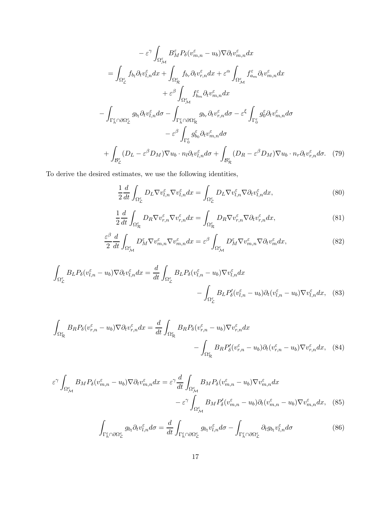$$
-\varepsilon^{\gamma} \int_{\Omega_{\mathcal{M}}^{\varepsilon}} B_{M}^{\varepsilon} P_{\delta}(v_{m,n}^{\varepsilon} - u_{b}) \nabla \partial_{t} v_{m,n}^{\varepsilon} dx \n= \int_{\Omega_{\mathcal{L}}^{\varepsilon}} f_{b_{l}} \partial_{t} v_{l,n}^{\varepsilon} dx + \int_{\Omega_{\mathcal{R}}^{\varepsilon}} f_{b_{r}} \partial_{t} v_{r,n}^{\varepsilon} dx + \varepsilon^{\alpha} \int_{\Omega_{\mathcal{M}}^{\varepsilon}} f_{a_{m}}^{\varepsilon} \partial_{t} v_{m,n}^{\varepsilon} dx \n+ \varepsilon^{\beta} \int_{\Omega_{\mathcal{M}}^{\varepsilon}} f_{b_{m}}^{\varepsilon} \partial_{t} v_{m,n}^{\varepsilon} dx \n- \int_{\Gamma_{h}^{\varepsilon} \cap \partial \Omega_{\mathcal{L}}^{\varepsilon}} g_{b_{l}} \partial_{t} v_{l,n}^{\varepsilon} d\sigma - \int_{\Gamma_{h}^{\varepsilon} \cap \partial \Omega_{\mathcal{R}}^{\varepsilon}} g_{b_{r}} \partial_{t} v_{r,n}^{\varepsilon} d\sigma - \varepsilon^{\xi} \int_{\Gamma_{0}^{\varepsilon}} g_{0}^{\varepsilon} \partial_{t} v_{m,n}^{\varepsilon} d\sigma \n+ \int_{\mathcal{B}_{\mathcal{L}}^{\varepsilon}} (D_{L} - \varepsilon^{\beta} D_{M}) \nabla u_{b} \cdot n_{l} \partial_{t} v_{l,n}^{\varepsilon} d\sigma + \int_{\mathcal{B}_{\mathcal{R}}^{\varepsilon}} (D_{R} - \varepsilon^{\beta} D_{M}) \nabla u_{b} \cdot n_{r} \partial_{t} v_{r,n}^{\varepsilon} d\sigma.
$$
 (79)

To derive the desired estimates, we use the following identities,

$$
\frac{1}{2}\frac{d}{dt}\int_{\Omega_{\mathcal{L}}^{\varepsilon}}D_{L}\nabla v_{l,n}^{\varepsilon}\nabla v_{l,n}^{\varepsilon}dx = \int_{\Omega_{\mathcal{L}}^{\varepsilon}}D_{L}\nabla v_{l,n}^{\varepsilon}\nabla\partial_{t}v_{l,n}^{\varepsilon}dx,\tag{80}
$$

$$
\frac{1}{2}\frac{d}{dt}\int_{\Omega_{\mathcal{R}}^{\varepsilon}}D_{R}\nabla v_{r,n}^{\varepsilon}\nabla v_{r,n}^{\varepsilon}dx = \int_{\Omega_{\mathcal{R}}^{\varepsilon}}D_{R}\nabla v_{r,n}^{\varepsilon}\nabla\partial_{t}v_{r,n}^{\varepsilon}dx,\tag{81}
$$

$$
\frac{\varepsilon^{\beta}}{2} \frac{d}{dt} \int_{\Omega_{\mathcal{M}}^{\varepsilon}} D_{M}^{\varepsilon} \nabla v_{m,n}^{\varepsilon} \nabla v_{m,n}^{\varepsilon} dx = \varepsilon^{\beta} \int_{\Omega_{\mathcal{M}}^{\varepsilon}} D_{M}^{\varepsilon} \nabla v_{m,n}^{\varepsilon} \nabla \partial_{t} v_{m}^{\varepsilon} dx, \tag{82}
$$

$$
\int_{\Omega_{\mathcal{L}}^{\varepsilon}} B_{L} P_{\delta}(v_{l,n}^{\varepsilon} - u_{b}) \nabla \partial_{t} v_{l,n}^{\varepsilon} dx = \frac{d}{dt} \int_{\Omega_{\mathcal{L}}^{\varepsilon}} B_{L} P_{\delta}(v_{l,n}^{\varepsilon} - u_{b}) \nabla v_{l,n}^{\varepsilon} dx \n- \int_{\Omega_{\mathcal{L}}^{\varepsilon}} B_{L} P_{\delta}'(v_{l,n}^{\varepsilon} - u_{b}) \partial_{t}(v_{l,n}^{\varepsilon} - u_{b}) \nabla v_{l,n}^{\varepsilon} dx, \quad (83)
$$

$$
\int_{\Omega_{\mathcal{R}}^{\varepsilon}} B_R P_{\delta}(v_{r,n}^{\varepsilon} - u_b) \nabla \partial_t v_{r,n}^{\varepsilon} dx = \frac{d}{dt} \int_{\Omega_{\mathcal{R}}^{\varepsilon}} B_R P_{\delta}(v_{r,n}^{\varepsilon} - u_b) \nabla v_{r,n}^{\varepsilon} dx \n- \int_{\Omega_{\mathcal{R}}^{\varepsilon}} B_R P_{\delta}'(v_{r,n}^{\varepsilon} - u_b) \partial_t (v_{r,n}^{\varepsilon} - u_b) \nabla v_{r,n}^{\varepsilon} dx,
$$
\n(84)

$$
\varepsilon^{\gamma} \int_{\Omega_{\mathcal{M}}^{\varepsilon}} B_{M} P_{\delta}(v_{m,n}^{\varepsilon} - u_{b}) \nabla \partial_{t} v_{m,n}^{\varepsilon} dx = \varepsilon^{\gamma} \frac{d}{dt} \int_{\Omega_{\mathcal{M}}^{\varepsilon}} B_{M} P_{\delta}(v_{m,n}^{\varepsilon} - u_{b}) \nabla v_{m,n}^{\varepsilon} dx \n- \varepsilon^{\gamma} \int_{\Omega_{\mathcal{M}}^{\varepsilon}} B_{M} P_{\delta}'(v_{m,n}^{\varepsilon} - u_{b}) \partial_{t}(v_{m,n}^{\varepsilon} - u_{b}) \nabla v_{m,n}^{\varepsilon} dx, \quad (85)
$$

$$
\int_{\Gamma_h^{\varepsilon} \cap \partial \Omega_{\mathcal{L}}^{\varepsilon}} g_{b_l} \partial_t v_{l,n}^{\varepsilon} d\sigma = \frac{d}{dt} \int_{\Gamma_h^{\varepsilon} \cap \partial \Omega_{\mathcal{L}}^{\varepsilon}} g_{b_l} v_{l,n}^{\varepsilon} d\sigma - \int_{\Gamma_h^{\varepsilon} \cap \partial \Omega_{\mathcal{L}}^{\varepsilon}} \partial_t g_{b_l} v_{l,n}^{\varepsilon} d\sigma \tag{86}
$$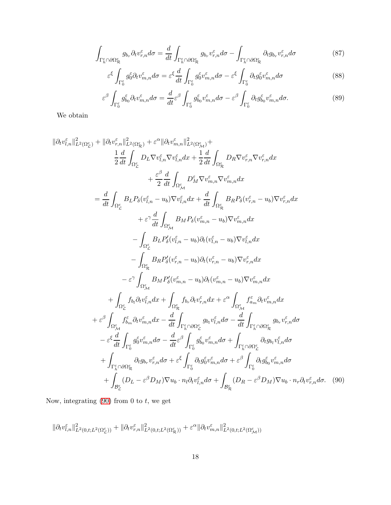$$
\int_{\Gamma_h^{\varepsilon} \cap \partial \Omega_{\mathcal{R}}^{\varepsilon}} g_{b_r} \partial_t v_{r,n}^{\varepsilon} d\sigma = \frac{d}{dt} \int_{\Gamma_h^{\varepsilon} \cap \partial \Omega_{\mathcal{R}}^{\varepsilon}} g_{b_r} v_{r,n}^{\varepsilon} d\sigma - \int_{\Gamma_h^{\varepsilon} \cap \partial \Omega_{\mathcal{R}}^{\varepsilon}} \partial_t g_{b_r} v_{r,n}^{\varepsilon} d\sigma \tag{87}
$$

$$
\varepsilon^{\xi} \int_{\Gamma_0^{\varepsilon}} g_0^{\varepsilon} \partial_t v_{m,n}^{\varepsilon} d\sigma = \varepsilon^{\xi} \frac{d}{dt} \int_{\Gamma_0^{\varepsilon}} g_0^{\varepsilon} v_{m,n}^{\varepsilon} d\sigma - \varepsilon^{\xi} \int_{\Gamma_0^{\varepsilon}} \partial_t g_0^{\varepsilon} v_{m,n}^{\varepsilon} d\sigma \tag{88}
$$

$$
\varepsilon^{\beta} \int_{\Gamma_0^{\varepsilon}} g_{b_0}^{\varepsilon} \partial_t v_{m,n}^{\varepsilon} d\sigma = \frac{d}{dt} \varepsilon^{\beta} \int_{\Gamma_0^{\varepsilon}} g_{b_0}^{\varepsilon} v_{m,n}^{\varepsilon} d\sigma - \varepsilon^{\beta} \int_{\Gamma_0^{\varepsilon}} \partial_t g_{b_0}^{\varepsilon} v_{m,n}^{\varepsilon} d\sigma. \tag{89}
$$

We obtain

$$
\|\partial_t v_{l,n}^{\varepsilon}\|_{L^2(\Omega_L^{\varepsilon})}^2 + \|\partial_t v_{r,n}^{\varepsilon}\|_{L^2(\Omega_M^{\varepsilon})}^2 + \varepsilon^{\alpha}\|\partial_t v_{m,n}^{\varepsilon}\|_{L^2(\Omega_M^{\varepsilon})}^2 + \frac{1}{2} \frac{d}{dt} \int_{\Omega_L^{\varepsilon}} D_R \nabla v_{r,n}^{\varepsilon} \nabla v_{r,n}^{\varepsilon} dx
$$
  
\n
$$
+ \frac{\varepsilon^{\beta}}{2} \frac{d}{dt} \int_{\Omega_L^{\varepsilon}} D_L \nabla v_{l,n}^{\varepsilon} \nabla v_{m,n}^{\varepsilon} dx + \frac{1}{2} \frac{d}{dt} \int_{\Omega_L^{\varepsilon}} D_R \nabla v_{r,n}^{\varepsilon} dx
$$
  
\n
$$
+ \frac{\varepsilon^{\beta}}{2} \frac{d}{dt} \int_{\Omega_M^{\varepsilon}} D_L P_{\delta}(v_{l,n}^{\varepsilon} - u_b) \nabla v_{l,n}^{\varepsilon} dx + \frac{d}{dt} \int_{\Omega_L^{\varepsilon}} B_R P_{\delta}(v_{r,n}^{\varepsilon} - u_b) \nabla v_{r,n}^{\varepsilon} dx
$$
  
\n
$$
+ \varepsilon^{\gamma} \frac{d}{dt} \int_{\Omega_L^{\varepsilon}} B_L P_{\delta}(v_{l,n}^{\varepsilon} - u_b) \partial_t (v_{l,n}^{\varepsilon} - u_b) \nabla v_{l,n}^{\varepsilon} dx
$$
  
\n
$$
- \int_{\Omega_L^{\varepsilon}} B_L P_{\delta}(v_{r,n}^{\varepsilon} - u_b) \partial_t (v_{r,n}^{\varepsilon} - u_b) \nabla v_{r,n}^{\varepsilon} dx
$$
  
\n
$$
- \varepsilon^{\gamma} \int_{\Omega_M^{\varepsilon}} B_M P_{\delta}(v_{r,n}^{\varepsilon} - u_b) \partial_t (v_{r,n}^{\varepsilon} - u_b) \nabla v_{r,n}^{\varepsilon} dx
$$
  
\n
$$
+ \int_{\Omega_L^{\varepsilon}} f_{b_l} \partial_t v_{l,n}^{\varepsilon} dx + \int_{\Omega_R^{\varepsilon}} f_{b_r
$$

Now, integrating  $(90)$  from 0 to t, we get

<span id="page-17-0"></span>
$$
\|\partial_t v^{\varepsilon}_{l,n}\|^2_{L^2(0,t;L^2(\Omega^{\varepsilon}_{{\mathcal L}}))} + \|\partial_t v^{\varepsilon}_{r,n}\|^2_{L^2(0,t;L^2(\Omega^{\varepsilon}_{{\mathcal R}}))} + \varepsilon^{\alpha}\|\partial_t v^{\varepsilon}_{m,n}\|^2_{L^2(0,t;L^2(\Omega^{\varepsilon}_{{\mathcal M}}))}
$$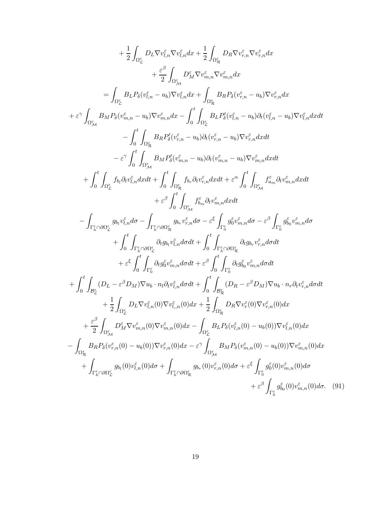<span id="page-18-0"></span>
$$
+\frac{1}{2}\int_{\Omega_{\tilde{L}}}D_{\tilde{L}}\nabla v_{\tilde{L},n}^{F}\nabla v_{\tilde{L},n}^{F}dx + \frac{1}{2}\int_{\Omega_{\tilde{R}_{\tilde{R}}}D_{\tilde{R}}\nabla v_{\tilde{r},n}^{E}\nabla v_{\tilde{r},n}^{E}dx \n+ \frac{\varepsilon^{\beta}}{2}\int_{\Omega_{\tilde{R}}^{E}}B_{\tilde{R}}P_{\delta}(v_{\tilde{L},n}^{E}-u_{b})\nabla v_{\tilde{L},n}^{E}dx \n= \int_{\Omega_{\tilde{L}}^{E}}B_{L}P_{\delta}(v_{\tilde{L},n}^{E}-u_{b})\nabla v_{\tilde{L},n}^{E}dx + \int_{\Omega_{\tilde{R}}^{E}}B_{R}P_{\delta}(v_{\tilde{r},n}^{E}-u_{b})\nabla v_{\tilde{r},n}^{E}dx \n+ \varepsilon^{\gamma}\int_{\Omega_{\tilde{R}}^{E}}B_{M}P_{\delta}(v_{\tilde{R},n}^{E}-u_{b})\nabla v_{\tilde{R},n}^{E}dx + \int_{\Omega_{\tilde{L}}^{E}}B_{L}P_{\delta}^{E}(v_{\tilde{L},n}^{E}-u_{b})\partial_{t}(v_{\tilde{L},n}^{E}-u_{b})\nabla v_{\tilde{L},n}^{E}dx dt \n- \int_{0}^{t}\int_{\Omega_{\tilde{R}}^{E}}B_{R}P_{\delta}^{E}(v_{\tilde{r},n}^{E}-u_{b})\partial_{t}(v_{\tilde{r},n}^{E}-u_{b})\nabla v_{\tilde{r},n}^{E}dx dt \n+ \int_{0}^{t}\int_{\Omega_{\tilde{R}}^{E}}b_{\tilde{R}}b_{\tilde{R}}P_{\delta}(v_{\tilde{R},n}^{E}-u_{b})\nabla v_{\tilde{R},n}^{E}dx dt \n+ \varepsilon^{\beta}\int_{0}^{t}\int_{\Omega_{\tilde{R}}^{E}}B_{M}P_{\delta}^{E}(v_{\tilde{R},n}^{E}-u_{b})\nabla v_{\tilde{R},n}^{E}dx dt \n+ \vare
$$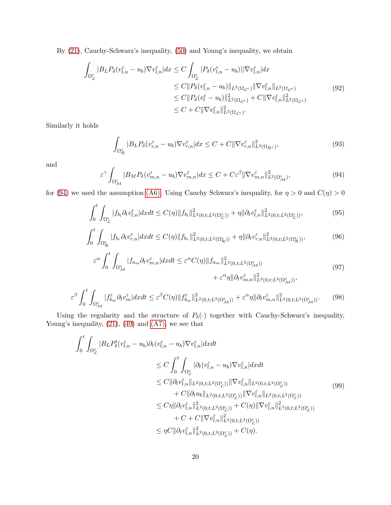By [\(21\)](#page-6-3), Cauchy-Schwarz's inequality, [\(50\)](#page-10-3) and Young's inequality, we obtain

$$
\int_{\Omega_{\mathcal{L}}^{\varepsilon}} |B_{L} P_{\delta} (v_{l,n}^{\varepsilon} - u_{b}) \nabla v_{l,n}^{\varepsilon}| dx \leq C \int_{\Omega_{\mathcal{L}}^{\varepsilon}} |P_{\delta} (v_{l,n}^{\varepsilon} - u_{b})| |\nabla v_{l,n}^{\varepsilon}| dx \n\leq C \| P_{\delta} (v_{l,n}^{\varepsilon} - u_{b}) \|_{L^{2}(\Omega_{\mathcal{L}^{\varepsilon}})} \| \nabla v_{l,n}^{\varepsilon} \|_{L^{2}(\Omega_{\mathcal{L}^{\varepsilon}})} \n\leq C \| P_{\delta} (v_{l}^{\varepsilon} - u_{b}) \|_{L^{2}(\Omega_{\mathcal{L}^{\varepsilon}})}^{2} + C \| \nabla v_{l,n}^{\varepsilon} \|_{L^{2}(\Omega_{\mathcal{L}^{\varepsilon}})}^{2} \n\leq C + C \| \nabla v_{l,n}^{\varepsilon} \|_{L^{2}(\Omega_{\mathcal{L}^{\varepsilon}})}^{2}.
$$
\n(92)

Similarly it holds

$$
\int_{\Omega_{\mathcal{R}}^{\varepsilon}} |B_{L} P_{\delta}(v_{r,n}^{\varepsilon} - u_{b}) \nabla v_{r,n}^{\varepsilon}| dx \leq C + C \| \nabla v_{r,n}^{\varepsilon} \|_{L^{2}(\Omega_{\mathcal{R}^{\varepsilon}})}^{2},
$$
\n(93)

and

<span id="page-19-0"></span>
$$
\varepsilon^{\gamma} \int_{\Omega_{\mathcal{M}}^{\varepsilon}} |B_M P_{\delta}(v_{m,n}^{\varepsilon} - u_b) \nabla v_{m,n}^{\varepsilon}| dx \leq C + C \varepsilon^{\beta} \| \nabla v_{m,n}^{\varepsilon} \|_{L^2(\Omega_{\mathcal{M}}^{\varepsilon})}^2, \tag{94}
$$

for [\(94\)](#page-19-0) we used the assumption [\(A6\).](#page-7-2) Using Cauchy Schwarz's inequality, for  $\eta > 0$  and  $C(\eta) > 0$ 

$$
\int_0^t \int_{\Omega_{\mathcal{L}}^{\varepsilon}} |f_{b_l} \partial_t v_{l,n}^{\varepsilon}| dx dt \le C(\eta) \|f_{b_l}\|_{L^2(0,t;L^2(\Omega_{\mathcal{L}}^{\varepsilon}))}^2 + \eta \|\partial_t v_{l,n}^{\varepsilon}\|_{L^2(0,t;L^2(\Omega_{\mathcal{L}}^{\varepsilon}))}^2, \tag{95}
$$

$$
\int_0^t \int_{\Omega_R^\varepsilon} |f_{b_r} \partial_t v_{r,n}^\varepsilon| dx dt \le C(\eta) \|f_{b_r}\|_{L^2(0,t;L^2(\Omega_R^\varepsilon))}^2 + \eta \| \partial_t v_{r,n}^\varepsilon \|_{L^2(0,t;L^2(\Omega_R^\varepsilon))}^2, \tag{96}
$$

$$
\varepsilon^{\alpha} \int_{0}^{t} \int_{\Omega_{\mathcal{M}}^{\varepsilon}} |f_{a_{m}} \partial_{t} v_{m,n}^{\varepsilon}| dx dt \leq \varepsilon^{\alpha} C(\eta) \|f_{a_{m}}\|_{L^{2}(0,t;L^{2}(\Omega_{\mathcal{M}}^{\varepsilon}))}^{2} + \varepsilon^{\alpha} \eta \|\partial_{t} v_{m,n}^{\varepsilon}\|_{L^{2}(0,t;L^{2}(\Omega_{\mathcal{M}}^{\varepsilon}))}^{2},
$$
\n(97)

$$
\varepsilon^{\beta} \int_{0}^{t} \int_{\Omega_{\mathcal{M}}^{\varepsilon}} |f_{b_{m}}^{\varepsilon} \partial_{t} v_{m}^{\varepsilon}| dx dt \leq \varepsilon^{\beta} C(\eta) \|f_{b_{m}}^{\varepsilon}\|_{L^{2}(0,t;L^{2}(\Omega_{\mathcal{M}}^{\varepsilon}))}^{2} + \varepsilon^{\alpha} \eta \|\partial_{t} v_{m,n}^{\varepsilon}\|_{L^{2}(0,t;L^{2}(\Omega_{\mathcal{M}}^{\varepsilon}))}^{2}.
$$
 (98)

Using the regularity and the structure of  $P_{\delta}(\cdot)$  together with Cauchy-Schwarz's inequality, Young's inequality,  $(21)$ ,  $(49)$  and  $(A7)$ , we see that

$$
\int_{0}^{t} \int_{\Omega_{\mathcal{L}}^{\varepsilon}} |B_{L} P'_{\delta}(v_{l,n}^{\varepsilon} - u_{b}) \partial_{t} (v_{l,n}^{\varepsilon} - u_{b}) \nabla v_{l,n}^{\varepsilon}| dx dt \n\leq C \int_{0}^{t} \int_{\Omega_{\mathcal{L}}^{\varepsilon}} |\partial_{t} (v_{l,n}^{\varepsilon} - u_{b}) \nabla v_{l,n}^{\varepsilon}| dx dt \n\leq C ||\partial_{t} v_{l,n}^{\varepsilon}||_{L^{2}(0,t;L^{2}(\Omega_{\mathcal{L}}^{\varepsilon}))} ||\nabla v_{l,n}^{\varepsilon}||_{L^{2}(0,t;L^{2}(\Omega_{\mathcal{L}}^{\varepsilon}))} \n+ C ||\partial_{t} u_{b} ||_{L^{2}(0,t;L^{2}(\Omega_{\mathcal{L}}^{\varepsilon}))} ||\nabla v_{l,n}^{\varepsilon}||_{L^{2}(0,t;L^{2}(\Omega_{\mathcal{L}}^{\varepsilon}))} \n\leq C \eta ||\partial_{t} v_{l,n}^{\varepsilon}||_{L^{2}(0,t;L^{2}(\Omega_{\mathcal{L}}^{\varepsilon}))}^{2} + C(\eta) ||\nabla v_{l,n}^{\varepsilon}||_{L^{2}(0,t;L^{2}(\Omega_{\mathcal{L}}^{\varepsilon}))}^{2} \n+ C + C ||\nabla v_{l,n}^{\varepsilon}||_{L^{2}(0,t;L^{2}(\Omega_{\mathcal{L}}^{\varepsilon}))}^{2} \n\leq \eta C ||\partial_{t} v_{l,n}^{\varepsilon}||_{L^{2}(0,t;L^{2}(\Omega_{\mathcal{L}}^{\varepsilon}))}^{2} + C(\eta).
$$
\n(99)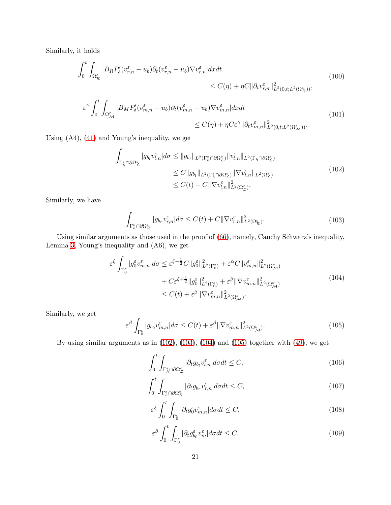Similarly, it holds

$$
\int_0^t \int_{\Omega_{\mathcal{R}}^{\varepsilon}} |B_R P_{\delta}'(v_{r,n}^{\varepsilon} - u_b) \partial_t (v_{r,n}^{\varepsilon} - u_b) \nabla v_{r,n}^{\varepsilon}| dx dt \n\leq C(\eta) + \eta C \| \partial_t v_{r,n}^{\varepsilon} \|_{L^2(0,t;L^2(\Omega_{\mathcal{R}}^{\varepsilon}))}^2,
$$
\n(100)

$$
\varepsilon^{\gamma} \int_{0}^{t} \int_{\Omega_{\mathcal{M}}^{\varepsilon}} |B_{M} P_{\delta}^{\prime}(v_{m,n}^{\varepsilon} - u_{b}) \partial_{t}(v_{m,n}^{\varepsilon} - u_{b}) \nabla v_{m,n}^{\varepsilon}| dx dt
$$
\n
$$
\leq C(\eta) + \eta C \varepsilon^{\gamma} \| \partial_{t} v_{m,n}^{\varepsilon} \|_{L^{2}(0,t;L^{2}(\Omega_{\mathcal{M}}^{\varepsilon}))}^{2}.
$$
\n(101)

Using (A4), [\(41\)](#page-9-4) and Young's inequality, we get

<span id="page-20-0"></span>
$$
\int_{\Gamma_h^{\varepsilon} \cap \partial \Omega_{\mathcal{L}}^{\varepsilon}} |g_{b_l} v_{l,n}^{\varepsilon}| d\sigma \leq \|g_{b_l}\|_{L^2(\Gamma_h^{\varepsilon} \cap \partial \Omega_{\mathcal{L}}^{\varepsilon})} \|v_{l,n}^{\varepsilon}\|_{L^2(\Gamma_h \cap \partial \Omega_{\mathcal{L}}^{\varepsilon})} \n\leq C \|g_{b_l}\|_{L^2(\Gamma_h^{\varepsilon} \cap \partial \Omega_{\mathcal{L}}^{\varepsilon})} \|\nabla v_{l,n}^{\varepsilon}\|_{L^2(\Omega_{\mathcal{L}}^{\varepsilon})} \n\leq C(t) + C \|\nabla v_{l,n}^{\varepsilon}\|_{L^2(\Omega_{\mathcal{L}}^{\varepsilon})}^2.
$$
\n(102)

Similarly, we have

<span id="page-20-1"></span>
$$
\int_{\Gamma_h^{\varepsilon} \cap \partial \Omega_{\mathcal{R}}^{\varepsilon}} |g_{b_r} v_{r,n}^{\varepsilon}| d\sigma \le C(t) + C \| \nabla v_{r,n}^{\varepsilon} \|_{L^2(\Omega_{\mathcal{R}}^{\varepsilon})}^2.
$$
\n(103)

Using similar arguments as those used in the proof of [\(66\)](#page-12-1), namely, Cauchy Schwarz's inequality, Lemma [3,](#page-10-1) Young's inequality and (A6), we get

<span id="page-20-2"></span>
$$
\varepsilon^{\xi} \int_{\Gamma_0^{\varepsilon}} |g_0^{\varepsilon} v_{m,n}^{\varepsilon}| d\sigma \leq \varepsilon^{\xi - \frac{1}{2}} C \|g_0^{\varepsilon}\|_{L^2(\Gamma_0^{\varepsilon})}^2 + \varepsilon^{\alpha} C \|v_{m,n}^{\varepsilon}\|_{L^2(\Omega_{\mathcal{M}}^{\varepsilon})}^2 \n+ C\varepsilon^{\xi + \frac{1}{2}} \|g_0^{\varepsilon}\|_{L^2(\Gamma_0^{\varepsilon})}^2 + \varepsilon^{\beta} \|\nabla v_{m,n}^{\varepsilon}\|_{L^2(\Omega_{\mathcal{M}}^{\varepsilon})}^2 \n\leq C(t) + \varepsilon^{\beta} \|\nabla v_{m,n}^{\varepsilon}\|_{L^2(\Omega_{\mathcal{M}}^{\varepsilon})}^2.
$$
\n(104)

Similarly, we get

<span id="page-20-3"></span>
$$
\varepsilon^{\beta} \int_{\Gamma_0^{\varepsilon}} |g_{b_0} v_{m,n}^{\varepsilon}| d\sigma \le C(t) + \varepsilon^{\beta} \|\nabla v_{m,n}^{\varepsilon}\|_{L^2(\Omega_{\mathcal{M}}^{\varepsilon})}^2.
$$
 (105)

By using similar arguments as in [\(102\)](#page-20-0), [\(103\)](#page-20-1), [\(104\)](#page-20-2) and [\(105\)](#page-20-3) together with [\(49\)](#page-10-2), we get

$$
\int_0^t \int_{\Gamma_h^{\varepsilon} \cap \partial \Omega_{\mathcal{L}}^{\varepsilon}} |\partial_t g_{b_l} v_{l,n}^{\varepsilon}| d\sigma dt \le C,
$$
\n(106)

$$
\int_{0}^{t} \int_{\Gamma_h^{\varepsilon} \cap \partial \Omega_N^{\varepsilon}} |\partial_t g_{b_r} v_{r,n}^{\varepsilon}| d\sigma dt \le C,
$$
\n(107)

$$
\varepsilon^{\xi} \int_0^t \int_{\Gamma_0^{\varepsilon}} |\partial_t g_0^{\varepsilon} v_{m,n}^{\varepsilon}| d\sigma dt \le C,
$$
\n(108)

$$
\varepsilon^{\beta} \int_{0}^{t} \int_{\Gamma_{0}^{\varepsilon}} |\partial_{t} g_{b_{0}}^{\varepsilon} v_{m}^{\varepsilon}| d\sigma dt \le C.
$$
\n(109)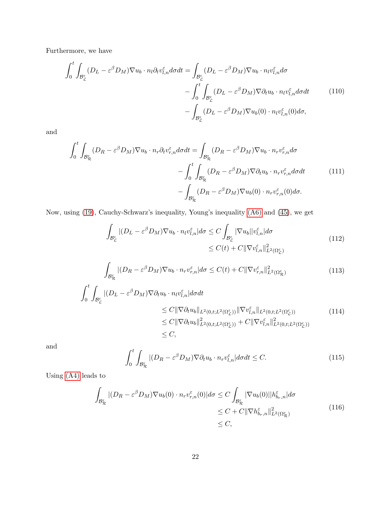Furthermore, we have

$$
\int_{0}^{t} \int_{\mathcal{B}_{\mathcal{L}}^{\varepsilon}} (D_{L} - \varepsilon^{\beta} D_{M}) \nabla u_{b} \cdot n_{l} \partial_{t} v_{l,n}^{\varepsilon} d\sigma dt = \int_{\mathcal{B}_{\mathcal{L}}^{\varepsilon}} (D_{L} - \varepsilon^{\beta} D_{M}) \nabla u_{b} \cdot n_{l} v_{l,n}^{\varepsilon} d\sigma \n- \int_{0}^{t} \int_{\mathcal{B}_{\mathcal{L}}^{\varepsilon}} (D_{L} - \varepsilon^{\beta} D_{M}) \nabla \partial_{t} u_{b} \cdot n_{l} v_{l,n}^{\varepsilon} d\sigma dt \qquad (110)\n- \int_{\mathcal{B}_{\mathcal{L}}^{\varepsilon}} (D_{L} - \varepsilon^{\beta} D_{M}) \nabla u_{b} (0) \cdot n_{l} v_{l,n}^{\varepsilon} (0) d\sigma,
$$

and

$$
\int_{0}^{t} \int_{\mathcal{B}_{\mathcal{R}}^{\varepsilon}} (D_{R} - \varepsilon^{\beta} D_{M}) \nabla u_{b} \cdot n_{r} \partial_{t} v_{r,n}^{\varepsilon} d\sigma dt = \int_{\mathcal{B}_{\mathcal{R}}^{\varepsilon}} (D_{R} - \varepsilon^{\beta} D_{M}) \nabla u_{b} \cdot n_{r} v_{r,n}^{\varepsilon} d\sigma \n- \int_{0}^{t} \int_{\mathcal{B}_{\mathcal{R}}^{\varepsilon}} (D_{R} - \varepsilon^{\beta} D_{M}) \nabla \partial_{t} u_{b} \cdot n_{r} v_{r,n}^{\varepsilon} d\sigma dt \qquad (111)
$$
\n
$$
- \int_{\mathcal{B}_{\mathcal{R}}^{\varepsilon}} (D_{R} - \varepsilon^{\beta} D_{M}) \nabla u_{b} (0) \cdot n_{r} v_{r,n}^{\varepsilon} (0) d\sigma.
$$

Now, using [\(19\)](#page-6-5), Cauchy-Schwarz's inequality, Young's inequality [\(A6\)](#page-7-2) and [\(45\)](#page-10-5), we get

<span id="page-21-0"></span>
$$
\int_{\mathcal{B}_{\mathcal{L}}^{\varepsilon}} |(D_{L} - \varepsilon^{\beta} D_{M}) \nabla u_{b} \cdot n_{l} v_{l,n}^{\varepsilon}| d\sigma \leq C \int_{\mathcal{B}_{\mathcal{L}}^{\varepsilon}} |\nabla u_{b}| |v_{l,n}^{\varepsilon}| d\sigma \leq C(t) + C ||\nabla v_{l,n}^{\varepsilon}||_{L^{2}(\Omega_{\mathcal{L}}^{\varepsilon})}^{2}
$$
\n(112)

<span id="page-21-1"></span>
$$
\int_{\mathcal{B}_{\mathcal{R}}^{\varepsilon}} |(D_R - \varepsilon^{\beta} D_M) \nabla u_b \cdot n_r v_{r,n}^{\varepsilon}| d\sigma \le C(t) + C \| \nabla v_{r,n}^{\varepsilon} \|_{L^2(\Omega_{\mathcal{R}}^{\varepsilon})}^2
$$
\n(113)

$$
\int_{0}^{t} \int_{\mathcal{B}_{\mathcal{L}}^{\varepsilon}} |(D_{L} - \varepsilon^{\beta} D_{M}) \nabla \partial_{t} u_{b} \cdot n_{l} v_{l,n}^{\varepsilon}| d\sigma dt
$$
\n
$$
\leq C \|\nabla \partial_{t} u_{b}\|_{L^{2}(0, t; L^{2}(\Omega_{\mathcal{L}}^{\varepsilon}))} \|\nabla v_{l,n}^{\varepsilon}\|_{L^{2}(0, t; L^{2}(\Omega_{\mathcal{L}}^{\varepsilon}))}
$$
\n
$$
\leq C \|\nabla \partial_{t} u_{b}\|_{L^{2}(0, t; L^{2}(\Omega_{\mathcal{L}}^{\varepsilon}))}^{2} + C \|\nabla v_{l,n}^{\varepsilon}\|_{L^{2}(0, t; L^{2}(\Omega_{\mathcal{L}}^{\varepsilon}))}^{2}
$$
\n
$$
\leq C,
$$
\n(114)

and

$$
\int_{0}^{t} \int_{\mathcal{B}_{\mathcal{R}}^{\varepsilon}} |(D_{R} - \varepsilon^{\beta} D_{M}) \nabla \partial_{t} u_{b} \cdot n_{r} v_{l,n}^{\varepsilon}| d\sigma dt \leq C.
$$
 (115)

Using [\(A4\)](#page-7-3) leads to

$$
\int_{\mathcal{B}^{\varepsilon}_{\mathcal{R}}} |(D_R - \varepsilon^{\beta} D_M) \nabla u_b(0) \cdot n_r v_{r,n}^{\varepsilon}(0) | d\sigma \le C \int_{\mathcal{B}^{\varepsilon}_{\mathcal{R}}} |\nabla u_b(0)| |h_{b_r,n}^{\varepsilon}| d\sigma
$$
\n
$$
\le C + C ||\nabla h_{b_r,n}^{\varepsilon}||_{L^2(\Omega^{\varepsilon}_{\mathcal{R}})}^2
$$
\n
$$
\le C,
$$
\n(116)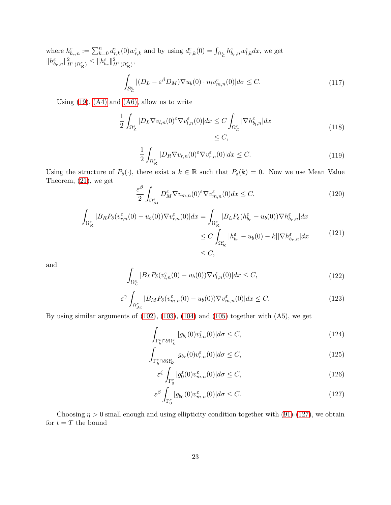where  $h^{\varepsilon}_{b_r,n} := \sum_{k=0}^n d^{\varepsilon}_{r,k}(0) w^{\varepsilon}_{r,k}$  and by using  $d^{\varepsilon}_{r,k}(0) = \int_{\Omega^{\varepsilon}_{\mathcal{L}}} h^{\varepsilon}_{b_r,n} w^{\varepsilon}_{l,k} dx$ , we get  $||h^{\varepsilon}_{b_r,n}||_{H^1(\Omega^{\varepsilon}_{\mathcal{R}})}^2 \leq ||h^{\varepsilon}_{b_r}||_{H^1(\Omega^{\varepsilon}_{\mathcal{R}})}^2,$ 

$$
\int_{\mathcal{B}_{\mathcal{L}}^{\varepsilon}} |(D_{L} - \varepsilon^{\beta} D_{M}) \nabla u_{b}(0) \cdot n_{l} v_{m,n}^{\varepsilon}(0)| d\sigma \leq C. \tag{117}
$$

Using  $(19)$ ,  $(A4)$  and  $(A6)$ , allow us to write

$$
\frac{1}{2} \int_{\Omega_{\mathcal{L}}^{\varepsilon}} |D_L \nabla v_{l,n}(0)^{\varepsilon} \nabla v_{l,n}^{\varepsilon}(0)| dx \le C \int_{\Omega_{\mathcal{L}}^{\varepsilon}} |\nabla h_{b_l,n}^{\varepsilon}| dx
$$
\n
$$
\le C,
$$
\n(118)

$$
\frac{1}{2} \int_{\Omega_R^{\varepsilon}} |D_R \nabla v_{r,n}(0)^\varepsilon \nabla v_{r,n}^\varepsilon(0)| dx \le C. \tag{119}
$$

Using the structure of  $P_\delta(\cdot)$ , there exist a  $k \in \mathbb{R}$  such that  $P_\delta(k) = 0$ . Now we use Mean Value Theorem, [\(21\)](#page-6-3), we get

$$
\frac{\varepsilon^{\beta}}{2} \int_{\Omega_{\mathcal{M}}^{\varepsilon}} D_{M}^{\varepsilon} \nabla v_{m,n}(0)^{\varepsilon} \nabla v_{m,n}^{\varepsilon}(0) dx \le C,
$$
\n(120)

$$
\int_{\Omega_{\mathcal{R}}^{\varepsilon}} |B_R P_{\delta}(v_{r,n}^{\varepsilon}(0) - u_b(0)) \nabla v_{r,n}^{\varepsilon}(0)| dx = \int_{\Omega_{\mathcal{R}}^{\varepsilon}} |B_L P_{\delta}(h_{b_r}^{\varepsilon} - u_b(0)) \nabla h_{b_r,n}^{\varepsilon}| dx
$$
\n
$$
\leq C \int_{\Omega_{\mathcal{R}}^{\varepsilon}} |h_{b_r}^{\varepsilon} - u_b(0) - k| |\nabla h_{b_r,n}^{\varepsilon}| dx \tag{121}
$$
\n
$$
\leq C,
$$

and

$$
\int_{\Omega_{\mathcal{L}}^{\varepsilon}} |B_L P_{\delta}(v_{l,n}^{\varepsilon}(0) - u_b(0)) \nabla v_{l,n}^{\varepsilon}(0)| dx \le C,
$$
\n(122)

$$
\varepsilon^{\gamma} \int_{\Omega_{\mathcal{M}}^{\varepsilon}} |B_M P_{\delta}(v_{m,n}^{\varepsilon}(0) - u_b(0)) \nabla v_{m,n}^{\varepsilon}(0)| dx \le C. \tag{123}
$$

By using similar arguments of [\(102\)](#page-20-0), [\(103\)](#page-20-1), [\(104\)](#page-20-2) and [\(105\)](#page-20-3) together with (A5), we get

$$
\int_{\Gamma_h^{\varepsilon} \cap \partial \Omega_L^{\varepsilon}} |g_{b_l}(0)v_{l,n}^{\varepsilon}(0)| d\sigma \le C,\tag{124}
$$

$$
\int_{\Gamma_h^{\varepsilon} \cap \partial \Omega_{\mathcal{R}}^{\varepsilon}} |g_{b_r}(0)v_{r,n}^{\varepsilon}(0)| d\sigma \le C,
$$
\n(125)

<span id="page-22-0"></span>
$$
\varepsilon^{\xi} \int_{\Gamma_0^{\varepsilon}} |g_0^{\varepsilon}(0)v_{m,n}^{\varepsilon}(0)| d\sigma \le C,
$$
\n(126)

$$
\varepsilon^{\beta} \int_{\Gamma_0^{\varepsilon}} |g_{b_0}(0)v_{m,n}^{\varepsilon}(0)| d\sigma \le C. \tag{127}
$$

Choosing  $\eta > 0$  small enough and using ellipticity condition together with [\(91\)](#page-18-0)-[\(127\)](#page-22-0), we obtain for  $t = T$  the bound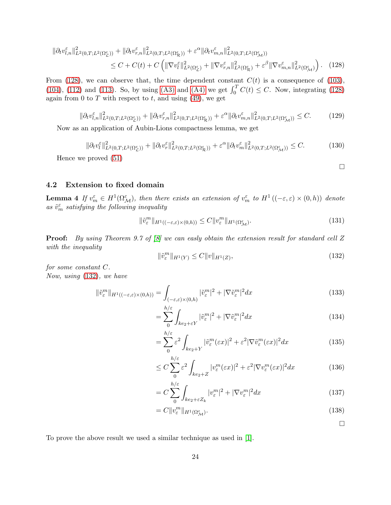$$
\|\partial_t v_{l,n}^{\varepsilon}\|_{L^2(0,T;L^2(\Omega_L^{\varepsilon}))}^2 + \|\partial_t v_{r,n}^{\varepsilon}\|_{L^2(0,T;L^2(\Omega_R^{\varepsilon}))}^2 + \varepsilon^{\alpha} \|\partial_t v_{m,n}^{\varepsilon}\|_{L^2(0,T;L^2(\Omega_M^{\varepsilon}))}^2
$$
  

$$
\leq C + C(t) + C \left( \|\nabla v_{l}^{\varepsilon}\|_{L^2(\Omega_L^{\varepsilon})}^2 + \|\nabla v_{r,n}^{\varepsilon}\|_{L^2(\Omega_R^{\varepsilon})}^2 + \varepsilon^{\beta} \|\nabla v_{m,n}^{\varepsilon}\|_{L^2(\Omega_M^{\varepsilon})}^2 \right). \tag{128}
$$

From [\(128\)](#page-23-0), we can observe that, the time dependent constant  $C(t)$  is a consequence of [\(103\)](#page-20-1), [\(104\)](#page-20-2), [\(112\)](#page-21-0) and [\(113\)](#page-21-1). So, by using [\(A3\)](#page-6-6) and [\(A4\)](#page-7-3) we get  $\int_0^T C(t) \leq C$ . Now, integrating [\(128\)](#page-23-0) again from 0 to  $T$  with respect to  $t$ , and using  $(49)$ , we get

$$
\|\partial_t v_{l,n}^{\varepsilon}\|_{L^2(0,T;L^2(\Omega_{\mathcal{L}}^{\varepsilon}))}^2 + \|\partial_t v_{r,n}^{\varepsilon}\|_{L^2(0,T;L^2(\Omega_{\mathcal{R}}^{\varepsilon}))}^2 + \varepsilon^{\alpha} \|\partial_t v_{m,n}^{\varepsilon}\|_{L^2(0,T;L^2(\Omega_{\mathcal{M}}^{\varepsilon}))}^2 \leq C. \tag{129}
$$

Now as an application of Aubin-Lions compactness lemma, we get

$$
\|\partial_t v_l^{\varepsilon}\|_{L^2(0,T;L^2(\Omega_L^{\varepsilon}))}^2 + \|\partial_t v_r^{\varepsilon}\|_{L^2(0,T;L^2(\Omega_R^{\varepsilon}))}^2 + \varepsilon^{\alpha} \|\partial_t v_m^{\varepsilon}\|_{L^2(0,T;L^2(\Omega_M^{\varepsilon}))}^2 \leq C. \tag{130}
$$

Hence we proved [\(51\)](#page-10-4)

### <span id="page-23-0"></span> $\Box$

#### 4.2 Extension to fixed domain

**Lemma 4** If  $v_m^{\varepsilon} \in H^1(\Omega_{\mathcal{M}}^{\varepsilon})$ , then there exists an extension of  $v_m^{\varepsilon}$  to  $H^1((-\varepsilon,\varepsilon) \times (0,h))$  denote as  $\tilde{v}_m^{\varepsilon}$  satisfying the following inequality

$$
\|\tilde{v}^m_{\varepsilon}\|_{H^1((-\varepsilon,\varepsilon)\times(0,h))} \le C \|v^m_{\varepsilon}\|_{H^1(\Omega^{\varepsilon}_{\mathcal{M}})}. \tag{131}
$$

Proof: By using Theorem 9.7 of [\[8\]](#page-38-11) we can easly obtain the extension result for standard cell Z with the inequality

<span id="page-23-1"></span>
$$
\|\tilde{v}^m_{\varepsilon}\|_{H^1(Y)} \le C \|v\|_{H^1(Z)},\tag{132}
$$

for some constant C. Now, using [\(132\)](#page-23-1), we have

$$
\|\tilde{v}^m_{\varepsilon}\|_{H^1((-\varepsilon,\varepsilon)\times(0,h))} = \int_{(-\varepsilon,\varepsilon)\times(0,h)} |\tilde{v}^m_{\varepsilon}|^2 + |\nabla \tilde{v}^m_{\varepsilon}|^2 dx \tag{133}
$$

$$
=\sum_{0}^{h/\varepsilon}\int_{ke_2+\varepsilon Y}|\tilde{v}^m_{\varepsilon}|^2+|\nabla\tilde{v}^m_{\varepsilon}|^2dx\qquad(134)
$$

$$
= \sum_{0}^{h/\varepsilon} \varepsilon^{2} \int_{ke_{2}+Y} |\tilde{v}^{m}_{\varepsilon}(\varepsilon x)|^{2} + \varepsilon^{2} |\nabla \tilde{v}^{m}_{\varepsilon}(\varepsilon x)|^{2} dx \qquad (135)
$$

$$
\leq C \sum_{0}^{n/\varepsilon} \varepsilon^2 \int_{k\varepsilon_2 + Z} |v_{\varepsilon}^m(\varepsilon x)|^2 + \varepsilon^2 |\nabla v_{\varepsilon}^m(\varepsilon x)|^2 dx \tag{136}
$$

$$
= C \sum_{0}^{h/\varepsilon} \int_{ke_2 + \varepsilon Z_k} |v_{\varepsilon}^m|^2 + |\nabla v_{\varepsilon}^m|^2 dx \tag{137}
$$

$$
= C \|v_{\varepsilon}^{m}\|_{H^{1}(\Omega_{\mathcal{M}}^{\varepsilon})}.
$$
\n(138)

 $\Box$ 

To prove the above result we used a similar technique as used in [\[1\]](#page-38-12).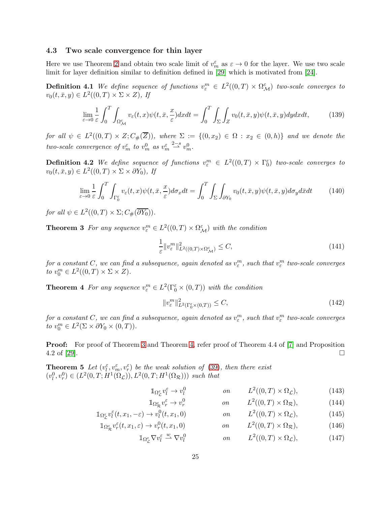#### 4.3 Two scale convergence for thin layer

Here we use Theorem [2](#page-10-6) and obtain two scale limit of  $v_m^{\varepsilon}$  as  $\varepsilon \to 0$  for the layer. We use two scale limit for layer definition similar to definition defined in [\[29\]](#page-39-4) which is motivated from [\[24\]](#page-39-3).

**Definition 4.1** We define sequence of functions  $v_{\varepsilon}^m \in L^2((0,T) \times \Omega_{\mathcal{M}}^{\varepsilon})$  two-scale converges to  $v_0(t, \bar{x}, y) \in L^2((0, T) \times \Sigma \times Z), \text{ If}$ 

$$
\lim_{\varepsilon \to 0} \frac{1}{\varepsilon} \int_0^T \int_{\Omega_{\mathcal{M}}^{\varepsilon}} v_{\varepsilon}(t, x) \psi(t, \bar{x}, \frac{x}{\varepsilon}) dx dt = \int_0^T \int_{\Sigma} \int_Z v_0(t, \bar{x}, y) \psi(t, \bar{x}, y) dy dx dt, \tag{139}
$$

for all  $\psi \in L^2((0,T) \times Z; C_{\#}(\overline{Z}))$ , where  $\Sigma := \{(0,x_2) \in \Omega : x_2 \in (0,h)\}\$  and we denote the two-scale convergence of  $v_m^{\varepsilon}$  to  $v_m^0$  as  $v_m^{\varepsilon} \stackrel{2-s}{\longrightarrow} v_m^0$ .

**Definition 4.2** We define sequence of functions  $v_{\varepsilon}^m \in L^2((0,T) \times \Gamma_0^{\varepsilon})$  two-scale converges to  $v_0(t, \bar{x}, y) \in L^2((0, T) \times \Sigma \times \partial Y_0)$ , If

$$
\lim_{\varepsilon \to 0} \frac{1}{\varepsilon} \int_0^T \int_{\Gamma_0^{\varepsilon}} v_{\varepsilon}(t, x) \psi(t, \bar{x}, \frac{x}{\varepsilon}) d\sigma_x dt = \int_0^T \int_{\Sigma} \int_{\partial Y_0} v_0(t, \bar{x}, y) \psi(t, \bar{x}, y) d\sigma_y d\bar{x} dt \tag{140}
$$

for all  $\psi \in L^2((0,T) \times \Sigma; C_{\#}(\overline{\partial Y_0})).$ 

<span id="page-24-0"></span>**Theorem 3** For any sequence  $v_{\varepsilon}^m \in L^2((0,T) \times \Omega_{\mathcal{M}}^{\varepsilon})$  with the condition

$$
\frac{1}{\varepsilon} \|v_{\varepsilon}^{m}\|_{L^{2}((0,T)\times\Omega_{\mathcal{M}}^{\varepsilon})}^{2} \leq C,
$$
\n(141)

for a constant C, we can find a subsequence, again denoted as  $v_\varepsilon^m$ , such that  $v_\varepsilon^m$  two-scale converges to  $v_0^m \in L^2((0,T) \times \Sigma \times Z)$ .

<span id="page-24-1"></span>**Theorem 4** For any sequence  $v_{\varepsilon}^m \in L^2(\Gamma_0^{\varepsilon} \times (0,T))$  with the condition

<span id="page-24-5"></span>
$$
||v_{\varepsilon}^{m}||_{L^{2}\left(\Gamma_{0}^{\varepsilon}\times(0,T)\right)}^{2} \leq C,\tag{142}
$$

for a constant C, we can find a subsequence, again denoted as  $v_\varepsilon^m$ , such that  $v_\varepsilon^m$  two-scale converges to  $v_0^m \in L^2(\Sigma \times \partial Y_0 \times (0,T)).$ 

Proof: For proof of Theorem [3](#page-24-0) and Theorem [4,](#page-24-1) refer proof of Theorem 4.4 of [\[7\]](#page-38-7) and Proposition  $4.2 \text{ of } [29]$  $4.2 \text{ of } [29]$ .

**Theorem 5** Let  $(v_l^{\varepsilon}, v_m^{\varepsilon}, v_r^{\varepsilon})$  be the weak solution of [\(39\)](#page-9-2), then there exist  $(v_l^0, v_r^0) \in (L^2(0,T; H^1(\Omega_{\mathcal{L}})), L^2(0,T; H^1(\Omega_{\mathcal{R}})))$  such that

<span id="page-24-4"></span><span id="page-24-3"></span><span id="page-24-2"></span>
$$
\mathbb{1}_{\Omega_{\mathcal{L}}^{\varepsilon}}v_{l}^{\varepsilon} \to v_{l}^{0} \qquad \qquad on \qquad L^{2}((0,T) \times \Omega_{\mathcal{L}}), \qquad (143)
$$

$$
\mathbb{1}_{\Omega_{\mathcal{R}}^{\varepsilon}}v_r^{\varepsilon} \to v_r^0 \qquad \qquad on \qquad L^2((0,T) \times \Omega_{\mathcal{R}}), \qquad (144)
$$

$$
\mathbb{1}_{\Omega_{\mathcal{L}}^{\varepsilon}}v_{l}^{\varepsilon}(t,x_{1},-\varepsilon)\to v_{l}^{0}(t,x_{1},0) \qquad \text{on} \qquad L^{2}((0,T)\times\Omega_{\mathcal{L}}), \qquad (145)
$$

$$
\mathbb{1}_{\Omega^{\varepsilon}_{\mathcal{R}}} v_r^{\varepsilon}(t, x_1, \varepsilon) \to v_r^0(t, x_1, 0) \qquad \qquad on \qquad L^2((0, T) \times \Omega_{\mathcal{R}}), \tag{146}
$$

$$
\mathbb{1}_{\Omega_{\mathcal{L}}^{\varepsilon}} \nabla v_l^{\varepsilon} \stackrel{w}{\longrightarrow} \nabla v_l^0 \qquad \qquad on \qquad L^2((0,T) \times \Omega_{\mathcal{L}}), \tag{147}
$$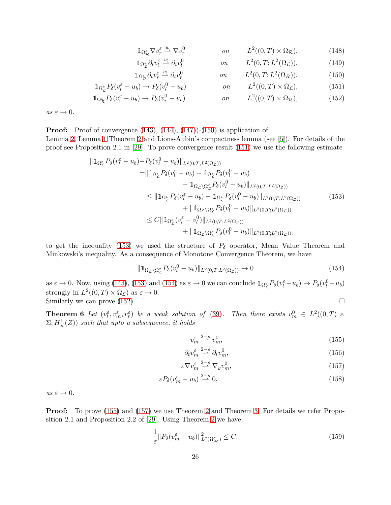<span id="page-25-10"></span><span id="page-25-9"></span><span id="page-25-4"></span><span id="page-25-1"></span><span id="page-25-0"></span>
$$
\mathbb{1}_{\Omega_{\mathcal{R}}^{\varepsilon}} \nabla v_r^{\varepsilon} \stackrel{w}{\rightharpoonup} \nabla v_r^0 \qquad \qquad on \qquad L^2((0,T) \times \Omega_{\mathcal{R}}), \tag{148}
$$

$$
\mathbb{1}_{\Omega_{\mathcal{L}}^{\varepsilon}} \partial_t v_l^{\varepsilon} \stackrel{w}{\longrightarrow} \partial_t v_l^0 \qquad \qquad on \qquad L^2(0, T; L^2(\Omega_{\mathcal{L}})), \qquad \qquad (149)
$$

$$
\mathbb{1}_{\Omega^{\varepsilon}_{\mathcal{R}}}\partial_t v_r^{\varepsilon} \stackrel{w}{\rightharpoonup} \partial_t v_r^0 \qquad \qquad on \qquad L^2(0, T; L^2(\Omega_{\mathcal{R}})), \qquad (150)
$$

$$
\mathbb{1}_{\Omega_{\mathcal{L}}^{\varepsilon}} P_{\delta}(v_{l}^{\varepsilon} - u_{b}) \to P_{\delta}(v_{l}^{0} - u_{b}) \qquad \qquad on \qquad L^{2}((0, T) \times \Omega_{\mathcal{L}}), \tag{151}
$$

$$
\mathbb{1}_{\Omega_{\mathcal{R}}^{\varepsilon}} P_{\delta}(v_r^{\varepsilon} - u_b) \to P_{\delta}(v_r^0 - u_b) \qquad \qquad on \qquad L^2((0, T) \times \Omega_{\mathcal{R}}), \tag{152}
$$

 $as \; \varepsilon \to 0.$ 

**Proof:** Proof of convergence  $(143)$ ,  $(144)$ ,  $(147)$  $(-150)$  is application of

Lemma [2,](#page-10-7) Lemma [1](#page-9-7) Theorem [2](#page-10-6) and Lions-Aubin's compactness lemma (see [\[5\]](#page-38-13)). For details of the proof see Proposition 2.1 in [\[29\]](#page-39-4). To prove convergence result [\(151\)](#page-25-1) we use the following estimate

<span id="page-25-2"></span>
$$
\|1_{\Omega_{\mathcal{L}}^{\varepsilon}} P_{\delta}(v_{l}^{\varepsilon} - u_{b}) - P_{\delta}(v_{l}^{0} - u_{b})\|_{L^{2}(0,T;L^{2}(\Omega_{\mathcal{L}}))}
$$
\n
$$
= \|1_{\Omega_{\mathcal{L}}^{\varepsilon}} P_{\delta}(v_{l}^{\varepsilon} - u_{b}) - 1_{\Omega_{\mathcal{L}}^{\varepsilon}} P_{\delta}(v_{l}^{0} - u_{b})\|_{L^{2}(0,T;L^{2}(\Omega_{\mathcal{L}}))}
$$
\n
$$
\leq \|1_{\Omega_{\mathcal{L}}^{\varepsilon}} P_{\delta}(v_{l}^{\varepsilon} - u_{b}) - 1_{\Omega_{\mathcal{L}}^{\varepsilon}} P_{\delta}(v_{l}^{0} - u_{b})\|_{L^{2}(0,T;L^{2}(\Omega_{\mathcal{L}}))}
$$
\n
$$
\leq \|1_{\Omega_{\mathcal{L}}^{\varepsilon}} P_{\delta}(v_{l}^{\varepsilon} - u_{b}) - 1_{\Omega_{\mathcal{L}}^{\varepsilon}} P_{\delta}(v_{l}^{0} - u_{b})\|_{L^{2}(0,T;L^{2}(\Omega_{\mathcal{L}}))}
$$
\n
$$
\leq C \|\mathbb{1}_{\Omega_{\mathcal{L}}^{\varepsilon}}(v_{l}^{\varepsilon} - v_{l}^{0})\|_{L^{2}(0,T;L^{2}(\Omega_{\mathcal{L}}))}
$$
\n
$$
+ \|\mathbb{1}_{\Omega_{\mathcal{L}}\setminus\Omega_{\mathcal{L}}^{\varepsilon}} P_{\delta}(v_{l}^{0} - u_{b})\|_{L^{2}(0,T;L^{2}(\Omega_{\mathcal{L}}))},
$$
\n(153)

to get the inequality [\(153\)](#page-25-2) we used the structure of  $P_\delta$  operator, Mean Value Theorem and Minkowski's inequality. As a consequence of Monotone Convergence Theorem, we have

<span id="page-25-3"></span>
$$
\|\mathbb{1}_{\Omega_{\mathcal{L}}\backslash\Omega_{\mathcal{L}}^{\varepsilon}}P_{\delta}(v_{l}^{0}-u_{b})\|_{L^{2}(0,T;L^{2}(\Omega_{\mathcal{L}}))}\to 0\tag{154}
$$

as  $\varepsilon \to 0$ . Now, using [\(143\)](#page-24-2), [\(153\)](#page-25-2) and [\(154\)](#page-25-3) as  $\varepsilon \to 0$  we can conclude  $\mathbb{1}_{\Omega_{\mathcal{L}}^{\varepsilon}} P_{\delta}(v_{l}^{\varepsilon} - u_{b}) \to P_{\delta}(v_{l}^{0} - u_{b})$ strongly in  $L^2((0,T) \times \Omega_{\mathcal{L}})$  as  $\varepsilon \to 0$ . Similarly we can prove [\(152\)](#page-25-4).  $\Box$ 

**Theorem 6** Let  $(v_l^{\varepsilon}, v_m^{\varepsilon}, v_r^{\varepsilon})$  be a weak solution of [\(39\)](#page-9-2). Then there exists  $v_m^0 \in L^2((0,T) \times$  $(\Sigma; H^1_{\#}(\mathbb{Z}))$  such that upto a subsequence, it holds

<span id="page-25-8"></span><span id="page-25-6"></span><span id="page-25-5"></span>
$$
v_m^{\varepsilon} \stackrel{2-s}{\longrightarrow} v_m^0,\tag{155}
$$

$$
\partial_t v_m^{\varepsilon} \stackrel{2-s}{\rightharpoonup} \partial_t v_m^0,\tag{156}
$$

$$
\varepsilon \nabla v_m^{\varepsilon} \stackrel{2-s}{\rightharpoonup} \nabla_y v_m^0,\tag{157}
$$

$$
\varepsilon P_{\delta}(v_m^{\varepsilon} - u_b) \stackrel{2-s}{\rightharpoonup} 0,\tag{158}
$$

 $as \varepsilon \to 0.$ 

Proof: To prove [\(155\)](#page-25-5) and [\(157\)](#page-25-6) we use Theorem [2](#page-10-6) and Theorem [3.](#page-24-0) For details we refer Proposition 2.1 and Proposition 2.2 of [\[29\]](#page-39-4). Using Theorem [2](#page-10-6) we have

<span id="page-25-7"></span>
$$
\frac{1}{\varepsilon} \| P_\delta(v_m^\varepsilon - u_b) \|_{L^2(\Omega_M^\varepsilon)}^2 \le C. \tag{159}
$$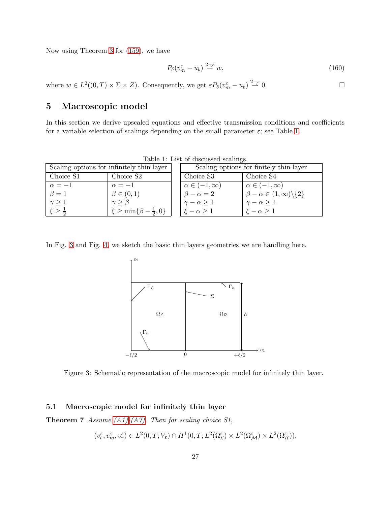Now using Theorem [3](#page-24-0) for [\(159\)](#page-25-7), we have

$$
P_{\delta}(v_m^{\varepsilon} - u_b) \stackrel{2-s}{\rightharpoonup} w,\tag{160}
$$

where  $w \in L^2((0,T) \times \Sigma \times Z)$ . Consequently, we get  $\varepsilon P_\delta(v_m^\varepsilon - u_b) \stackrel{2-s}{\rightharpoonup} 0$ .

# <span id="page-26-1"></span>5 Macroscopic model

In this section we derive upscaled equations and effective transmission conditions and coefficients for a variable selection of scalings depending on the small parameter  $\varepsilon$ ; see Table [1.](#page-26-2)

| $-0.00101$ $-0.00001$ $-0.00000$ $-0.00001$ |                                          |  |                                                   |                                                   |
|---------------------------------------------|------------------------------------------|--|---------------------------------------------------|---------------------------------------------------|
| Scaling options for infinitely thin layer   |                                          |  | Scaling options for finitely thin layer           |                                                   |
| Choice S1                                   | Choice S <sub>2</sub>                    |  | Choice S3                                         | Choice S4                                         |
| $\alpha = -1$                               | $\alpha = -1$                            |  | $\alpha \in (-1, \infty)$<br>$\beta - \alpha = 2$ | $\alpha \in (-1, \infty)$                         |
| $\beta=1$                                   | $\beta \in (0,1)$                        |  |                                                   | $\beta - \alpha \in (1, \infty) \backslash \{2\}$ |
| $\gamma \geq 1$                             | $\gamma \geq \beta$                      |  | $\gamma - \alpha \geq 1$                          | $\gamma - \alpha \geq 1$                          |
|                                             | $\xi \ge \min\{\beta - \frac{1}{2}, 0\}$ |  | $\xi - \alpha \geq 1$                             | $\xi - \alpha \geq 1$                             |

<span id="page-26-2"></span>Table 1: List of discussed scalings.

In Fig. [3](#page-26-0) and Fig. [4,](#page-27-0) we sketch the basic thin layers geometries we are handling here.



<span id="page-26-0"></span>Figure 3: Schematic representation of the macroscopic model for infinitely thin layer.

#### <span id="page-26-3"></span>5.1 Macroscopic model for infinitely thin layer

**Theorem 7** Assume  $(A1)-(A7)$ . Then for scaling choice S1,

$$
(v_l^{\varepsilon}, v_m^{\varepsilon}, v_r^{\varepsilon}) \in L^2(0, T; V_{\varepsilon}) \cap H^1(0, T; L^2(\Omega_{\mathcal{L}}^{\varepsilon}) \times L^2(\Omega_{\mathcal{M}}^{\varepsilon}) \times L^2(\Omega_{\mathcal{R}}^{\varepsilon})),
$$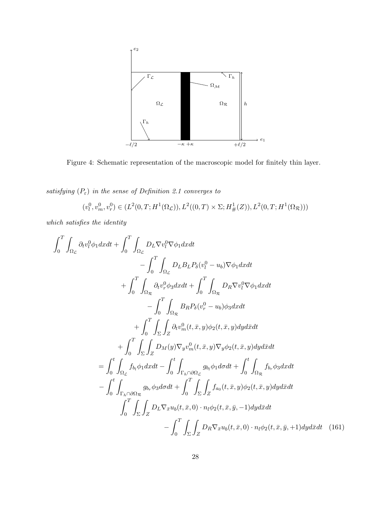

<span id="page-27-0"></span>Figure 4: Schematic representation of the macroscopic model for finitely thin layer.

satisfying  $(P_{\varepsilon})$  in the sense of Definition 2.1 converges to

<span id="page-27-1"></span>
$$
(v_l^0, v_m^0, v_r^0) \in (L^2(0,T;H^1(\Omega_{\mathcal{L}})), L^2((0,T) \times \Sigma; H^1_{\#}(Z)), L^2(0,T;H^1(\Omega_{\mathcal{R}})))
$$

which satisfies the identity

$$
\int_{0}^{T} \int_{\Omega_{\mathcal{L}}} \partial_{t}v_{l}^{0} \phi_{1} dxdt + \int_{0}^{T} \int_{\Omega_{\mathcal{L}}} D_{L} \nabla v_{l}^{0} \nabla \phi_{1} dxdt \n- \int_{0}^{T} \int_{\Omega_{\mathcal{L}}} D_{L} B_{L} P_{\delta}(v_{l}^{0} - u_{b}) \nabla \phi_{1} dxdt \n+ \int_{0}^{T} \int_{\Omega_{\mathcal{R}}} \partial_{t}v_{r}^{0} \phi_{3} dxdt + \int_{0}^{T} \int_{\Omega_{\mathcal{R}}} D_{R} \nabla v_{l}^{0} \nabla \phi_{1} dxdt \n- \int_{0}^{T} \int_{\Omega_{\mathcal{R}}} B_{R} P_{\delta}(v_{r}^{0} - u_{b}) \phi_{3} dxdt \n+ \int_{0}^{T} \int_{\Sigma} \int_{Z} \partial_{t}v_{m}^{0}(t, \bar{x}, y) \phi_{2}(t, \bar{x}, y) dyd\bar{x}dt \n+ \int_{0}^{T} \int_{\Sigma} \int_{Z} D_{M}(y) \nabla_{y}v_{m}^{0}(t, \bar{x}, y) \nabla_{y} \phi_{2}(t, \bar{x}, y) dyd\bar{x}dt \n= \int_{0}^{t} \int_{\Omega_{\mathcal{L}}} f_{b_{l}} \phi_{1} dxdt - \int_{0}^{t} \int_{\Gamma_{h} \cap \partial \Omega_{\mathcal{L}}} g_{b_{l}} \phi_{1} d\sigma dt + \int_{0}^{t} \int_{\Omega_{\mathcal{R}}} f_{b_{r}} \phi_{3} dxdt \n- \int_{0}^{T} \int_{\Gamma_{h} \cap \partial \Omega_{\mathcal{R}}} g_{b_{r}} \phi_{3} d\sigma dt + \int_{0}^{T} \int_{\Sigma} \int_{Z} f_{a_{0}}(t, \bar{x}, y) \phi_{2}(t, \bar{x}, y) dyd\bar{x}dt \n- \int_{0}^{T} \int_{\Sigma} \int_{Z} D_{L} \nabla_{\bar{x}} u_{b}(t, \bar{x}, 0) \cdot n_{l} \phi_{2}(t, \bar{x}, \bar{y}, -1) dyd\bar{x}dt \n- \int_{0}^{T} \int_{\Sigma} \int_{Z
$$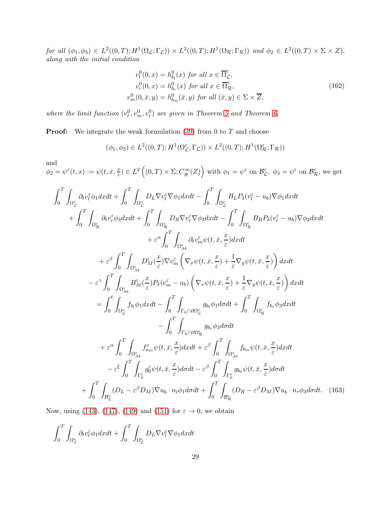for all  $(\phi_1, \phi_3) \in L^2((0,T); H^1(\Omega_{\mathcal{L}}; \Gamma_{\mathcal{L}})) \times L^2((0,T); H^1(\Omega_{\mathcal{R}}; \Gamma_{\mathcal{R}}))$  and  $\phi_2 \in L^2((0,T) \times \Sigma \times Z)$ , along with the initial condition

<span id="page-28-0"></span>
$$
v_l^0(0, x) = h_{b_l}^0(x) \text{ for all } x \in \overline{\Omega}_{\mathcal{L}}^{\varepsilon},
$$
  
\n
$$
v_r^0(0, x) = h_{b_r}^0(x) \text{ for all } x \in \overline{\Omega}_{\mathcal{R}}^{\varepsilon},
$$
  
\n
$$
v_m^0(0, \bar{x}, y) = h_{b_m}^0(\bar{x}, y) \text{ for all } (\bar{x}, y) \in \Sigma \times \overline{Z},
$$
\n(162)

where the limit function  $(v_l^0, v_m^0, v_r^0)$  are given in Theorem [5](#page-24-5) and Theorem [6.](#page-25-8)

**Proof:** We integrate the weak formulation  $(39)$  from 0 to  $T$  and choose

$$
(\phi_1, \phi_3) \in L^2((0, T); H^1(\Omega_{\mathcal{L}}^{\varepsilon}; \Gamma_{\mathcal{L}})) \times L^2((0, T); H^1(\Omega_{\mathcal{R}}^{\varepsilon}; \Gamma_{\mathcal{R}}))
$$

and

 $\phi_2 = \psi^\varepsilon(t,x) := \psi(t,\bar{x},\frac{x}{\varepsilon})$  $(\mathcal{L}^{\underline{x}}) \in L^2((0,T) \times \Sigma; C^{\infty}_{\#}(Z))$  with  $\phi_1 = \psi^{\varepsilon}$  on  $\mathcal{B}_{\mathcal{L}}^{\varepsilon}$ ,  $\phi_3 = \psi^{\varepsilon}$  on  $\mathcal{B}_{\mathcal{R}}^{\varepsilon}$ , we get

$$
\int_{0}^{T} \int_{\Omega_{\xi_{c}}^{x}} \partial_{t}v_{\ell}^{z} \phi_{1} dxdt + \int_{0}^{T} \int_{\Omega_{\xi_{c}}^{x}} D_{L} \nabla v_{\ell}^{z} \nabla \phi_{1} dxdt - \int_{0}^{T} \int_{\Omega_{\xi_{c}}^{x}} B_{L} P_{\delta}(v_{\ell}^{z} - u_{b}) \nabla \phi_{1} dxdt \n+ \int_{0}^{T} \int_{\Omega_{\xi_{R}}^{z}} \partial_{t}v_{\tau}^{z} \phi_{3} dxdt + \int_{0}^{T} \int_{\Omega_{\xi_{R}}^{z}} D_{R} \nabla v_{\tau}^{z} \nabla \phi_{3} dxdt - \int_{0}^{T} \int_{\Omega_{\xi_{R}}^{z}} B_{R} P_{\delta}(v_{r}^{z} - u_{b}) \nabla \phi_{3} dxdt \n+ \varepsilon^{\alpha} \int_{0}^{T} \int_{\Omega_{\xi_{M}}^{z}} D_{\xi_{M}}^{z} (\frac{x}{\varepsilon}) \nabla v_{m}^{z} \left( \nabla_{x} \psi(t, \bar{x}, \frac{x}{\varepsilon}) + \frac{1}{\varepsilon} \nabla_{y} \psi(t, \bar{x}, \frac{x}{\varepsilon}) \right) dxdt \n- \varepsilon^{\gamma} \int_{0}^{T} \int_{\Omega_{\xi_{M}}^{z}} B_{M}^{z} (\frac{x}{\varepsilon}) P_{\delta}(v_{m}^{z} - u_{b}) \left( \nabla_{x} \psi(t, \bar{x}, \frac{x}{\varepsilon}) + \frac{1}{\varepsilon} \nabla_{y} \psi(t, \bar{x}, \frac{x}{\varepsilon}) \right) dxdt \n- \int_{0}^{T} \int_{\Omega_{\xi_{c}}^{z}} f_{b_{l}} \phi_{1} dxdt - \int_{0}^{T} \int_{\Gamma_{h} \cap \partial \Omega_{\xi}^{z}} g_{b_{l}} \phi_{1} d\sigma dt + \int_{0}^{T} \int_{\Omega_{\xi_{R}}^{z}} f_{b_{r}} \phi_{3} dxdt \n+ \varepsilon^{\alpha} \int_{0}^{T} \int_{\Omega_{\xi_{M}}^{z}} f_{\delta_{m}}^{z} \psi(t, \bar{x}, \frac{x}{\varepsilon}) dxdt + \varepsilon^{\beta
$$

Now, using [\(143\)](#page-24-2), [\(147\)](#page-24-4), [\(149\)](#page-25-9) and [\(151\)](#page-25-1) for  $\varepsilon \to 0$ , we obtain

$$
\int_0^T \int_{\Omega_{\mathcal{L}}^{\varepsilon}} \partial_t v_l^{\varepsilon} \phi_1 dxdt + \int_0^T \int_{\Omega_{\mathcal{L}}^{\varepsilon}} D_L \nabla v_l^{\varepsilon} \nabla \phi_1 dxdt
$$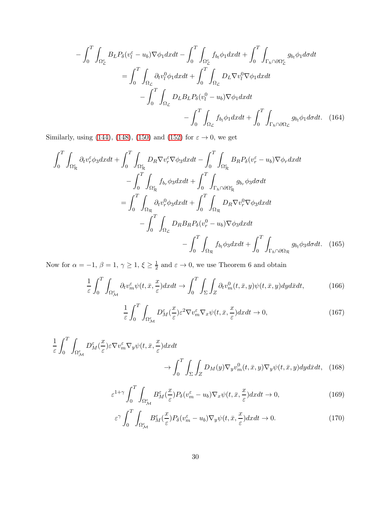$$
-\int_{0}^{T} \int_{\Omega_{\mathcal{L}}^{e}} B_{L} P_{\delta} (v_{l}^{\varepsilon} - u_{b}) \nabla \phi_{1} dx dt - \int_{0}^{T} \int_{\Omega_{\mathcal{L}}^{e}} f_{b_{l}} \phi_{1} dx dt + \int_{0}^{T} \int_{\Gamma_{h} \cap \partial \Omega_{\mathcal{L}}^{e}} g_{b_{l}} \phi_{1} d\sigma dt
$$

$$
= \int_{0}^{T} \int_{\Omega_{\mathcal{L}}} \partial_{t} v_{l}^{0} \phi_{1} dx dt + \int_{0}^{T} \int_{\Omega_{\mathcal{L}}} D_{L} \nabla v_{l}^{0} \nabla \phi_{1} dx dt
$$

$$
- \int_{0}^{T} \int_{\Omega_{\mathcal{L}}} D_{L} B_{L} P_{\delta} (v_{l}^{0} - u_{b}) \nabla \phi_{1} dx dt + \int_{0}^{T} \int_{\Gamma_{h} \cap \partial \Omega_{\mathcal{L}}} g_{b_{l}} \phi_{1} d\sigma dt. \quad (164)
$$

Similarly, using [\(144\)](#page-24-3), [\(148\)](#page-25-10), [\(150\)](#page-25-0) and [\(152\)](#page-25-4) for  $\varepsilon \to 0,$  we get

$$
\int_{0}^{T} \int_{\Omega_{\mathcal{R}}^{\varepsilon}} \partial_{t} v_{r}^{\varepsilon} \phi_{3} dxdt + \int_{0}^{T} \int_{\Omega_{\mathcal{R}}^{\varepsilon}} D_{R} \nabla v_{r}^{\varepsilon} \nabla \phi_{3} dxdt - \int_{0}^{T} \int_{\Omega_{\mathcal{R}}^{\varepsilon}} B_{R} P_{\delta} (v_{r}^{\varepsilon} - u_{b}) \nabla \phi_{r} dxdt \n- \int_{0}^{T} \int_{\Omega_{\mathcal{R}}^{\varepsilon}} f_{b_{r}} \phi_{3} dxdt + \int_{0}^{T} \int_{\Gamma_{h} \cap \partial \Omega_{\mathcal{R}}^{\varepsilon}} g_{b_{r}} \phi_{3} d\sigma dt \n= \int_{0}^{T} \int_{\Omega_{\mathcal{R}}} \partial_{t} v_{r}^{0} \phi_{3} dxdt + \int_{0}^{T} \int_{\Omega_{\mathcal{R}}} D_{R} \nabla v_{r}^{0} \nabla \phi_{3} dxdt \n- \int_{0}^{T} \int_{\Omega_{\mathcal{L}}} D_{R} B_{R} P_{\delta} (v_{r}^{0} - u_{b}) \nabla \phi_{3} dxdt \n- \int_{0}^{T} \int_{\Omega_{\mathcal{R}}} f_{b_{l}} \phi_{3} dxdt + \int_{0}^{T} \int_{\Gamma_{h} \cap \partial \Omega_{\mathcal{R}}} g_{b_{l}} \phi_{3} d\sigma dt. (165)
$$

Now for  $\alpha = -1, \beta = 1, \gamma \ge 1, \xi \ge \frac{1}{2}$  $\frac{1}{2}$  and  $\varepsilon \to 0$ , we use Theorem 6 and obtain

$$
\frac{1}{\varepsilon} \int_0^T \int_{\Omega_{\mathcal{M}}^{\varepsilon}} \partial_t v_m^{\varepsilon} \psi(t, \bar{x}, \frac{x}{\varepsilon}) dx dt \to \int_0^T \int_{\Sigma} \int_Z \partial_t v_m^0(t, \bar{x}, y) \psi(t, \bar{x}, y) dy d\bar{x} dt,
$$
\n(166)

<span id="page-29-0"></span>
$$
\frac{1}{\varepsilon} \int_0^T \int_{\Omega_M^{\varepsilon}} D_M^{\varepsilon}(\frac{x}{\varepsilon}) \varepsilon^2 \nabla v_m^{\varepsilon} \nabla_x \psi(t, \bar{x}, \frac{x}{\varepsilon}) dx dt \to 0, \tag{167}
$$

$$
\frac{1}{\varepsilon} \int_0^T \int_{\Omega_{\mathcal{M}}^{\varepsilon}} D_{\mathcal{M}}^{\varepsilon}(\frac{x}{\varepsilon}) \varepsilon \nabla v_m^{\varepsilon} \nabla_y \psi(t, \bar{x}, \frac{x}{\varepsilon}) dx dt \n\to \int_0^T \int_{\Sigma} \int_Z D_M(y) \nabla_y v_m^0(t, \bar{x}, y) \nabla_y \psi(t, \bar{x}, y) dy d\bar{x} dt, (168)
$$

$$
\varepsilon^{1+\gamma} \int_0^T \int_{\Omega_{\mathcal{M}}^{\varepsilon}} B_M^{\varepsilon}(\frac{x}{\varepsilon}) P_{\delta}(v_m^{\varepsilon} - u_b) \nabla_x \psi(t, \bar{x}, \frac{x}{\varepsilon}) dx dt \to 0, \tag{169}
$$

$$
\varepsilon^{\gamma} \int_{0}^{T} \int_{\Omega_{\mathcal{M}}^{\varepsilon}} B_{M}^{\varepsilon}(\frac{x}{\varepsilon}) P_{\delta}(v_{m}^{\varepsilon} - u_{b}) \nabla_{y} \psi(t, \bar{x}, \frac{x}{\varepsilon}) dx dt \to 0.
$$
 (170)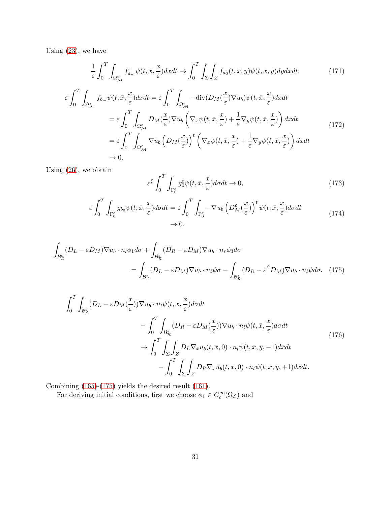Using [\(23\)](#page-7-5), we have

$$
\frac{1}{\varepsilon} \int_0^T \int_{\Omega_{\mathcal{M}}^{\varepsilon}} f_{a_m}^{\varepsilon} \psi(t, \bar{x}, \frac{x}{\varepsilon}) dx dt \to \int_0^T \int_{\Sigma} \int_Z f_{a_0}(t, \bar{x}, y) \psi(t, \bar{x}, y) dy d\bar{x} dt,
$$
\n(171)

$$
\varepsilon \int_{0}^{T} \int_{\Omega_{\mathcal{M}}^{\varepsilon}} f_{b_{m}} \psi(t, \bar{x}, \frac{x}{\varepsilon}) dx dt = \varepsilon \int_{0}^{T} \int_{\Omega_{\mathcal{M}}^{\varepsilon}} -\text{div}(D_{M}(\frac{x}{\varepsilon}) \nabla u_{b}) \psi(t, \bar{x}, \frac{x}{\varepsilon}) dx dt \n= \varepsilon \int_{0}^{T} \int_{\Omega_{\mathcal{M}}^{\varepsilon}} D_{M}(\frac{x}{\varepsilon}) \nabla u_{b} \left( \nabla_{x} \psi(t, \bar{x}, \frac{x}{\varepsilon}) + \frac{1}{\varepsilon} \nabla_{y} \psi(t, \bar{x}, \frac{x}{\varepsilon}) \right) dx dt \n= \varepsilon \int_{0}^{T} \int_{\Omega_{\mathcal{M}}^{\varepsilon}} \nabla u_{b} \left( D_{M}(\frac{x}{\varepsilon}) \right)^{t} \left( \nabla_{x} \psi(t, \bar{x}, \frac{x}{\varepsilon}) + \frac{1}{\varepsilon} \nabla_{y} \psi(t, \bar{x}, \frac{x}{\varepsilon}) \right) dx dt \n\to 0.
$$
\n(172)

Using [\(26\)](#page-7-6), we obtain

<span id="page-30-0"></span>
$$
\varepsilon^{\xi} \int_0^T \int_{\Gamma_0^{\varepsilon}} g_0^{\varepsilon} \psi(t, \bar{x}, \frac{x}{\varepsilon}) d\sigma dt \to 0, \tag{173}
$$

$$
\varepsilon \int_0^T \int_{\Gamma_0^{\varepsilon}} g_{b_0} \psi(t, \bar{x}, \frac{x}{\varepsilon}) d\sigma dt = \varepsilon \int_0^T \int_{\Gamma_0^{\varepsilon}} -\nabla u_b \left( D_M^{\varepsilon} (\frac{x}{\varepsilon}) \right)^t \psi(t, \bar{x}, \frac{x}{\varepsilon}) d\sigma dt
$$
\n
$$
\to 0.
$$
\n(174)

$$
\int_{\mathcal{B}_{\mathcal{L}}^{\varepsilon}} (D_{L} - \varepsilon D_{M}) \nabla u_{b} \cdot n_{l} \phi_{1} d\sigma + \int_{\mathcal{B}_{\mathcal{R}}^{\varepsilon}} (D_{R} - \varepsilon D_{M}) \nabla u_{b} \cdot n_{r} \phi_{3} d\sigma
$$
\n
$$
= \int_{\mathcal{B}_{\mathcal{L}}^{\varepsilon}} (D_{L} - \varepsilon D_{M}) \nabla u_{b} \cdot n_{l} \psi \sigma - \int_{\mathcal{B}_{\mathcal{R}}^{\varepsilon}} (D_{R} - \varepsilon^{\beta} D_{M}) \nabla u_{b} \cdot n_{l} \psi d\sigma. \quad (175)
$$

$$
\int_{0}^{T} \int_{\mathcal{B}_{\mathcal{L}}^{\varepsilon}} (D_{L} - \varepsilon D_{M}(\frac{x}{\varepsilon})) \nabla u_{b} \cdot n_{l} \psi(t, \bar{x}, \frac{x}{\varepsilon}) d\sigma dt \n- \int_{0}^{T} \int_{\mathcal{B}_{\mathcal{R}}^{\varepsilon}} (D_{R} - \varepsilon D_{M}(\frac{x}{\varepsilon})) \nabla u_{b} \cdot n_{l} \psi(t, \bar{x}, \frac{x}{\varepsilon}) d\sigma dt \n\rightarrow \int_{0}^{T} \int_{\Sigma} \int_{Z} D_{L} \nabla_{\bar{x}} u_{b}(t, \bar{x}, 0) \cdot n_{l} \psi(t, \bar{x}, \bar{y}, -1) d\bar{x} dt \n- \int_{0}^{T} \int_{\Sigma} \int_{Z} D_{R} \nabla_{\bar{x}} u_{b}(t, \bar{x}, 0) \cdot n_{l} \psi(t, \bar{x}, \bar{y}, +1) d\bar{x} dt.
$$
\n(176)

Combining [\(165\)](#page-29-0)-[\(175\)](#page-30-0) yields the desired result [\(161\)](#page-27-1).

For deriving initial conditions, first we choose  $\phi_1 \in C_c^{\infty}(\Omega_{\mathcal{L}})$  and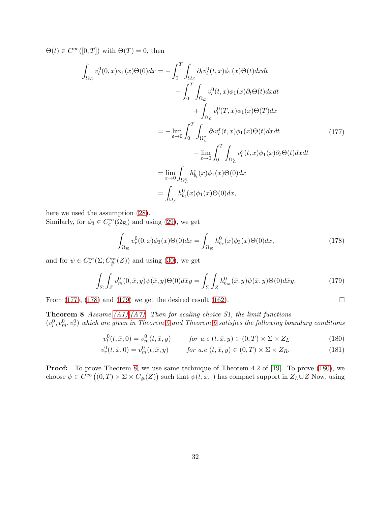$\Theta(t) \in C^{\infty}([0,T])$  with  $\Theta(T) = 0$ , then

<span id="page-31-0"></span>
$$
\int_{\Omega_{\mathcal{L}}} v_{l}^{0}(0,x)\phi_{1}(x)\Theta(0)dx = -\int_{0}^{T} \int_{\Omega_{\mathcal{L}}} \partial_{t}v_{l}^{0}(t,x)\phi_{1}(x)\Theta(t)dxdt \n- \int_{0}^{T} \int_{\Omega_{\mathcal{L}}} v_{l}^{0}(t,x)\phi_{1}(x)\partial_{t}\Theta(t)dxdt \n+ \int_{\Omega_{\mathcal{L}}} v_{l}^{0}(T,x)\phi_{1}(x)\Theta(T)dx \n= -\lim_{\varepsilon \to 0} \int_{0}^{T} \int_{\Omega_{\mathcal{L}}^{\varepsilon}} \partial_{t}v_{l}^{\varepsilon}(t,x)\phi_{1}(x)\Theta(t)dxdt \n- \lim_{\varepsilon \to 0} \int_{0}^{T} \int_{\Omega_{\mathcal{L}}^{\varepsilon}} v_{l}^{\varepsilon}(t,x)\phi_{1}(x)\partial_{t}\Theta(t)dxdt \n= \lim_{\varepsilon \to 0} \int_{\Omega_{\mathcal{L}}^{\varepsilon}} h_{b_{l}}^{\varepsilon}(x)\phi_{1}(x)\Theta(0)dx \n= \int_{\Omega_{\mathcal{L}}} h_{b_{l}}^{0}(x)\phi_{1}(x)\Theta(0)dx,
$$
\n(177)

here we used the assumption [\(28\)](#page-7-7).

Similarly, for  $\phi_3 \in C_c^{\infty}(\Omega_{\mathcal{R}})$  and using [\(29\)](#page-7-8), we get

<span id="page-31-3"></span><span id="page-31-1"></span>
$$
\int_{\Omega_{\mathcal{R}}} v_r^0(0, x)\phi_3(x)\Theta(0)dx = \int_{\Omega_{\mathcal{R}}} h_{b_r}^0(x)\phi_3(x)\Theta(0)dx,\tag{178}
$$

and for  $\psi \in C_c^{\infty}(\Sigma; C_{\#}^{\infty}(Z))$  and using [\(30\)](#page-7-9), we get

<span id="page-31-2"></span>
$$
\int_{\Sigma} \int_{Z} v_m^0(0, \bar{x}, y) \psi(\bar{x}, y) \Theta(0) d\bar{x}y = \int_{\Sigma} \int_{Z} h_{b_m}^0(\bar{x}, y) \psi(\bar{x}, y) \Theta(0) d\bar{x}y.
$$
 (179)

From [\(177\)](#page-31-0), [\(178\)](#page-31-1) and [\(179\)](#page-31-2) we get the desired result [\(162\)](#page-28-0).  $\Box$ 

**Theorem 8** Assume  $(A1)$ - $(A7)$ . Then for scaling choice S1, the limit functions  $(v_l^0, v_m^0, v_r^0)$  which are given in Theorem [5](#page-24-5) and Theorem [6](#page-25-8) satisfies the following boundary conditions

<span id="page-31-5"></span><span id="page-31-4"></span>
$$
v_l^0(t, \bar{x}, 0) = v_m^0(t, \bar{x}, y) \qquad \text{for a.e } (t, \bar{x}, y) \in (0, T) \times \Sigma \times Z_L \tag{180}
$$

$$
v_r^0(t, \bar{x}, 0) = v_m^0(t, \bar{x}, y) \qquad \text{for a.e } (t, \bar{x}, y) \in (0, T) \times \Sigma \times Z_R.
$$
 (181)

**Proof:** To prove Theorem [8,](#page-31-3) we use same technique of Theorem 4.2 of [\[19\]](#page-39-7). To prove [\(180\)](#page-31-4), we choose  $\psi \in C^{\infty}((0,T) \times \Sigma \times C_{\#}(\bar{Z}))$  such that  $\psi(t,x,\cdot)$  has compact support in  $Z_L \cup Z$  Now, using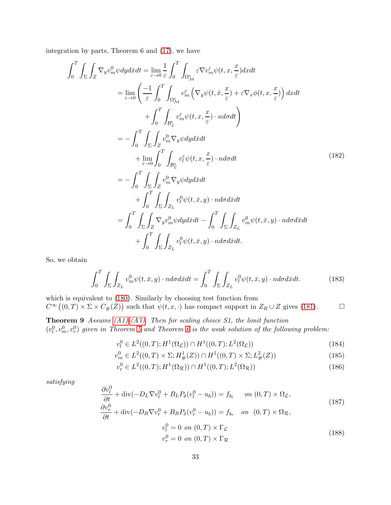integration by parts, Theorem 6 and [\(17\)](#page-6-1), we have

$$
\int_{0}^{T} \int_{\Sigma} \int_{Z} \nabla_{y} v_{m}^{0} \psi dy d\bar{x} dt = \lim_{\varepsilon \to 0} \frac{1}{\varepsilon} \int_{0}^{T} \int_{\Omega_{\varepsilon_{\mathcal{M}}}^{\varepsilon}} \varepsilon \nabla v_{m}^{\varepsilon} \psi(t, x, \frac{x}{\varepsilon}) dx dt \n= \lim_{\varepsilon \to 0} \left( \frac{-1}{\varepsilon} \int_{0}^{T} \int_{\Omega_{\varepsilon_{\mathcal{M}}}^{\varepsilon}} v_{m}^{\varepsilon} \left( \nabla_{y} \psi(t, \bar{x}, \frac{x}{\varepsilon}) + \varepsilon \nabla_{x} \phi(t, x, \frac{x}{\varepsilon}) \right) dx dt \n+ \int_{0}^{T} \int_{\Sigma} \int_{Z} v_{m}^{0} \nabla_{y} \psi dy d\bar{x} dt \n+ \lim_{\varepsilon \to 0} \int_{0}^{T} \int_{\Omega_{\varepsilon_{\mathcal{L}}}^{\varepsilon}} v_{\bar{t}}^{\varepsilon} \psi(t, x, \frac{x}{\varepsilon}) \cdot n d\sigma dt \n= - \int_{0}^{T} \int_{\Sigma} \int_{Z} v_{m}^{0} \nabla_{y} \psi dy d\bar{x} dt \n+ \int_{0}^{T} \int_{\Sigma} \int_{Z} v_{m}^{0} \nabla_{y} \psi dy d\bar{x} dt \n+ \int_{0}^{T} \int_{\Sigma} \int_{Z_{L}} v_{\bar{t}}^{0} \psi(t, \bar{x}, y) \cdot n d\sigma d\bar{x} dt \n+ \int_{0}^{T} \int_{\Sigma} \int_{Z} \nabla_{y} v_{m}^{0} \psi dy d\bar{x} dt - \int_{0}^{T} \int_{\Sigma} \int_{Z_{L}} v_{m}^{0} \psi(t, \bar{x}, y) \cdot n d\sigma d\bar{x} dt \n+ \int_{0}^{T} \int_{\Sigma} \int_{Z_{L}} v_{\bar{t}}^{0} \psi(t, \bar{x}, y) \cdot n d\sigma d\bar{x} dt.
$$
\n(182)

So, we obtain

$$
\int_0^T \int_{\Sigma} \int_{Z_L} v_m^0 \psi(t, \bar{x}, y) \cdot n d\sigma d\bar{x} dt = \int_0^T \int_{\Sigma} \int_{Z_L} v_l^0 \psi(t, \bar{x}, y) \cdot n d\sigma d\bar{x} dt.
$$
 (183)

which is equivalent to [\(180\)](#page-31-4). Similarly by choosing test function from  $C^{\infty}((0,T) \times \Sigma \times C_{\#}(\bar{Z}))$  such that  $\psi(t,x,\cdot)$  has compact support in  $Z_R \cup Z$  gives [\(181\)](#page-31-5).

**Theorem 9** Assume  $(A1)-(A7)$ . Then for scaling choice S1, the limit function  $(v_l^0, v_m^0, v_r^0)$  given in Theorem [5](#page-24-5) and Theorem [6](#page-25-8) is the weak solution of the following problem:

$$
v_l^0 \in L^2((0,T); H^1(\Omega_{\mathcal{L}})) \cap H^1((0,T); L^2(\Omega_{\mathcal{L}}))
$$
\n(184)

$$
v_m^0 \in L^2((0,T) \times \Sigma; H^1_{\#}(Z)) \cap H^1((0,T) \times \Sigma; L^2_{\#}(Z))
$$
\n(185)

$$
v_r^0 \in L^2((0,T); H^1(\Omega_\mathcal{R})) \cap H^1((0,T); L^2(\Omega_\mathcal{R})) \tag{186}
$$

satisfying

$$
\frac{\partial v_l^0}{\partial t} + \text{div}(-D_L \nabla v_l^0 + B_L P_\delta(v_l^0 - u_b)) = f_{b_l} \quad on (0, T) \times \Omega_{\mathcal{L}},
$$
  
\n
$$
\frac{\partial v_r^0}{\partial t} + \text{div}(-D_R \nabla v_r^0 + B_R P_\delta(v_r^0 - u_b)) = f_{b_r} \quad on (0, T) \times \Omega_{\mathcal{R}},
$$
  
\n
$$
v_l^0 = 0 \quad on (0, T) \times \Gamma_{\mathcal{L}}
$$
\n(188)

<span id="page-32-0"></span>
$$
v_t^0 = 0 \text{ on } (0, T) \times \Gamma_{\mathcal{R}} \tag{188}
$$

$$
v_r^0 = 0 \text{ on } (0, T) \times \Gamma_{\mathcal{R}}
$$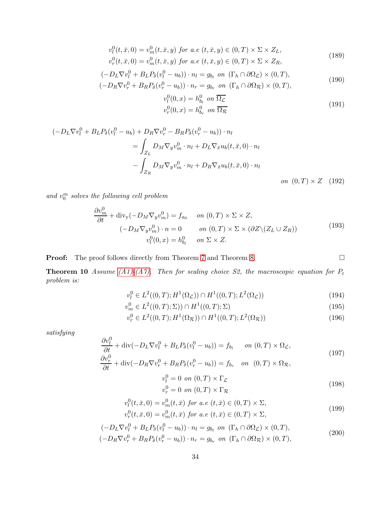$$
v_l^0(t, \bar{x}, 0) = v_m^0(t, \bar{x}, y) \text{ for a.e } (t, \bar{x}, y) \in (0, T) \times \Sigma \times Z_L,
$$
  

$$
v_r^0(t, \bar{x}, 0) = v_m^0(t, \bar{x}, y) \text{ for a.e } (t, \bar{x}, y) \in (0, T) \times \Sigma \times Z_R,
$$
 (189)

$$
(-DL\nabla vl0 + BLPδ(vl0 - ub)) \cdot nl = gbl on (\Gammah \cap \partial \OmegaL) \times (0, T),(-DR\nabla vr0 + BRPδ(vr0 - ub)) \cdot nr = gbr on (\Gammah \cap \partial \OmegaR) \times (0, T),
$$
\n(190)

$$
v_l^0(0, x) = h_{b_l}^0 \quad on \quad \overline{\Omega_{\mathcal{L}}}
$$
  

$$
v_r^0(0, x) = h_{b_r}^0 \quad on \quad \overline{\Omega_{\mathcal{R}}}
$$
 (191)

$$
(-D_{L}\nabla v_{l}^{0} + B_{L}P_{\delta}(v_{l}^{0} - u_{b}) + D_{R}\nabla v_{r}^{0} - B_{R}P_{\delta}(v_{r}^{0} - u_{b})) \cdot n_{l}
$$
  
= 
$$
\int_{Z_{L}} D_{M}\nabla_{y}v_{m}^{0} \cdot n_{l} + D_{L}\nabla_{\bar{x}}u_{b}(t, \bar{x}, 0) \cdot n_{l}
$$
  

$$
- \int_{Z_{R}} D_{M}\nabla_{y}v_{m}^{0} \cdot n_{l} + D_{R}\nabla_{\bar{x}}u_{b}(t, \bar{x}, 0) \cdot n_{l}
$$
  
on  $(0, T) \times Z$  (192)

and  $v_0^m$  solves the following cell problem

$$
\frac{\partial v_m^0}{\partial t} + \text{div}_y(-D_M \nabla_y v_m^0) = f_{a_0} \quad on \ (0, T) \times \Sigma \times Z,
$$
  

$$
(-D_M \nabla_y v_m^0) \cdot n = 0 \quad on \ (0, T) \times \Sigma \times (\partial Z \setminus (Z_L \cup Z_R))
$$
  

$$
v_l^0(0, x) = h_{b_l}^0 \quad on \ \Sigma \times Z.
$$
 (193)

**Proof:** The proof follows directly from Theorem [7](#page-26-3) and Theorem [8.](#page-31-3)

**Theorem 10** Assume [\(A1\)-](#page-6-0)[\(A7\).](#page-7-0) Then for scaling choice S2, the macroscopic equation for  $P_{\varepsilon}$ problem is:

$$
v_l^0 \in L^2((0,T); H^1(\Omega_{\mathcal{L}})) \cap H^1((0,T); L^2(\Omega_{\mathcal{L}}))
$$
\n(194)

$$
v_m^0 \in L^2((0,T);\Sigma)) \cap H^1((0,T);\Sigma)
$$
\n(195)

$$
v_r^0 \in L^2((0,T); H^1(\Omega_\mathcal{R})) \cap H^1((0,T); L^2(\Omega_\mathcal{R})) \tag{196}
$$

satisfying

$$
\frac{\partial v_l^0}{\partial t} + \text{div}(-D_L \nabla v_l^0 + B_L P_\delta(v_l^0 - u_b)) = f_{b_l} \qquad on \ (0, T) \times \Omega_{\mathcal{L}},
$$
  
\n
$$
\frac{\partial v_l^0}{\partial v_l^0} \qquad (197)
$$

$$
\frac{\partial v_r^{\circ}}{\partial t} + \text{div}(-D_R \nabla v_r^0 + B_R P_{\delta}(v_r^0 - u_b)) = f_{b_r} \quad on \quad (0, T) \times \Omega_{\mathcal{R}},
$$

$$
v_l^0 = 0 \text{ on } (0, T) \times \Gamma_{\mathcal{L}}
$$
  

$$
v_r^0 = 0 \text{ on } (0, T) \times \Gamma_{\mathcal{R}}
$$
 (198)

$$
v_l^0(t, \bar{x}, 0) = v_m^0(t, \bar{x}) \text{ for a.e } (t, \bar{x}) \in (0, T) \times \Sigma,
$$
  

$$
v_r^0(t, \bar{x}, 0) = v_m^0(t, \bar{x}) \text{ for a.e } (t, \bar{x}) \in (0, T) \times \Sigma,
$$
 (199)

$$
(-DL\nabla vl0 + BLP\delta(vl0 - ub)) \cdot nl = gbl on (\Gammah \cap \partial\OmegaL) \times (0, T),(-DR\nabla vr0 + BRP\delta(vr0 - ub)) \cdot nr = gbr on (\Gammah \cap \partial\OmegaR) \times (0, T),
$$
\n(200)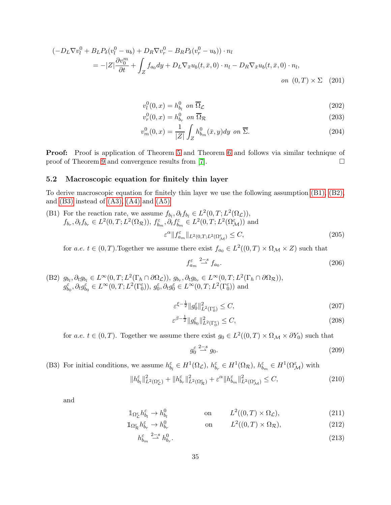$$
\begin{aligned} \left(-D_L \nabla v_l^0 + B_L P_\delta (v_l^0 - u_b) + D_R \nabla v_r^0 - B_R P_\delta (v_r^0 - u_b) \right) \cdot n_l \\ &= -|Z| \frac{\partial v_0^m}{\partial t} + \int_Z f_{a_0} dy + D_L \nabla_{\bar{x}} u_b(t, \bar{x}, 0) \cdot n_l - D_R \nabla_{\bar{x}} u_b(t, \bar{x}, 0) \cdot n_l, \\ &on \ (0, T) \times \Sigma \ (201) \end{aligned}
$$

$$
v_l^0(0, x) = h_{b_l}^0 \quad on \quad \overline{\Omega}_{\mathcal{L}} \tag{202}
$$

$$
v_r^0(0, x) = h_{b_r}^0 \quad \text{on } \overline{\Omega}_{\mathcal{R}} \tag{203}
$$

$$
v_m^0(0, x) = \frac{1}{|Z|} \int_Z h_{b_m}^0(\bar{x}, y) dy \text{ on } \overline{\Sigma}.
$$
 (204)

**Proof:** Proof is application of Theorem [5](#page-24-5) and Theorem [6](#page-25-8) and follows via similar technique of proof of Theorem [9](#page-32-0) and convergence results from [\[7\]](#page-38-7).

### 5.2 Macroscopic equation for finitely thin layer

<span id="page-34-0"></span>To derive macroscopic equation for finitely thin layer we use the following assumption [\(B1\),](#page-34-0) [\(B2\),](#page-34-1) and  $(B3)$  instead of  $(A3)$ ,  $(A4)$  and  $(A5)$ 

(B1) For the reaction rate, we assume 
$$
f_{b_l}, \partial_t f_{b_l} \in L^2(0, T; L^2(\Omega_{\mathcal{L}})),
$$
  
\n $f_{b_r}, \partial_t f_{b_r} \in L^2(0, T; L^2(\Omega_{\mathcal{R}})),$   $f_{b_m}^{\varepsilon}, \partial_t f_{b_m}^{\varepsilon} \in L^2(0, T; L^2(\Omega_{\mathcal{M}}^{\varepsilon}))$  and  
\n
$$
\varepsilon^{\alpha} \| f_{a_m}^{\varepsilon} \|_{L^2(0, T; L^2(\Omega_{\mathcal{M}}^{\varepsilon})} \leq C,
$$
\n(205)

for a.e.  $t \in (0, T)$ . Together we assume there exist  $f_{a_0} \in L^2((0, T) \times \Omega_M \times Z)$  such that

$$
f_{a_m}^{\varepsilon} \stackrel{2-s}{\rightharpoonup} f_{a_0}.\tag{206}
$$

<span id="page-34-1"></span>(B2)  $g_{b_l}, \partial_t g_{b_l} \in L^{\infty}(0,T; L^2(\Gamma_h \cap \partial \Omega_{\mathcal{L}})), g_{b_r}, \partial_t g_{b_r} \in L^{\infty}(0,T; L^2(\Gamma_h \cap \partial \Omega_{\mathcal{R}})),$  $g_{b_0}^{\varepsilon}, \partial_t g_{b_0}^{\varepsilon} \in L^{\infty}(0,T; L^2(\Gamma_0^{\varepsilon})), g_0^{\varepsilon}, \partial_t g_0^{\varepsilon} \in L^{\infty}(0,T; L^2(\Gamma_0^{\varepsilon}))$  and

$$
\varepsilon^{\xi - \frac{1}{2}} \|g_0^{\varepsilon}\|_{L^2(\Gamma_0^{\varepsilon})}^2 \le C,\tag{207}
$$

$$
\varepsilon^{\beta - \frac{1}{2}} \|g_{b_0}^{\varepsilon}\|_{L^2(\Gamma_0^{\varepsilon})}^2 \le C,\tag{208}
$$

for a.e.  $t \in (0, T)$ . Together we assume there exist  $g_0 \in L^2((0, T) \times \Omega_M \times \partial Y_0)$  such that

$$
g_0^{\varepsilon} \stackrel{2-s}{\longrightarrow} g_0. \tag{209}
$$

<span id="page-34-2"></span>(B3) For initial conditions, we assume  $h_{b_l}^{\varepsilon} \in H^1(\Omega_{\mathcal{L}}), h_{b_r}^{\varepsilon} \in H^1(\Omega_{\mathcal{R}}), h_{b_m}^{\varepsilon} \in H^1(\Omega_{\mathcal{M}}^{\varepsilon})$  with

$$
||h_{b_l}^{\varepsilon}||_{L^2(\Omega_{\mathcal{L}}^{\varepsilon})}^2 + ||h_{b_r}^{\varepsilon}||_{L^2(\Omega_{\mathcal{R}}^{\varepsilon})}^2 + \varepsilon^{\alpha}||h_{b_m}^{\varepsilon}||_{L^2(\Omega_{\mathcal{M}}^{\varepsilon})}^2 \leq C,
$$
\n(210)

and

$$
\mathbb{1}_{\Omega_{\mathcal{L}}^{\varepsilon}} h_{b_l}^{\varepsilon} \to h_{b_l}^0 \qquad \text{on} \qquad L^2((0,T) \times \Omega_{\mathcal{L}}), \tag{211}
$$

$$
\mathbb{1}_{\Omega_{\mathcal{R}}^{\varepsilon}} h_{b_r}^{\varepsilon} \to h_{b_r}^0 \qquad \text{on} \qquad L^2((0,T) \times \Omega_{\mathcal{R}}), \tag{212}
$$

$$
h_{b_m}^{\varepsilon} \stackrel{2-s}{\rightharpoonup} h_{b_r}^0. \tag{213}
$$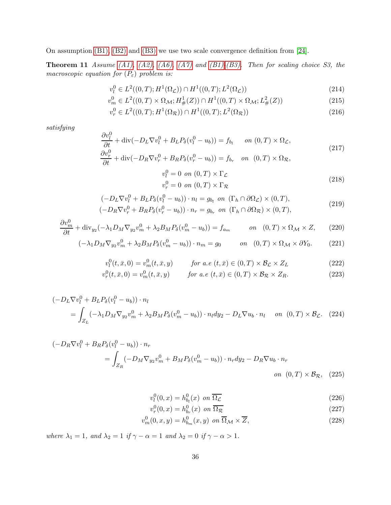On assumption [\(B1\),](#page-34-0) [\(B2\)](#page-34-1) and [\(B3\)](#page-34-2) we use two scale convergence definition from [\[24\]](#page-39-3).

**Theorem 11** Assume [\(A1\),](#page-6-0) [\(A2\),](#page-6-7) [\(A6\),](#page-7-2) [\(A7\)](#page-7-0) and [\(B1\)-](#page-34-0)[\(B3\).](#page-34-2) Then for scaling choice S3, the macroscopic equation for  $(P_{\varepsilon})$  problem is:

$$
v_l^0 \in L^2((0,T); H^1(\Omega_{\mathcal{L}})) \cap H^1((0,T); L^2(\Omega_{\mathcal{L}}))
$$
\n(214)

$$
v_m^0 \in L^2((0,T) \times \Omega_{\mathcal{M}}; H^1_{\#}(Z)) \cap H^1((0,T) \times \Omega_{\mathcal{M}}; L^2_{\#}(Z))
$$
\n(215)

$$
v_r^0 \in L^2((0,T); H^1(\Omega_\mathcal{R})) \cap H^1((0,T); L^2(\Omega_\mathcal{R}))
$$
\n(216)

satisfying

$$
\frac{\partial v_l^0}{\partial t} + \text{div}(-D_L \nabla v_l^0 + B_L P_\delta(v_l^0 - u_b)) = f_{b_l} \quad on (0, T) \times \Omega_{\mathcal{L}},
$$
  
\n
$$
\frac{\partial v_r^0}{\partial t} + \text{div}(-D_R \nabla v_r^0 + B_R P_\delta(v_r^0 - u_b)) = f_{b_r} \quad on (0, T) \times \Omega_{\mathcal{R}},
$$
\n(217)

$$
v_l^0 = 0 \text{ on } (0, T) \times \Gamma_{\mathcal{L}}
$$
  

$$
v_r^0 = 0 \text{ on } (0, T) \times \Gamma_{\mathcal{R}}
$$
 (218)

$$
(-DL\nabla vl0 + BLP\delta(vl0 - ub)) \cdot nl = gbl on (\Gammah \cap \partial \OmegaL) \times (0, T),(-DR\nabla vr0 + BRP\delta(vr0 - ub)) \cdot nr = gbr on (\Gammah \cap \partial \OmegaR) \times (0, T),
$$
\n(219)

$$
\frac{\partial v_m^0}{\partial t} + \text{div}_{y_2}(-\lambda_1 D_M \nabla_{y_2} v_m^0 + \lambda_2 B_M P_\delta(v_m^0 - u_b)) = f_{a_m} \qquad on \quad (0, T) \times \Omega_M \times Z, \tag{220}
$$

$$
(-\lambda_1 D_M \nabla_{y_2} v_m^0 + \lambda_2 B_M P_\delta (v_m^0 - u_b)) \cdot n_m = g_0 \qquad on \quad (0, T) \times \Omega_M \times \partial Y_0. \tag{221}
$$

$$
v_l^0(t, \bar{x}, 0) = v_m^0(t, \bar{x}, y) \qquad \text{for a.e } (t, \bar{x}) \in (0, T) \times \mathcal{B}_\mathcal{L} \times Z_L \tag{222}
$$

$$
v_r^0(t, \bar{x}, 0) = v_m^0(t, \bar{x}, y) \qquad \text{for a.e } (t, \bar{x}) \in (0, T) \times \mathcal{B}_{\mathcal{R}} \times Z_R. \tag{223}
$$

$$
\begin{aligned} \left(-D_L \nabla v_l^0 + B_L P_\delta (v_l^0 - u_b)\right) \cdot n_l \\ &= \int_{Z_L} \left(-\lambda_1 D_M \nabla_{y_2} v_m^0 + \lambda_2 B_M P_\delta (v_m^0 - u_b)\right) \cdot n_l dy_2 - D_L \nabla u_b \cdot n_l \quad \text{on } (0, T) \times \mathcal{B}_\mathcal{L}. \end{aligned} \tag{224}
$$

$$
\begin{aligned} \left(-D_R \nabla v_l^0 + B_R P_\delta (v_l^0 - u_b)\right) \cdot n_r \\ &= \int_{Z_R} \left(-D_M \nabla_{y_2} v_m^0 + B_M P_\delta (v_m^0 - u_b)\right) \cdot n_r \, dy_2 - D_R \nabla u_b \cdot n_r \\ & \text{on } (0, T) \times \mathcal{B}_{\mathcal{R}}, \tag{225} \end{aligned}
$$

$$
v_l^0(0, x) = h_{b_l}^0(x) \text{ on } \overline{\Omega_{\mathcal{L}}}
$$
\n
$$
(226)
$$

$$
v_r^0(0, x) = h_{b_r}^0(x) \text{ on } \overline{\Omega_{\mathcal{R}}}
$$
\n
$$
(227)
$$

$$
v_m^0(0, x, y) = h_{b_m}^0(x, y) \text{ on } \overline{\Omega}_{\mathcal{M}} \times \overline{Z},
$$
\n(228)

where  $\lambda_1 = 1$ , and  $\lambda_2 = 1$  if  $\gamma - \alpha = 1$  and  $\lambda_2 = 0$  if  $\gamma - \alpha > 1$ .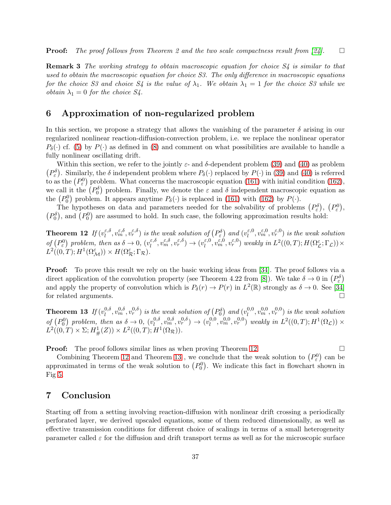**Proof:** The proof follows from Theorem 2 and the two scale compactness result from [\[24\]](#page-39-3).  $\square$ 

**Remark 3** The working strategy to obtain macroscopic equation for choice S4 is similar to that used to obtain the macroscopic equation for choice S3. The only difference in macroscopic equations for the choice S3 and choice S4 is the value of  $\lambda_1$ . We obtain  $\lambda_1 = 1$  for the choice S3 while we *obtain*  $\lambda_1 = 0$  *for the choice S4.* 

### 6 Approximation of non-regularized problem

In this section, we propose a strategy that allows the vanishing of the parameter  $\delta$  arising in our regularized nonlinear reaction-diffusion-convection problem, i.e. we replace the nonlinear operator  $P_{\delta}(\cdot)$  cf. [\(5\)](#page-4-1) by  $P(\cdot)$  as defined in [\(8\)](#page-4-3) and comment on what possibilities are available to handle a fully nonlinear oscillating drift.

Within this section, we refer to the jointly  $\varepsilon$ - and  $\delta$ -dependent problem [\(39\)](#page-9-2) and [\(40\)](#page-9-3) as problem  $(P_{\varepsilon}^{\delta})$ . Similarly, the  $\delta$  independent problem where  $P_{\delta}(\cdot)$  replaced by  $P(\cdot)$  in [\(39\)](#page-9-2) and [\(40\)](#page-9-3) is referred to as the  $(P_{\varepsilon}^{0})$  problem. What concerns the macroscopic equation [\(161\)](#page-27-1) with initial condition [\(162\)](#page-28-0), we call it the  $(P_0^{\delta})$  problem. Finally, we denote the  $\varepsilon$  and  $\delta$  independent macroscopic equation as the  $(P_0^0)$  problem. It appears anytime  $P_\delta(\cdot)$  is replaced in [\(161\)](#page-27-1) with [\(162\)](#page-28-0) by  $P(\cdot)$ .

<span id="page-36-0"></span>The hypotheses on data and parameters needed for the solvability of problems  $(P_{\varepsilon}^{\delta}), (P_{\varepsilon}^0),$  $(P_0^{\delta})$ , and  $(P_0^0)$  are assumed to hold. In such case, the following approximation results hold:

Theorem 12 If  $(v_l^{\varepsilon,\delta})$  $\epsilon^{,\delta}_l, v^{\varepsilon,\delta}_m, v^{\varepsilon,\delta}_r)$  is the weak solution of  $(P^{\delta}_{\varepsilon})$  and  $(v^{\varepsilon,0}_l)$  $\binom{\varepsilon,0}{l}, \upsilon^{\varepsilon,0}_m, \upsilon^{\varepsilon,0}_r$  is the weak solution of  $(P_{\varepsilon}^{0})$  problem, then as  $\delta \to 0$ ,  $(v_{l}^{\varepsilon,\delta})$  $\ell_l^{\varepsilon,\delta}, \nu_m^{\varepsilon,\delta}, \nu_r^{\varepsilon,\delta}) \to (\nu_l^{\varepsilon,0})$  $\epsilon_0^{(0)}, v_m^{\varepsilon,0}, v_r^{\varepsilon,0})$  weakly in  $L^2((0,T); H(\Omega_{\mathcal{L}}^{\varepsilon};\Gamma_{\mathcal{L}})) \times$  $L^2((0,T); H^1(\Omega_{\mathcal{M}}^{\varepsilon})) \times H(\Omega_{\mathcal{R}}^{\varepsilon};\Gamma_{\mathcal{R}}).$ 

**Proof:** To prove this result we rely on the basic working ideas from [\[34\]](#page-40-9). The proof follows via a direct application of the convolution property (see Theorem 4.22 from [\[8\]](#page-38-11)). We take  $\delta \to 0$  in  $(P_{\varepsilon})$ and apply the property of convolution which is  $P_\delta(r) \to P(r)$  in  $L^2(\mathbb{R})$  strongly as  $\delta \to 0$ . See [\[34\]](#page-40-9) for related arguments.

<span id="page-36-1"></span>Theorem 13 If  $(v_l^{0,\delta})$  $\hat{v}^{0,\delta}_l,v^{0,\delta}_m,v^{0,\delta}_r)$  is the weak solution of  $(P_0^\delta)$  and  $(v^{0,0}_l)$  $\hat{v}^{0,0}_l, v^{0,0}_m, v^{0,0}_r)$  is the weak solution of  $(P_0^0)$  problem, then as  $\delta \to 0$ ,  $(v_l^{0,\delta})$  $\binom{0, \delta}{l}, \binom{0, \delta}{m}, \binom{0, \delta}{r} \rightarrow \binom{0, 0}{l}$  $\ell_l^{0,0}, v_m^{0,0}, v_r^{0,0})$  weakly in  $L^2((0,T); H^1(\Omega_{\mathcal{L}})) \times$  $L^2((0,T) \times \Sigma; H^1_{\#}(Z)) \times L^2((0,T);H^1(\Omega_{\mathcal{R}})).$ 

**Proof:** The proof follows similar lines as when proving Theorem [12.](#page-36-0)

Combining Theorem [12](#page-36-0) and Theorem [13](#page-36-1), we conclude that the weak solution to  $(P_{\varepsilon}^{0})$  can be approximated in terms of the weak solution to  $(P_0^0)$ . We indicate this fact in flowchart shown in Fig [5.](#page-37-0)

### 7 Conclusion

Starting off from a setting involving reaction-diffusion with nonlinear drift crossing a periodically perforated layer, we derived upscaled equations, some of them reduced dimensionally, as well as effective transmission conditions for different choice of scalings in terms of a small heterogeneity parameter called  $\varepsilon$  for the diffusion and drift transport terms as well as for the microscopic surface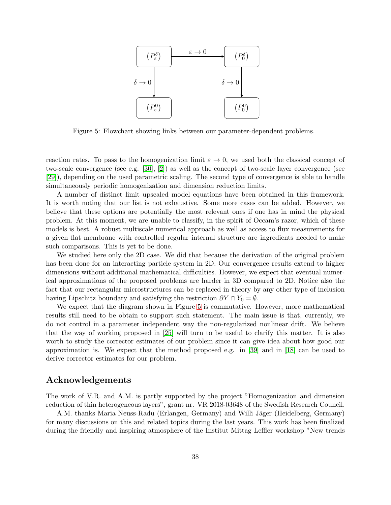

<span id="page-37-0"></span>Figure 5: Flowchart showing links between our parameter-dependent problems.

reaction rates. To pass to the homogenization limit  $\varepsilon \to 0$ , we used both the classical concept of two-scale convergence (see e.g. [\[30\]](#page-40-4), [\[2\]](#page-38-6)) as well as the concept of two-scale layer convergence (see [\[29\]](#page-39-4)), depending on the used parametric scaling. The second type of convergence is able to handle simultaneously periodic homogenization and dimension reduction limits.

A number of distinct limit upscaled model equations have been obtained in this framework. It is worth noting that our list is not exhaustive. Some more cases can be added. However, we believe that these options are potentially the most relevant ones if one has in mind the physical problem. At this moment, we are unable to classify, in the spirit of Occam's razor, which of these models is best. A robust multiscale numerical approach as well as access to flux measurements for a given flat membrane with controlled regular internal structure are ingredients needed to make such comparisons. This is yet to be done.

We studied here only the 2D case. We did that because the derivation of the original problem has been done for an interacting particle system in 2D. Our convergence results extend to higher dimensions without additional mathematical difficulties. However, we expect that eventual numerical approximations of the proposed problems are harder in 3D compared to 2D. Notice also the fact that our rectangular microstructures can be replaced in theory by any other type of inclusion having Lipschitz boundary and satisfying the restriction  $\partial Y \cap Y_0 = \emptyset$ .

We expect that the diagram shown in Figure [5](#page-37-0) is commutative. However, more mathematical results still need to be obtain to support such statement. The main issue is that, currently, we do not control in a parameter independent way the non-regularized nonlinear drift. We believe that the way of working proposed in [\[25\]](#page-39-6) will turn to be useful to clarify this matter. It is also worth to study the corrector estimates of our problem since it can give idea about how good our approximation is. We expect that the method proposed e.g. in [\[39\]](#page-40-2) and in [\[18\]](#page-39-14) can be used to derive corrector estimates for our problem.

### Acknowledgements

The work of V.R. and A.M. is partly supported by the project "Homogenization and dimension reduction of thin heterogeneous layers", grant nr. VR 2018-03648 of the Swedish Research Council.

A.M. thanks Maria Neuss-Radu (Erlangen, Germany) and Willi Jäger (Heidelberg, Germany) for many discussions on this and related topics during the last years. This work has been finalized during the friendly and inspiring atmosphere of the Institut Mittag Leffler workshop "New trends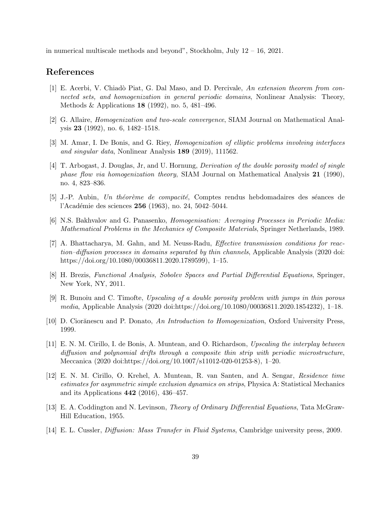in numerical multiscale methods and beyond", Stockholm, July 12 – 16, 2021.

### <span id="page-38-12"></span>References

- [1] E. Acerbi, V. Chiadò Piat, G. Dal Maso, and D. Percivale, An extension theorem from connected sets, and homogenization in general periodic domains, Nonlinear Analysis: Theory, Methods & Applications 18 (1992), no. 5, 481–496.
- <span id="page-38-9"></span><span id="page-38-6"></span>[2] G. Allaire, Homogenization and two-scale convergence, SIAM Journal on Mathematical Analysis 23 (1992), no. 6, 1482–1518.
- <span id="page-38-2"></span>[3] M. Amar, I. De Bonis, and G. Riey, *Homogenization of elliptic problems involving interfaces* and singular data, Nonlinear Analysis 189 (2019), 111562.
- [4] T. Arbogast, J. Douglas, Jr, and U. Hornung, Derivation of the double porosity model of single phase flow via homogenization theory, SIAM Journal on Mathematical Analysis 21 (1990), no. 4, 823–836.
- <span id="page-38-13"></span><span id="page-38-5"></span> $[5]$  J.-P. Aubin, Un théorème de compacité, Comptes rendus hebdomadaires des séances de l'Académie des sciences 256 (1963), no. 24, 5042–5044.
- <span id="page-38-7"></span>[6] N.S. Bakhvalov and G. Panasenko, Homogenisation: Averaging Processes in Periodic Media: Mathematical Problems in the Mechanics of Composite Materials, Springer Netherlands, 1989.
- [7] A. Bhattacharya, M. Gahn, and M. Neuss-Radu, Effective transmission conditions for reaction–diffusion processes in domains separated by thin channels, Applicable Analysis (2020 doi: https://doi.org/10.1080/00036811.2020.1789599), 1–15.
- <span id="page-38-11"></span><span id="page-38-8"></span>[8] H. Brezis, Functional Analysis, Sobolev Spaces and Partial Differential Equations, Springer, New York, NY, 2011.
- [9] R. Bunoiu and C. Timofte, Upscaling of a double porosity problem with jumps in thin porous media, Applicable Analysis (2020 doi:https://doi.org/10.1080/00036811.2020.1854232), 1–18.
- <span id="page-38-4"></span><span id="page-38-3"></span>[10] D. Ciorănescu and P. Donato, An Introduction to Homogenization, Oxford University Press, 1999.
- [11] E. N. M. Cirillo, I. de Bonis, A. Muntean, and O. Richardson, Upscaling the interplay between diffusion and polynomial drifts through a composite thin strip with periodic microstructure, Meccanica (2020 doi:https://doi.org/10.1007/s11012-020-01253-8), 1–20.
- <span id="page-38-0"></span>[12] E. N. M. Cirillo, O. Krehel, A. Muntean, R. van Santen, and A. Sengar, Residence time estimates for asymmetric simple exclusion dynamics on strips, Physica A: Statistical Mechanics and its Applications 442 (2016), 436–457.
- <span id="page-38-10"></span>[13] E. A. Coddington and N. Levinson, Theory of Ordinary Differential Equations, Tata McGraw-Hill Education, 1955.
- <span id="page-38-1"></span>[14] E. L. Cussler, Diffusion: Mass Transfer in Fluid Systems, Cambridge university press, 2009.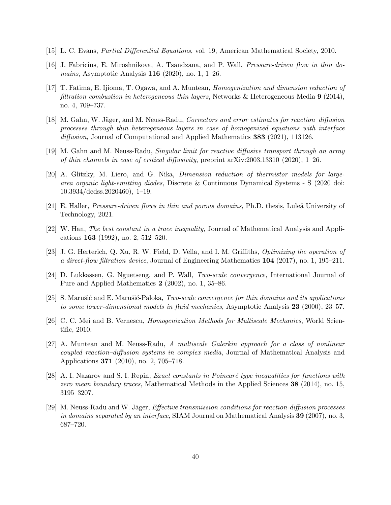- <span id="page-39-10"></span><span id="page-39-8"></span>[15] L. C. Evans, Partial Differential Equations, vol. 19, American Mathematical Society, 2010.
- <span id="page-39-1"></span>[16] J. Fabricius, E. Miroshnikova, A. Tsandzana, and P. Wall, Pressure-driven flow in thin do*mains*, Asymptotic Analysis  $116$  (2020), no. 1, 1–26.
- [17] T. Fatima, E. Ijioma, T. Ogawa, and A. Muntean, Homogenization and dimension reduction of filtration combustion in heterogeneous thin layers, Networks & Heterogeneous Media  $9$  (2014), no. 4, 709–737.
- <span id="page-39-14"></span>[18] M. Gahn, W. Jäger, and M. Neuss-Radu, Correctors and error estimates for reaction–diffusion processes through thin heterogeneous layers in case of homogenized equations with interface diffusion, Journal of Computational and Applied Mathematics **383** (2021), 113126.
- <span id="page-39-7"></span><span id="page-39-2"></span>[19] M. Gahn and M. Neuss-Radu, Singular limit for reactive diffusive transport through an array of thin channels in case of critical diffusivity, preprint arXiv:2003.13310 (2020), 1–26.
- [20] A. Glitzky, M. Liero, and G. Nika, Dimension reduction of thermistor models for largearea organic light-emitting diodes, Discrete & Continuous Dynamical Systems - S (2020 doi: 10.3934/dcdss.2020460), 1–19.
- <span id="page-39-12"></span><span id="page-39-9"></span>[21] E. Haller, *Pressure-driven flows in thin and porous domains*, Ph.D. thesis, Luleå University of Technology, 2021.
- [22] W. Han, The best constant in a trace inequality, Journal of Mathematical Analysis and Applications 163 (1992), no. 2, 512–520.
- <span id="page-39-0"></span>[23] J. G. Herterich, Q. Xu, R. W. Field, D. Vella, and I. M. Griffiths, Optimizing the operation of a direct-flow filtration device, Journal of Engineering Mathematics 104 (2017), no. 1, 195–211.
- <span id="page-39-6"></span><span id="page-39-3"></span>[24] D. Lukkassen, G. Nguetseng, and P. Wall, Two-scale convergence, International Journal of Pure and Applied Mathematics 2 (2002), no. 1, 35–86.
- <span id="page-39-5"></span>[25] S. Marušić and E. Marušić-Paloka, Two-scale convergence for thin domains and its applications to some lower-dimensional models in fluid mechanics, Asymptotic Analysis 23 (2000), 23–57.
- <span id="page-39-11"></span>[26] C. C. Mei and B. Vernescu, Homogenization Methods for Multiscale Mechanics, World Scientific, 2010.
- [27] A. Muntean and M. Neuss-Radu, A multiscale Galerkin approach for a class of nonlinear coupled reaction–diffusion systems in complex media, Journal of Mathematical Analysis and Applications 371 (2010), no. 2, 705–718.
- <span id="page-39-13"></span>[28] A. I. Nazarov and S. I. Repin, *Exact constants in Poincaré type inequalities for functions with* zero mean boundary traces, Mathematical Methods in the Applied Sciences 38 (2014), no. 15, 3195–3207.
- <span id="page-39-4"></span>[29] M. Neuss-Radu and W. Jäger, *Effective transmission conditions for reaction-diffusion processes* in domains separated by an interface, SIAM Journal on Mathematical Analysis  $39$  (2007), no. 3, 687–720.